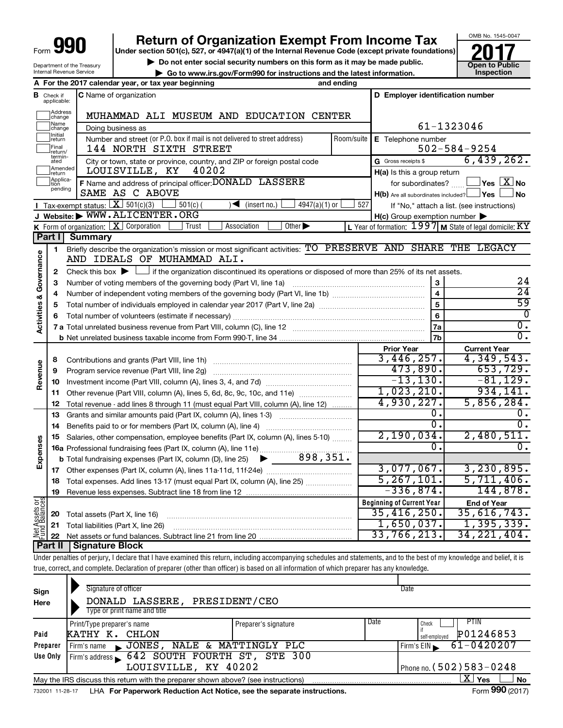| Form ' | 990<br>ı |
|--------|----------|
|        |          |

# **990 Return of Organization Exempt From Income Tax 1990 2017 Divide the section 501(c)**, 527, or 4947(a)(1) of the Internal Revenue Code (except private foundations) **2017**

**Under section 501(c), 527, or 4947(a)(1) of the Internal Revenue Code (except private foundations)**

**b** Do not enter social security numbers on this form as it may be made public. **The CO of the UP** Open to Public **and the latest information. Conception CO** of the UP Open to Public **CO** of the latest information. **CO | Go to www.irs.gov/Form990 for instructions and the latest information. Inspection**



OMB No. 1545-0047

Department of the Treasury Internal Revenue Service

|                                |                               | A For the 2017 calendar year, or tax year beginning                                                                                                                        | and ending |                                                     |                                                           |  |  |  |
|--------------------------------|-------------------------------|----------------------------------------------------------------------------------------------------------------------------------------------------------------------------|------------|-----------------------------------------------------|-----------------------------------------------------------|--|--|--|
|                                | <b>B</b> Check if applicable: | C Name of organization                                                                                                                                                     |            | D Employer identification number                    |                                                           |  |  |  |
|                                | Address<br>change             | MUHAMMAD ALI MUSEUM AND EDUCATION CENTER                                                                                                                                   |            |                                                     |                                                           |  |  |  |
|                                | Name<br>change                |                                                                                                                                                                            | 61-1323046 |                                                     |                                                           |  |  |  |
|                                | Initial<br>return<br>Final    | Number and street (or P.O. box if mail is not delivered to street address)<br>144 NORTH SIXTH STREET                                                                       | Room/suite | E Telephone number                                  | $502 - 584 - 9254$                                        |  |  |  |
|                                | return/<br>termin-            |                                                                                                                                                                            |            | G Gross receipts \$                                 | 6,439,262.                                                |  |  |  |
|                                | ated<br>Amended               | City or town, state or province, country, and ZIP or foreign postal code<br>40202<br>LOUISVILLE, KY                                                                        |            | H(a) Is this a group return                         |                                                           |  |  |  |
|                                | return<br>Applica-<br>tıon    | F Name and address of principal officer: DONALD LASSERE                                                                                                                    |            | for subordinates? $\frac{\Box}{\Box}$               | $\exists$ Yes $\boxed{\text{X}}$ No                       |  |  |  |
|                                | pending                       | SAME AS C ABOVE                                                                                                                                                            |            | H(b) Are all subordinates included? Ves             | ⊥No                                                       |  |  |  |
|                                |                               | <b>I</b> Tax-exempt status: $X \ 501(c)(3)$<br>$501(c)$ (<br>$4947(a)(1)$ or<br>$\sqrt{\frac{1}{1}}$ (insert no.)                                                          | 527        |                                                     | If "No," attach a list. (see instructions)                |  |  |  |
|                                |                               | J Website: WWW.ALICENTER.ORG                                                                                                                                               |            | $H(c)$ Group exemption number $\blacktriangleright$ |                                                           |  |  |  |
|                                |                               | <b>K</b> Form of organization: $X$ Corporation<br>Association<br>Other $\blacktriangleright$<br>Trust                                                                      |            |                                                     | L Year of formation: $1997$ M State of legal domicile: KY |  |  |  |
|                                | Part I                        | <b>Summary</b>                                                                                                                                                             |            |                                                     |                                                           |  |  |  |
| Activities & Governance        | 1                             | Briefly describe the organization's mission or most significant activities: TO PRESERVE AND SHARE THE LEGACY<br>AND IDEALS OF MUHAMMAD ALI.                                |            |                                                     |                                                           |  |  |  |
|                                | 2                             | Check this box $\blacktriangleright$ $\Box$ if the organization discontinued its operations or disposed of more than 25% of its net assets.                                |            |                                                     |                                                           |  |  |  |
|                                | з                             | Number of voting members of the governing body (Part VI, line 1a)                                                                                                          |            | 3                                                   | 24                                                        |  |  |  |
|                                | 4                             |                                                                                                                                                                            |            | $\overline{4}$                                      | $\overline{24}$                                           |  |  |  |
|                                | 5                             |                                                                                                                                                                            |            | $\overline{5}$                                      | 59                                                        |  |  |  |
|                                | 6                             |                                                                                                                                                                            |            | 6                                                   | $\overline{0}$                                            |  |  |  |
|                                |                               |                                                                                                                                                                            |            | 7a                                                  | $\overline{0}$ .                                          |  |  |  |
|                                |                               |                                                                                                                                                                            |            | 7b                                                  | $\overline{0}$ .                                          |  |  |  |
|                                |                               |                                                                                                                                                                            |            | <b>Prior Year</b>                                   | <b>Current Year</b>                                       |  |  |  |
|                                | 8                             |                                                                                                                                                                            |            | 3,446,257.                                          | 4,349,543.                                                |  |  |  |
|                                | 9                             | Program service revenue (Part VIII, line 2g)                                                                                                                               |            | 473,890.                                            | 653,729.                                                  |  |  |  |
| Revenue                        | 10                            |                                                                                                                                                                            |            | $-13, 130.$                                         | $-81, 129.$                                               |  |  |  |
|                                | 11                            | Other revenue (Part VIII, column (A), lines 5, 6d, 8c, 9c, 10c, and 11e)                                                                                                   |            | 1,023,210.                                          | 934,141.                                                  |  |  |  |
|                                | 12                            | Total revenue - add lines 8 through 11 (must equal Part VIII, column (A), line 12)                                                                                         |            | 4,930,227.                                          | 5,856,284.                                                |  |  |  |
|                                | 13                            | Grants and similar amounts paid (Part IX, column (A), lines 1-3)                                                                                                           |            | о.                                                  | υ.                                                        |  |  |  |
|                                | 14                            | Benefits paid to or for members (Part IX, column (A), line 4)                                                                                                              |            | $0$ .                                               | 0.                                                        |  |  |  |
| Expenses                       | 15                            | Salaries, other compensation, employee benefits (Part IX, column (A), lines 5-10)                                                                                          |            | 2,190,034.<br>о.                                    | 2,480,511.<br>$\overline{0}$ .                            |  |  |  |
|                                |                               |                                                                                                                                                                            |            |                                                     |                                                           |  |  |  |
|                                |                               |                                                                                                                                                                            |            | 3,077,067.                                          | 3, 230, 895.                                              |  |  |  |
|                                |                               |                                                                                                                                                                            |            | 5, 267, 101.                                        | 5,711,406.                                                |  |  |  |
|                                |                               | 18 Total expenses. Add lines 13-17 (must equal Part IX, column (A), line 25)                                                                                               |            | $-336,874.$                                         | 144,878.                                                  |  |  |  |
|                                | 19                            |                                                                                                                                                                            |            | <b>Beginning of Current Year</b>                    | <b>End of Year</b>                                        |  |  |  |
| Net Assets or<br>Fund Balances | 20                            | Total assets (Part X, line 16)                                                                                                                                             |            | 35,416,250.                                         | 35,616,743.                                               |  |  |  |
|                                | 21                            | Total liabilities (Part X, line 26)                                                                                                                                        |            | 1,650,037.                                          | 1,395,339.                                                |  |  |  |
|                                | 22                            |                                                                                                                                                                            |            | 33,766,213.                                         | 34, 221, 404.                                             |  |  |  |
|                                | Part II                       | <b>Signature Block</b>                                                                                                                                                     |            |                                                     |                                                           |  |  |  |
|                                |                               | Under penalties of perjury, I declare that I have examined this return, including accompanying schedules and statements, and to the best of my knowledge and belief, it is |            |                                                     |                                                           |  |  |  |
|                                |                               | true, correct, and complete. Declaration of preparer (other than officer) is based on all information of which preparer has any knowledge.                                 |            |                                                     |                                                           |  |  |  |

| Sign<br>Here    | Signature of officer<br>DONALD LASSERE, PRESIDENT/CEO<br>Type or print name and title                       |                      |                            | Date                       |  |  |  |  |
|-----------------|-------------------------------------------------------------------------------------------------------------|----------------------|----------------------------|----------------------------|--|--|--|--|
|                 | Print/Type preparer's name                                                                                  | Preparer's signature | Date                       | <b>PTIN</b><br>Check       |  |  |  |  |
| Paid            | CHLON<br>КАТНҮ К.                                                                                           |                      |                            | P01246853<br>self-emploved |  |  |  |  |
| Preparer        | JONES, NALE & MATTINGLY PLC<br>Firm's name                                                                  |                      |                            | 61-0420207<br>Firm's $EIN$ |  |  |  |  |
| Use Only        | Firm's address 642 SOUTH FOURTH ST, STE 300                                                                 |                      |                            |                            |  |  |  |  |
|                 | LOUISVILLE, KY 40202                                                                                        |                      | Phone no. $(502)$ 583-0248 |                            |  |  |  |  |
|                 | ΧI<br>Yes<br><b>No</b><br>May the IRS discuss this return with the preparer shown above? (see instructions) |                      |                            |                            |  |  |  |  |
| 732001 11-28-17 | LHA For Paperwork Reduction Act Notice, see the separate instructions.                                      |                      |                            | Form 990 (2017)            |  |  |  |  |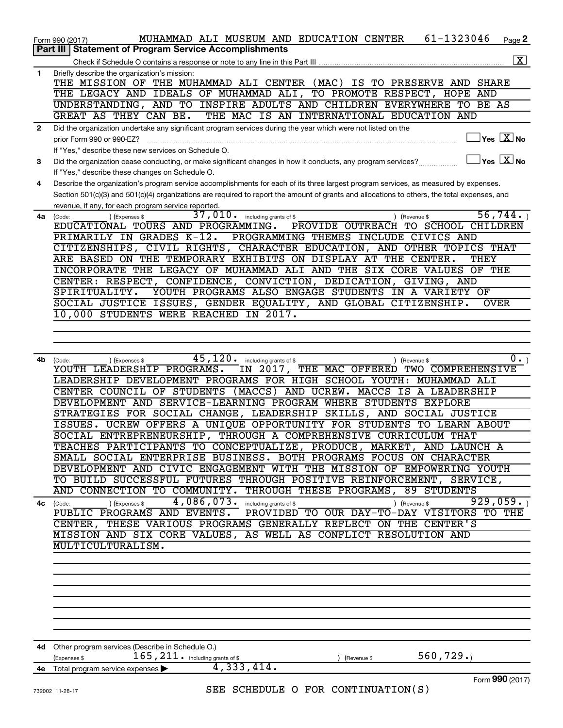|              | 61-1323046<br>MUHAMMAD ALI MUSEUM AND EDUCATION CENTER<br>Page 2<br>Form 990 (2017)                                                          |
|--------------|----------------------------------------------------------------------------------------------------------------------------------------------|
|              | Part III   Statement of Program Service Accomplishments                                                                                      |
|              | $\boxed{\textbf{X}}$                                                                                                                         |
| 1            | Briefly describe the organization's mission:                                                                                                 |
|              | THE MISSION OF THE MUHAMMAD ALI CENTER (MAC) IS TO PRESERVE AND SHARE                                                                        |
|              | THE LEGACY AND IDEALS OF MUHAMMAD ALI, TO PROMOTE RESPECT, HOPE AND                                                                          |
|              | UNDERSTANDING, AND TO INSPIRE ADULTS AND CHILDREN EVERYWHERE TO BE AS                                                                        |
|              | GREAT AS THEY CAN BE.<br>THE MAC IS AN INTERNATIONAL EDUCATION AND                                                                           |
| $\mathbf{2}$ | Did the organization undertake any significant program services during the year which were not listed on the                                 |
|              | $\exists$ Yes $\boxed{\text{X}}$ No<br>prior Form 990 or 990-EZ?                                                                             |
|              | If "Yes." describe these new services on Schedule O.                                                                                         |
| 3            | $\Box$ Yes $\Box$ No<br>Did the organization cease conducting, or make significant changes in how it conducts, any program services?         |
|              | If "Yes," describe these changes on Schedule O.                                                                                              |
| 4            | Describe the organization's program service accomplishments for each of its three largest program services, as measured by expenses.         |
|              | Section 501(c)(3) and 501(c)(4) organizations are required to report the amount of grants and allocations to others, the total expenses, and |
|              | revenue, if any, for each program service reported.                                                                                          |
| 4a           | 37,010.<br>56, 744.<br>including grants of \$<br>) (Revenue \$<br>(Code:<br>(Expenses \$                                                     |
|              | EDUCATIONAL TOURS AND PROGRAMMING.<br>PROVIDE OUTREACH<br>TO SCHOOL CHILDREN                                                                 |
|              | PRIMARILY IN GRADES K-12.<br>PROGRAMMING THEMES INCLUDE CIVICS AND                                                                           |
|              | CITIZENSHIPS, CIVIL RIGHTS, CHARACTER EDUCATION, AND OTHER TOPICS THAT                                                                       |
|              | ARE BASED ON THE TEMPORARY EXHIBITS ON DISPLAY AT THE CENTER.<br>THEY                                                                        |
|              | INCORPORATE THE LEGACY OF MUHAMMAD ALI AND THE SIX CORE VALUES OF THE                                                                        |
|              | CENTER: RESPECT, CONFIDENCE, CONVICTION, DEDICATION, GIVING, AND                                                                             |
|              | YOUTH PROGRAMS ALSO ENGAGE STUDENTS IN A VARIETY OF<br>SPIRITUALITY.                                                                         |
|              | SOCIAL JUSTICE ISSUES, GENDER EQUALITY, AND GLOBAL CITIZENSHIP.<br><b>OVER</b>                                                               |
|              | 10,000 STUDENTS WERE REACHED IN 2017.                                                                                                        |
|              |                                                                                                                                              |
|              |                                                                                                                                              |
|              |                                                                                                                                              |
| 4b           | $\overline{45,120\cdot}$ including grants of \$<br>$0 \cdot$<br>) (Expenses \$<br>) (Revenue \$<br>(Code:                                    |
|              | YOUTH LEADERSHIP PROGRAMS.<br>IN 2017, THE MAC OFFERED<br>TWO COMPREHENSIVE                                                                  |
|              | LEADERSHIP DEVELOPMENT PROGRAMS FOR HIGH SCHOOL YOUTH: MUHAMMAD ALI                                                                          |
|              | CENTER COUNCIL OF STUDENTS (MACCS) AND UCREW. MACCS IS A LEADERSHIP                                                                          |
|              | DEVELOPMENT AND SERVICE-LEARNING PROGRAM WHERE STUDENTS EXPLORE                                                                              |
|              | STRATEGIES FOR SOCIAL CHANGE, LEADERSHIP SKILLS, AND SOCIAL JUSTICE                                                                          |
|              | ISSUES. UCREW OFFERS A UNIQUE OPPORTUNITY FOR STUDENTS TO LEARN ABOUT                                                                        |
|              | SOCIAL ENTREPRENEURSHIP, THROUGH A COMPREHENSIVE CURRICULUM THAT                                                                             |
|              | TEACHES PARTICIPANTS TO CONCEPTUALIZE, PRODUCE, MARKET, AND LAUNCH A                                                                         |
|              | SMALL SOCIAL ENTERPRISE BUSINESS. BOTH PROGRAMS FOCUS ON CHARACTER                                                                           |
|              | DEVELOPMENT AND CIVIC ENGAGEMENT WITH THE MISSION OF EMPOWERING YOUTH                                                                        |
|              | TO BUILD SUCCESSFUL FUTURES THROUGH POSITIVE REINFORCEMENT, SERVICE,                                                                         |
|              | AND CONNECTION TO COMMUNITY. THROUGH THESE PROGRAMS, 89 STUDENTS                                                                             |
|              | 4,086,073. including grants of \$<br>929,059.<br>) (Revenue \$<br>) (Expenses \$<br>4c (Code:                                                |
|              | PUBLIC PROGRAMS AND EVENTS.<br>PROVIDED TO OUR DAY-TO-DAY VISITORS TO THE                                                                    |
|              | CENTER, THESE VARIOUS PROGRAMS GENERALLY REFLECT ON THE CENTER'S                                                                             |
|              | MISSION AND SIX CORE VALUES, AS WELL AS CONFLICT RESOLUTION AND                                                                              |
|              | MULTICULTURALISM.                                                                                                                            |
|              |                                                                                                                                              |
|              |                                                                                                                                              |
|              |                                                                                                                                              |
|              |                                                                                                                                              |
|              |                                                                                                                                              |
|              |                                                                                                                                              |
|              |                                                                                                                                              |
|              |                                                                                                                                              |
|              | 4d Other program services (Describe in Schedule O.)                                                                                          |
|              | 560, 729.<br>165, 211. including grants of \$<br>(Expenses \$<br>(Revenue \$                                                                 |
|              | 4,333,414.<br>4e Total program service expenses                                                                                              |
|              | Form 990 (2017)                                                                                                                              |
|              | SEE SCHEDULE O FOR CONTINUATION(S)<br>732002 11-28-17                                                                                        |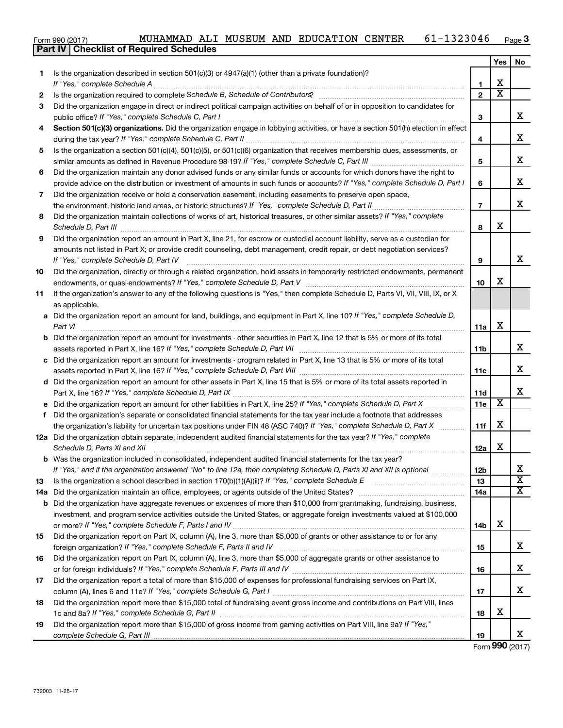|  | Form 990 (2017) |
|--|-----------------|

|     | <b>Part IV   Checklist of Required Schedules</b>                                                                                                                                                                                    |                |                         |                             |
|-----|-------------------------------------------------------------------------------------------------------------------------------------------------------------------------------------------------------------------------------------|----------------|-------------------------|-----------------------------|
|     |                                                                                                                                                                                                                                     |                | Yes                     | No                          |
| 1.  | Is the organization described in section 501(c)(3) or 4947(a)(1) (other than a private foundation)?                                                                                                                                 |                |                         |                             |
|     |                                                                                                                                                                                                                                     | 1              | X                       |                             |
| 2   | Is the organization required to complete Schedule B, Schedule of Contributors? [11] The organization required to complete Schedule B, Schedule of Contributors?                                                                     | $\mathbf{2}$   | $\overline{\textbf{x}}$ |                             |
| 3   | Did the organization engage in direct or indirect political campaign activities on behalf of or in opposition to candidates for                                                                                                     |                |                         |                             |
|     |                                                                                                                                                                                                                                     | 3              |                         | x                           |
| 4   | Section 501(c)(3) organizations. Did the organization engage in lobbying activities, or have a section 501(h) election in effect                                                                                                    |                |                         |                             |
|     |                                                                                                                                                                                                                                     | 4              |                         | х                           |
| 5   | Is the organization a section 501(c)(4), 501(c)(5), or 501(c)(6) organization that receives membership dues, assessments, or                                                                                                        |                |                         |                             |
|     |                                                                                                                                                                                                                                     | 5              |                         | X                           |
| 6   | Did the organization maintain any donor advised funds or any similar funds or accounts for which donors have the right to                                                                                                           |                |                         |                             |
|     | provide advice on the distribution or investment of amounts in such funds or accounts? If "Yes," complete Schedule D, Part I                                                                                                        | 6              |                         | х                           |
| 7   | Did the organization receive or hold a conservation easement, including easements to preserve open space,                                                                                                                           |                |                         |                             |
|     |                                                                                                                                                                                                                                     | $\overline{7}$ |                         | х                           |
| 8   | Did the organization maintain collections of works of art, historical treasures, or other similar assets? If "Yes," complete                                                                                                        |                |                         |                             |
|     | Schedule D, Part III <b>Process Construction Construction Construction</b> Construction Construction Construction Construction Construction Construction Construction Construction Construction Construction Construction Construct | 8              | х                       |                             |
| 9   | Did the organization report an amount in Part X, line 21, for escrow or custodial account liability, serve as a custodian for                                                                                                       |                |                         |                             |
|     | amounts not listed in Part X; or provide credit counseling, debt management, credit repair, or debt negotiation services?                                                                                                           |                |                         |                             |
|     | If "Yes," complete Schedule D, Part IV                                                                                                                                                                                              | 9              |                         | x                           |
| 10  | Did the organization, directly or through a related organization, hold assets in temporarily restricted endowments, permanent                                                                                                       |                |                         |                             |
|     |                                                                                                                                                                                                                                     | 10             | х                       |                             |
| 11  | If the organization's answer to any of the following questions is "Yes," then complete Schedule D, Parts VI, VII, VIII, IX, or X                                                                                                    |                |                         |                             |
|     | as applicable.                                                                                                                                                                                                                      |                |                         |                             |
|     | a Did the organization report an amount for land, buildings, and equipment in Part X, line 10? If "Yes," complete Schedule D,                                                                                                       |                |                         |                             |
|     |                                                                                                                                                                                                                                     | 11a            | х                       |                             |
|     | <b>b</b> Did the organization report an amount for investments - other securities in Part X, line 12 that is 5% or more of its total                                                                                                |                |                         |                             |
|     | assets reported in Part X, line 16? If "Yes," complete Schedule D, Part VII [[[[[[[[[[[[[[[[[[[[[[[[[[[[[[[[[                                                                                                                       | 11b            |                         | х                           |
|     | c Did the organization report an amount for investments - program related in Part X, line 13 that is 5% or more of its total                                                                                                        |                |                         |                             |
|     |                                                                                                                                                                                                                                     | 11c            |                         | х                           |
|     | d Did the organization report an amount for other assets in Part X, line 15 that is 5% or more of its total assets reported in                                                                                                      |                |                         |                             |
|     |                                                                                                                                                                                                                                     | 11d            |                         | х                           |
|     |                                                                                                                                                                                                                                     | <b>11e</b>     | X                       |                             |
|     | f Did the organization's separate or consolidated financial statements for the tax year include a footnote that addresses                                                                                                           |                |                         |                             |
|     | the organization's liability for uncertain tax positions under FIN 48 (ASC 740)? If "Yes," complete Schedule D, Part X                                                                                                              | 11f            | х                       |                             |
|     | 12a Did the organization obtain separate, independent audited financial statements for the tax year? If "Yes," complete                                                                                                             |                |                         |                             |
|     | Schedule D, Parts XI and XII                                                                                                                                                                                                        | 12a            | х                       |                             |
|     | <b>b</b> Was the organization included in consolidated, independent audited financial statements for the tax year?                                                                                                                  |                |                         |                             |
|     | If "Yes," and if the organization answered "No" to line 12a, then completing Schedule D, Parts XI and XII is optional                                                                                                               | 12b            |                         | х                           |
| 13  |                                                                                                                                                                                                                                     | 13             |                         | $\overline{\textbf{x}}$     |
| 14a |                                                                                                                                                                                                                                     | 14a            |                         | $\overline{\textnormal{x}}$ |
|     | <b>b</b> Did the organization have aggregate revenues or expenses of more than \$10,000 from grantmaking, fundraising, business,                                                                                                    |                |                         |                             |
|     | investment, and program service activities outside the United States, or aggregate foreign investments valued at \$100,000                                                                                                          |                |                         |                             |
|     |                                                                                                                                                                                                                                     | 14b            | х                       |                             |
| 15  | Did the organization report on Part IX, column (A), line 3, more than \$5,000 of grants or other assistance to or for any                                                                                                           |                |                         |                             |
|     |                                                                                                                                                                                                                                     | 15             |                         | х                           |
| 16  | Did the organization report on Part IX, column (A), line 3, more than \$5,000 of aggregate grants or other assistance to                                                                                                            |                |                         |                             |
|     |                                                                                                                                                                                                                                     | 16             |                         | х                           |
| 17  | Did the organization report a total of more than \$15,000 of expenses for professional fundraising services on Part IX,                                                                                                             |                |                         |                             |
|     |                                                                                                                                                                                                                                     | 17             |                         | х                           |
| 18  | Did the organization report more than \$15,000 total of fundraising event gross income and contributions on Part VIII, lines                                                                                                        |                | х                       |                             |
|     |                                                                                                                                                                                                                                     | 18             |                         |                             |
| 19  | Did the organization report more than \$15,000 of gross income from gaming activities on Part VIII, line 9a? If "Yes,"                                                                                                              |                |                         | x                           |
|     |                                                                                                                                                                                                                                     | 19             |                         |                             |

Form (2017) **990**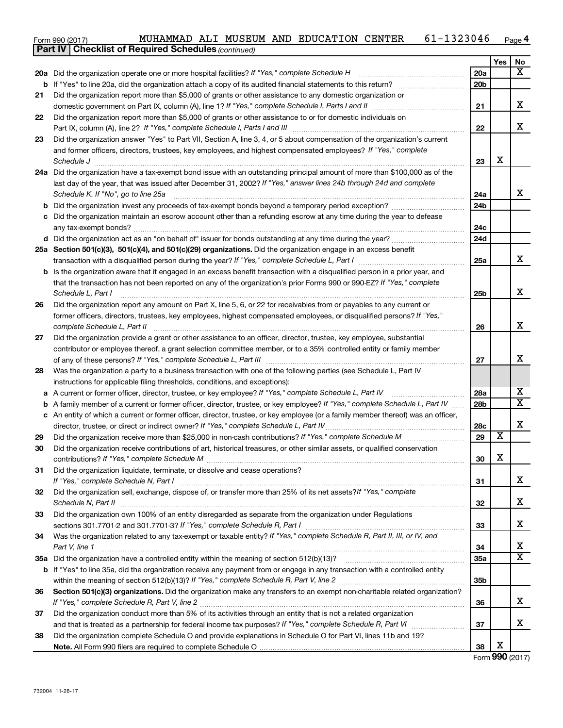| Form 990 (2017) |  | MUHAMMAD | ALI |  |  | MUSEUM AND EDUCATION | CENTER | 1323046<br>$61 - 1$ | Page 4 |
|-----------------|--|----------|-----|--|--|----------------------|--------|---------------------|--------|
|-----------------|--|----------|-----|--|--|----------------------|--------|---------------------|--------|

|    | <b>Part IV   Checklist of Required Schedules (continued)</b>                                                                                                                                                                     |                 |                         |                         |
|----|----------------------------------------------------------------------------------------------------------------------------------------------------------------------------------------------------------------------------------|-----------------|-------------------------|-------------------------|
|    |                                                                                                                                                                                                                                  |                 | Yes                     | No                      |
|    | 20a Did the organization operate one or more hospital facilities? If "Yes," complete Schedule H                                                                                                                                  | 20a             |                         | X                       |
| b  |                                                                                                                                                                                                                                  | 20 <sub>b</sub> |                         |                         |
| 21 | Did the organization report more than \$5,000 of grants or other assistance to any domestic organization or                                                                                                                      |                 |                         |                         |
|    |                                                                                                                                                                                                                                  | 21              |                         | х                       |
| 22 | Did the organization report more than \$5,000 of grants or other assistance to or for domestic individuals on                                                                                                                    |                 |                         |                         |
|    |                                                                                                                                                                                                                                  | 22              |                         | x                       |
| 23 | Did the organization answer "Yes" to Part VII, Section A, line 3, 4, or 5 about compensation of the organization's current                                                                                                       |                 |                         |                         |
|    | and former officers, directors, trustees, key employees, and highest compensated employees? If "Yes," complete                                                                                                                   |                 |                         |                         |
|    | Schedule J <b>Execute J Execute 2 Constant Constant Constant Constant Constant Constant Constant Constant Constant Constant Constant Constant Constant Constant Constant Constant Constant Constant Constant Constant Consta</b> | 23              | X                       |                         |
|    | 24a Did the organization have a tax-exempt bond issue with an outstanding principal amount of more than \$100,000 as of the                                                                                                      |                 |                         |                         |
|    | last day of the year, that was issued after December 31, 2002? If "Yes," answer lines 24b through 24d and complete                                                                                                               |                 |                         |                         |
|    | Schedule K. If "No", go to line 25a                                                                                                                                                                                              | 24a             |                         | x                       |
| b  |                                                                                                                                                                                                                                  | 24 <sub>b</sub> |                         |                         |
|    | c Did the organization maintain an escrow account other than a refunding escrow at any time during the year to defease                                                                                                           |                 |                         |                         |
|    |                                                                                                                                                                                                                                  | 24с             |                         |                         |
|    |                                                                                                                                                                                                                                  | 24d             |                         |                         |
|    | 25a Section 501(c)(3), 501(c)(4), and 501(c)(29) organizations. Did the organization engage in an excess benefit                                                                                                                 |                 |                         |                         |
|    |                                                                                                                                                                                                                                  | 25a             |                         | x                       |
|    | <b>b</b> Is the organization aware that it engaged in an excess benefit transaction with a disqualified person in a prior year, and                                                                                              |                 |                         |                         |
|    | that the transaction has not been reported on any of the organization's prior Forms 990 or 990-EZ? If "Yes," complete                                                                                                            |                 |                         |                         |
|    | Schedule L, Part I                                                                                                                                                                                                               | 25b             |                         | X                       |
| 26 | Did the organization report any amount on Part X, line 5, 6, or 22 for receivables from or payables to any current or                                                                                                            |                 |                         |                         |
|    | former officers, directors, trustees, key employees, highest compensated employees, or disqualified persons? If "Yes,"                                                                                                           |                 |                         |                         |
|    |                                                                                                                                                                                                                                  | 26              |                         | x                       |
| 27 | Did the organization provide a grant or other assistance to an officer, director, trustee, key employee, substantial                                                                                                             |                 |                         |                         |
|    | contributor or employee thereof, a grant selection committee member, or to a 35% controlled entity or family member                                                                                                              |                 |                         |                         |
|    |                                                                                                                                                                                                                                  | 27              |                         | x                       |
| 28 | Was the organization a party to a business transaction with one of the following parties (see Schedule L, Part IV                                                                                                                |                 |                         |                         |
|    | instructions for applicable filing thresholds, conditions, and exceptions):                                                                                                                                                      |                 |                         |                         |
| а  | A current or former officer, director, trustee, or key employee? If "Yes," complete Schedule L, Part IV                                                                                                                          | 28a             |                         | х                       |
| b  | A family member of a current or former officer, director, trustee, or key employee? If "Yes," complete Schedule L, Part IV                                                                                                       | 28b             |                         | $\overline{\mathbf{X}}$ |
|    | c An entity of which a current or former officer, director, trustee, or key employee (or a family member thereof) was an officer,                                                                                                |                 |                         |                         |
|    | director, trustee, or direct or indirect owner? If "Yes," complete Schedule L, Part IV                                                                                                                                           | 28c             |                         | х                       |
| 29 |                                                                                                                                                                                                                                  | 29              | $\overline{\textbf{x}}$ |                         |
| 30 | Did the organization receive contributions of art, historical treasures, or other similar assets, or qualified conservation                                                                                                      |                 |                         |                         |
|    |                                                                                                                                                                                                                                  | 30              | Χ                       |                         |
| 31 | Did the organization liquidate, terminate, or dissolve and cease operations?                                                                                                                                                     |                 |                         |                         |
|    |                                                                                                                                                                                                                                  | 31              |                         | x                       |
| 32 | Did the organization sell, exchange, dispose of, or transfer more than 25% of its net assets? If "Yes," complete                                                                                                                 |                 |                         |                         |
|    | Schedule N, Part II                                                                                                                                                                                                              | 32              |                         | х                       |
| 33 | Did the organization own 100% of an entity disregarded as separate from the organization under Regulations                                                                                                                       |                 |                         |                         |
|    |                                                                                                                                                                                                                                  | 33              |                         | х                       |
| 34 | Was the organization related to any tax-exempt or taxable entity? If "Yes," complete Schedule R, Part II, III, or IV, and                                                                                                        |                 |                         |                         |
|    | Part V, line 1                                                                                                                                                                                                                   | 34              |                         | x                       |
|    |                                                                                                                                                                                                                                  | 35a             |                         | $\overline{\textbf{X}}$ |
| b  | If "Yes" to line 35a, did the organization receive any payment from or engage in any transaction with a controlled entity                                                                                                        |                 |                         |                         |
|    |                                                                                                                                                                                                                                  | 35b             |                         |                         |
| 36 | Section 501(c)(3) organizations. Did the organization make any transfers to an exempt non-charitable related organization?                                                                                                       |                 |                         |                         |
|    |                                                                                                                                                                                                                                  | 36              |                         | х                       |
| 37 | Did the organization conduct more than 5% of its activities through an entity that is not a related organization                                                                                                                 |                 |                         |                         |
|    |                                                                                                                                                                                                                                  | 37              |                         | х                       |
| 38 | Did the organization complete Schedule O and provide explanations in Schedule O for Part VI, lines 11b and 19?                                                                                                                   |                 |                         |                         |
|    |                                                                                                                                                                                                                                  | 38              | х                       |                         |

Form (2017) **990**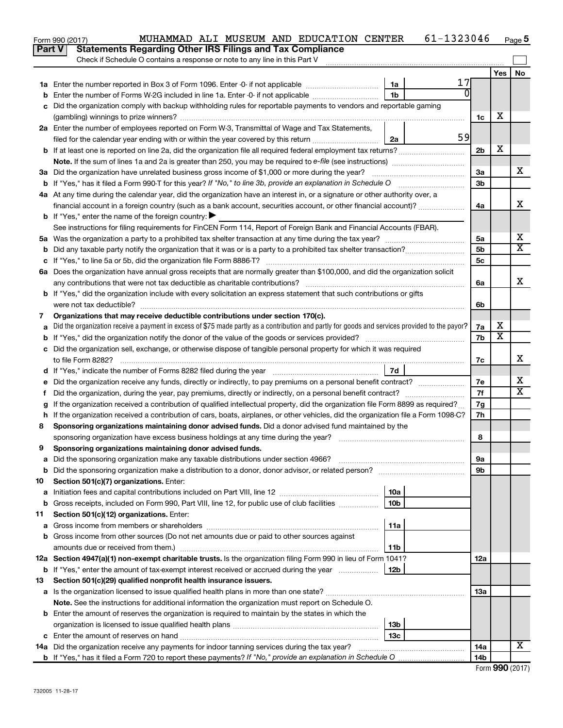|               | MUHAMMAD ALI MUSEUM AND EDUCATION CENTER<br>Form 990 (2017)                                                                                     |                 | 61-1323046     |                |                              | Page 5                     |
|---------------|-------------------------------------------------------------------------------------------------------------------------------------------------|-----------------|----------------|----------------|------------------------------|----------------------------|
| <b>Part V</b> | <b>Statements Regarding Other IRS Filings and Tax Compliance</b>                                                                                |                 |                |                |                              |                            |
|               | Check if Schedule O contains a response or note to any line in this Part V                                                                      |                 |                |                |                              |                            |
|               |                                                                                                                                                 |                 |                |                | Yes                          | No                         |
|               |                                                                                                                                                 | 1a              | 17             |                |                              |                            |
| b             | Enter the number of Forms W-2G included in line 1a. Enter -0- if not applicable                                                                 | 1 <sub>b</sub>  | $\overline{0}$ |                |                              |                            |
| c             | Did the organization comply with backup withholding rules for reportable payments to vendors and reportable gaming                              |                 |                |                |                              |                            |
|               |                                                                                                                                                 |                 |                | 1c             | х                            |                            |
|               | 2a Enter the number of employees reported on Form W-3, Transmittal of Wage and Tax Statements,                                                  |                 |                |                |                              |                            |
|               | filed for the calendar year ending with or within the year covered by this return                                                               | 2a              | 59             |                |                              |                            |
|               |                                                                                                                                                 |                 |                | 2 <sub>b</sub> | х                            |                            |
|               |                                                                                                                                                 |                 |                |                |                              |                            |
|               | 3a Did the organization have unrelated business gross income of \$1,000 or more during the year?                                                |                 |                | 3a             |                              | х                          |
|               |                                                                                                                                                 |                 |                | 3 <sub>b</sub> |                              |                            |
|               | 4a At any time during the calendar year, did the organization have an interest in, or a signature or other authority over, a                    |                 |                |                |                              |                            |
|               | financial account in a foreign country (such as a bank account, securities account, or other financial account)?                                |                 |                | 4a             |                              | X                          |
|               | <b>b</b> If "Yes," enter the name of the foreign country: $\blacktriangleright$                                                                 |                 |                |                |                              |                            |
|               | See instructions for filing requirements for FinCEN Form 114, Report of Foreign Bank and Financial Accounts (FBAR).                             |                 |                |                |                              |                            |
|               |                                                                                                                                                 |                 |                | 5a             |                              | х<br>$\overline{\text{X}}$ |
|               |                                                                                                                                                 |                 |                | 5 <sub>b</sub> |                              |                            |
|               |                                                                                                                                                 |                 |                | 5c             |                              |                            |
|               | 6a Does the organization have annual gross receipts that are normally greater than \$100,000, and did the organization solicit                  |                 |                |                |                              |                            |
|               |                                                                                                                                                 |                 |                | 6a             |                              | X                          |
|               | <b>b</b> If "Yes," did the organization include with every solicitation an express statement that such contributions or gifts                   |                 |                |                |                              |                            |
|               |                                                                                                                                                 |                 |                | 6b             |                              |                            |
| 7             | Organizations that may receive deductible contributions under section 170(c).                                                                   |                 |                |                |                              |                            |
| a             | Did the organization receive a payment in excess of \$75 made partly as a contribution and partly for goods and services provided to the payor? |                 |                | 7a             | х<br>$\overline{\textbf{x}}$ |                            |
|               |                                                                                                                                                 |                 |                | 7b             |                              |                            |
|               | c Did the organization sell, exchange, or otherwise dispose of tangible personal property for which it was required                             |                 |                |                |                              | X                          |
|               |                                                                                                                                                 |                 |                | 7c             |                              |                            |
|               |                                                                                                                                                 |                 |                |                |                              | х                          |
| е             |                                                                                                                                                 |                 |                | 7е<br>7f       |                              | $\overline{\text{X}}$      |
| f.            |                                                                                                                                                 |                 |                |                |                              |                            |
|               | If the organization received a contribution of qualified intellectual property, did the organization file Form 8899 as required?                |                 |                | 7g             |                              |                            |
|               | h If the organization received a contribution of cars, boats, airplanes, or other vehicles, did the organization file a Form 1098-C?            |                 |                | 7h             |                              |                            |
| 8             | Sponsoring organizations maintaining donor advised funds. Did a donor advised fund maintained by the                                            |                 |                |                |                              |                            |
|               |                                                                                                                                                 |                 |                | 8              |                              |                            |
|               | Sponsoring organizations maintaining donor advised funds.                                                                                       |                 |                |                |                              |                            |
| а             | Did the sponsoring organization make any taxable distributions under section 4966?                                                              |                 |                | 9а             |                              |                            |
| b             | Did the sponsoring organization make a distribution to a donor, donor advisor, or related person?                                               |                 |                | 9b             |                              |                            |
| 10            | Section 501(c)(7) organizations. Enter:                                                                                                         | 10a             |                |                |                              |                            |
| а             | Gross receipts, included on Form 990, Part VIII, line 12, for public use of club facilities                                                     | 10 <sub>b</sub> |                |                |                              |                            |
| b             | Section 501(c)(12) organizations. Enter:                                                                                                        |                 |                |                |                              |                            |
| 11            |                                                                                                                                                 | 11a             |                |                |                              |                            |
| а             | Gross income from other sources (Do not net amounts due or paid to other sources against                                                        |                 |                |                |                              |                            |
| b             |                                                                                                                                                 | 11b             |                |                |                              |                            |
|               | 12a Section 4947(a)(1) non-exempt charitable trusts. Is the organization filing Form 990 in lieu of Form 1041?                                  |                 |                | 12a            |                              |                            |
|               | <b>b</b> If "Yes," enter the amount of tax-exempt interest received or accrued during the year                                                  | 12b             |                |                |                              |                            |
| 13            | Section 501(c)(29) qualified nonprofit health insurance issuers.                                                                                |                 |                |                |                              |                            |
|               | a Is the organization licensed to issue qualified health plans in more than one state?                                                          |                 |                | 13a            |                              |                            |
|               | Note. See the instructions for additional information the organization must report on Schedule O.                                               |                 |                |                |                              |                            |
|               | <b>b</b> Enter the amount of reserves the organization is required to maintain by the states in which the                                       |                 |                |                |                              |                            |
|               |                                                                                                                                                 | 13b             |                |                |                              |                            |
|               |                                                                                                                                                 | 13с             |                |                |                              |                            |
|               | 14a Did the organization receive any payments for indoor tanning services during the tax year?                                                  |                 |                | 14a            |                              | x                          |
|               |                                                                                                                                                 |                 |                | 14b            |                              |                            |
|               |                                                                                                                                                 |                 |                |                |                              |                            |

|  | Form 990 (2017) |
|--|-----------------|
|--|-----------------|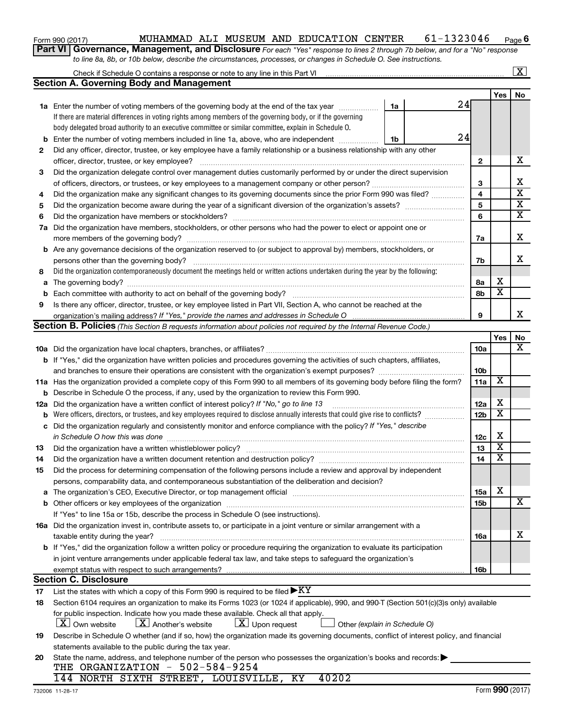| Form 990 (2017) |  |
|-----------------|--|
|-----------------|--|

#### Form 990 (2017) MUHAMMAD ALI MUSEUM AND EDUCATION CENTER  $61-1323046$  Page **6**

**Part VI** Governance, Management, and Disclosure For each "Yes" response to lines 2 through 7b below, and for a "No" response *to line 8a, 8b, or 10b below, describe the circumstances, processes, or changes in Schedule O. See instructions.*

|             |                                                                                                                                                                                                                               |    |    |                 |                         | $\mathbf{X}$            |  |  |
|-------------|-------------------------------------------------------------------------------------------------------------------------------------------------------------------------------------------------------------------------------|----|----|-----------------|-------------------------|-------------------------|--|--|
|             | <b>Section A. Governing Body and Management</b>                                                                                                                                                                               |    |    |                 |                         |                         |  |  |
|             |                                                                                                                                                                                                                               |    |    |                 | Yes                     | No                      |  |  |
|             | 1a Enter the number of voting members of the governing body at the end of the tax year                                                                                                                                        | 1a | 24 |                 |                         |                         |  |  |
|             | If there are material differences in voting rights among members of the governing body, or if the governing                                                                                                                   |    |    |                 |                         |                         |  |  |
|             | body delegated broad authority to an executive committee or similar committee, explain in Schedule O.                                                                                                                         |    |    |                 |                         |                         |  |  |
| $\mathbf b$ | Enter the number of voting members included in line 1a, above, who are independent                                                                                                                                            | 1b | 24 |                 |                         |                         |  |  |
| 2           | Did any officer, director, trustee, or key employee have a family relationship or a business relationship with any other                                                                                                      |    |    |                 |                         |                         |  |  |
|             | officer, director, trustee, or key employee?                                                                                                                                                                                  |    |    | $\mathbf{2}$    |                         | х                       |  |  |
| 3           | Did the organization delegate control over management duties customarily performed by or under the direct supervision                                                                                                         |    |    |                 |                         |                         |  |  |
|             |                                                                                                                                                                                                                               |    |    | 3               |                         | х                       |  |  |
| 4           | Did the organization make any significant changes to its governing documents since the prior Form 990 was filed?                                                                                                              |    |    | 4               |                         | $\overline{\textbf{x}}$ |  |  |
| 5           |                                                                                                                                                                                                                               |    |    |                 |                         |                         |  |  |
| 6           |                                                                                                                                                                                                                               |    |    | 6               |                         | $\overline{\mathbf{x}}$ |  |  |
| 7a          | Did the organization have members, stockholders, or other persons who had the power to elect or appoint one or                                                                                                                |    |    |                 |                         |                         |  |  |
|             |                                                                                                                                                                                                                               |    |    | 7a              |                         | X                       |  |  |
| b           | Are any governance decisions of the organization reserved to (or subject to approval by) members, stockholders, or                                                                                                            |    |    |                 |                         |                         |  |  |
|             | persons other than the governing body?                                                                                                                                                                                        |    |    | 7b              |                         | x                       |  |  |
| 8           | Did the organization contemporaneously document the meetings held or written actions undertaken during the year by the following:                                                                                             |    |    |                 |                         |                         |  |  |
| a           |                                                                                                                                                                                                                               |    |    | 8а              | х                       |                         |  |  |
| b           |                                                                                                                                                                                                                               |    |    | 8b              | $\overline{\mathbf{x}}$ |                         |  |  |
| 9           | Is there any officer, director, trustee, or key employee listed in Part VII, Section A, who cannot be reached at the                                                                                                          |    |    |                 |                         |                         |  |  |
|             |                                                                                                                                                                                                                               |    |    | 9               |                         | x                       |  |  |
|             | Section B. Policies (This Section B requests information about policies not required by the Internal Revenue Code.)                                                                                                           |    |    |                 |                         |                         |  |  |
|             |                                                                                                                                                                                                                               |    |    |                 | Yes                     | No                      |  |  |
|             |                                                                                                                                                                                                                               |    |    | <b>10a</b>      |                         | x                       |  |  |
|             | b If "Yes," did the organization have written policies and procedures governing the activities of such chapters, affiliates,                                                                                                  |    |    |                 |                         |                         |  |  |
|             |                                                                                                                                                                                                                               |    |    | 10 <sub>b</sub> |                         |                         |  |  |
|             | 11a Has the organization provided a complete copy of this Form 990 to all members of its governing body before filing the form?                                                                                               |    |    | 11a             | X                       |                         |  |  |
| b           | Describe in Schedule O the process, if any, used by the organization to review this Form 990.                                                                                                                                 |    |    |                 |                         |                         |  |  |
| 12a         | Did the organization have a written conflict of interest policy? If "No," go to line 13                                                                                                                                       |    |    | 12a             | х                       |                         |  |  |
| b           | Were officers, directors, or trustees, and key employees required to disclose annually interests that could give rise to conflicts?                                                                                           |    |    | 12 <sub>b</sub> | $\overline{\textbf{x}}$ |                         |  |  |
| c           | Did the organization regularly and consistently monitor and enforce compliance with the policy? If "Yes," describe                                                                                                            |    |    |                 |                         |                         |  |  |
|             | in Schedule O how this was done                                                                                                                                                                                               |    |    | 12c             | х                       |                         |  |  |
| 13          |                                                                                                                                                                                                                               |    |    | 13              | $\overline{\textbf{x}}$ |                         |  |  |
| 14          |                                                                                                                                                                                                                               |    |    | 14              | $\overline{\mathbf{X}}$ |                         |  |  |
| 15          | Did the process for determining compensation of the following persons include a review and approval by independent                                                                                                            |    |    |                 |                         |                         |  |  |
|             | persons, comparability data, and contemporaneous substantiation of the deliberation and decision?                                                                                                                             |    |    |                 |                         |                         |  |  |
|             | The organization's CEO, Executive Director, or top management official manufactured content of the organization's CEO, Executive Director, or top management official manufactured and the state of the state of the state of |    |    | <b>15a</b>      | х                       |                         |  |  |
|             |                                                                                                                                                                                                                               |    |    | 15b             |                         | х                       |  |  |
|             | If "Yes" to line 15a or 15b, describe the process in Schedule O (see instructions).                                                                                                                                           |    |    |                 |                         |                         |  |  |
|             | 16a Did the organization invest in, contribute assets to, or participate in a joint venture or similar arrangement with a                                                                                                     |    |    |                 |                         |                         |  |  |
|             | taxable entity during the year?                                                                                                                                                                                               |    |    | 16a             |                         | x                       |  |  |
|             | <b>b</b> If "Yes," did the organization follow a written policy or procedure requiring the organization to evaluate its participation                                                                                         |    |    |                 |                         |                         |  |  |
|             | in joint venture arrangements under applicable federal tax law, and take steps to safeguard the organization's                                                                                                                |    |    |                 |                         |                         |  |  |
|             | exempt status with respect to such arrangements?                                                                                                                                                                              |    |    | 16 <sub>b</sub> |                         |                         |  |  |
|             | <b>Section C. Disclosure</b>                                                                                                                                                                                                  |    |    |                 |                         |                         |  |  |
| 17          | List the states with which a copy of this Form 990 is required to be filed $\blacktriangleright XY$                                                                                                                           |    |    |                 |                         |                         |  |  |
| 18          | Section 6104 requires an organization to make its Forms 1023 (or 1024 if applicable), 990, and 990-T (Section 501(c)(3)s only) available                                                                                      |    |    |                 |                         |                         |  |  |
|             | for public inspection. Indicate how you made these available. Check all that apply.                                                                                                                                           |    |    |                 |                         |                         |  |  |
|             | <b>X</b> Own website<br>$\lfloor X \rfloor$ Another's website<br>$\lfloor x \rfloor$ Upon request<br>Other (explain in Schedule O)                                                                                            |    |    |                 |                         |                         |  |  |
| 19          | Describe in Schedule O whether (and if so, how) the organization made its governing documents, conflict of interest policy, and financial                                                                                     |    |    |                 |                         |                         |  |  |
|             | statements available to the public during the tax year.                                                                                                                                                                       |    |    |                 |                         |                         |  |  |
| 20          | State the name, address, and telephone number of the person who possesses the organization's books and records:                                                                                                               |    |    |                 |                         |                         |  |  |
|             | THE ORGANIZATION - 502-584-9254                                                                                                                                                                                               |    |    |                 |                         |                         |  |  |
|             | 144 NORTH SIXTH STREET, LOUISVILLE, KY<br>40202                                                                                                                                                                               |    |    |                 |                         |                         |  |  |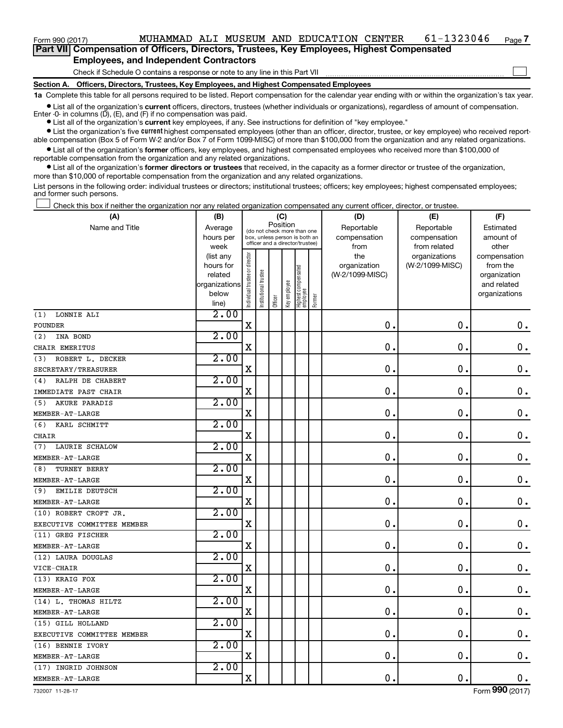**Part VII Compensation of Officers, Directors, Trustees, Key Employees, Highest Compensated Employees, and Independent Contractors**

Check if Schedule O contains a response or note to any line in this Part VII

**Section A. Officers, Directors, Trustees, Key Employees, and Highest Compensated Employees**

**1a**  Complete this table for all persons required to be listed. Report compensation for the calendar year ending with or within the organization's tax year.

**•** List all of the organization's current officers, directors, trustees (whether individuals or organizations), regardless of amount of compensation. Enter  $-0$ - in columns  $(D)$ ,  $(E)$ , and  $(F)$  if no compensation was paid.

**•** List all of the organization's **current** key employees, if any. See instructions for definition of "key employee."

**•** List the organization's five current highest compensated employees (other than an officer, director, trustee, or key employee) who received reportable compensation (Box 5 of Form W-2 and/or Box 7 of Form 1099-MISC) of more than \$100,000 from the organization and any related organizations.

**•** List all of the organization's former officers, key employees, and highest compensated employees who received more than \$100,000 of reportable compensation from the organization and any related organizations.

**•** List all of the organization's former directors or trustees that received, in the capacity as a former director or trustee of the organization, more than \$10,000 of reportable compensation from the organization and any related organizations.

List persons in the following order: individual trustees or directors; institutional trustees; officers; key employees; highest compensated employees; and former such persons.

Check this box if neither the organization nor any related organization compensated any current officer, director, or trustee.  $\Box$ 

| (A)                          | (B)                    |                                |                                                                  | (C)      |              |                                 |        | (D)                 | (E)                              | (F)                      |
|------------------------------|------------------------|--------------------------------|------------------------------------------------------------------|----------|--------------|---------------------------------|--------|---------------------|----------------------------------|--------------------------|
| Name and Title               | Average                |                                | (do not check more than one                                      | Position |              |                                 |        | Reportable          | Reportable                       | Estimated                |
|                              | hours per              |                                | box, unless person is both an<br>officer and a director/trustee) |          |              |                                 |        | compensation        | compensation                     | amount of                |
|                              | week                   |                                |                                                                  |          |              |                                 |        | from                | from related                     | other                    |
|                              | (list any<br>hours for |                                |                                                                  |          |              |                                 |        | the<br>organization | organizations<br>(W-2/1099-MISC) | compensation<br>from the |
|                              | related                |                                |                                                                  |          |              |                                 |        | (W-2/1099-MISC)     |                                  | organization             |
|                              | organizations          |                                |                                                                  |          |              |                                 |        |                     |                                  | and related              |
|                              | below                  | Individual trustee or director | Institutional trustee                                            |          | Key employee | Highest compensated<br>employee |        |                     |                                  | organizations            |
|                              | line)                  |                                |                                                                  | Officer  |              |                                 | Former |                     |                                  |                          |
| LONNIE ALI<br>(1)            | 2.00                   |                                |                                                                  |          |              |                                 |        |                     |                                  |                          |
| <b>FOUNDER</b>               |                        | $\mathbf X$                    |                                                                  |          |              |                                 |        | 0.                  | $\mathbf 0$                      | $\mathbf 0$ .            |
| INA BOND<br>(2)              | 2.00                   |                                |                                                                  |          |              |                                 |        |                     |                                  |                          |
| CHAIR EMERITUS               |                        | $\mathbf X$                    |                                                                  |          |              |                                 |        | $\mathbf 0$ .       | $\mathbf 0$                      | 0.                       |
| (3)<br>ROBERT L. DECKER      | 2.00                   |                                |                                                                  |          |              |                                 |        |                     |                                  |                          |
| SECRETARY/TREASURER          |                        | $\mathbf X$                    |                                                                  |          |              |                                 |        | $\mathbf 0$ .       | $\mathbf 0$                      | $\mathbf 0$ .            |
| RALPH DE CHABERT<br>(4)      | 2.00                   |                                |                                                                  |          |              |                                 |        |                     |                                  |                          |
| IMMEDIATE PAST CHAIR         |                        | $\mathbf X$                    |                                                                  |          |              |                                 |        | 0.                  | $\mathbf 0$                      | $\mathbf 0$ .            |
| <b>AKURE PARADIS</b><br>(5)  | 2.00                   |                                |                                                                  |          |              |                                 |        |                     |                                  |                          |
| MEMBER-AT-LARGE              |                        | $\mathbf X$                    |                                                                  |          |              |                                 |        | 0.                  | $\mathbf 0$                      | $\mathbf 0$ .            |
| (6)<br>KARL SCHMITT          | 2.00                   |                                |                                                                  |          |              |                                 |        |                     |                                  |                          |
| CHAIR                        |                        | $\mathbf X$                    |                                                                  |          |              |                                 |        | 0.                  | $\mathbf 0$                      | $\mathbf 0$ .            |
| <b>LAURIE SCHALOW</b><br>(7) | 2.00                   |                                |                                                                  |          |              |                                 |        |                     |                                  |                          |
| MEMBER-AT-LARGE              |                        | $\mathbf X$                    |                                                                  |          |              |                                 |        | 0.                  | $\mathbf 0$                      | $\mathbf 0$ .            |
| TURNEY BERRY<br>(8)          | 2.00                   |                                |                                                                  |          |              |                                 |        |                     |                                  |                          |
| MEMBER-AT-LARGE              |                        | $\mathbf X$                    |                                                                  |          |              |                                 |        | 0.                  | $\mathbf 0$                      | $\mathbf 0$ .            |
| <b>EMILIE DEUTSCH</b><br>(9) | 2.00                   |                                |                                                                  |          |              |                                 |        |                     |                                  |                          |
| MEMBER-AT-LARGE              |                        | $\mathbf X$                    |                                                                  |          |              |                                 |        | 0.                  | $\mathbf 0$                      | $\mathbf 0$ .            |
| (10) ROBERT CROFT JR.        | 2.00                   |                                |                                                                  |          |              |                                 |        |                     |                                  |                          |
| EXECUTIVE COMMITTEE MEMBER   |                        | $\mathbf X$                    |                                                                  |          |              |                                 |        | 0.                  | $\mathbf 0$                      | $\mathbf 0$ .            |
| (11) GREG FISCHER            | $2 \cdot 00$           |                                |                                                                  |          |              |                                 |        |                     |                                  |                          |
| MEMBER-AT-LARGE              |                        | X                              |                                                                  |          |              |                                 |        | 0.                  | $\mathbf 0$                      | $\mathbf 0$ .            |
| (12) LAURA DOUGLAS           | 2.00                   |                                |                                                                  |          |              |                                 |        |                     |                                  |                          |
| VICE-CHAIR                   |                        | $\mathbf X$                    |                                                                  |          |              |                                 |        | 0.                  | $\mathbf 0$                      | 0.                       |
| (13) KRAIG FOX               | 2.00                   |                                |                                                                  |          |              |                                 |        |                     |                                  |                          |
| MEMBER-AT-LARGE              |                        | X                              |                                                                  |          |              |                                 |        | $\mathbf 0$ .       | $\mathbf 0$                      | $\mathbf 0$ .            |
| (14) L. THOMAS HILTZ         | 2.00                   |                                |                                                                  |          |              |                                 |        |                     |                                  |                          |
| MEMBER-AT-LARGE              |                        | $\mathbf X$                    |                                                                  |          |              |                                 |        | 0.                  | $\mathbf 0$                      | $\mathbf 0$ .            |
| (15) GILL HOLLAND            | 2.00                   |                                |                                                                  |          |              |                                 |        |                     |                                  |                          |
| EXECUTIVE COMMITTEE MEMBER   |                        | $\mathbf X$                    |                                                                  |          |              |                                 |        | 0.                  | $\mathbf 0$                      | 0.                       |
| (16) BENNIE IVORY            | 2.00                   |                                |                                                                  |          |              |                                 |        |                     |                                  |                          |
| MEMBER-AT-LARGE              |                        | $\mathbf X$                    |                                                                  |          |              |                                 |        | 0.                  | $\mathbf 0$                      | 0.                       |
| (17) INGRID JOHNSON          | 2.00                   |                                |                                                                  |          |              |                                 |        |                     |                                  |                          |
| MEMBER-AT-LARGE              |                        | $\mathbf X$                    |                                                                  |          |              |                                 |        | 0.                  | $\mathbf 0$                      | 0.                       |

**7**

 $\Box$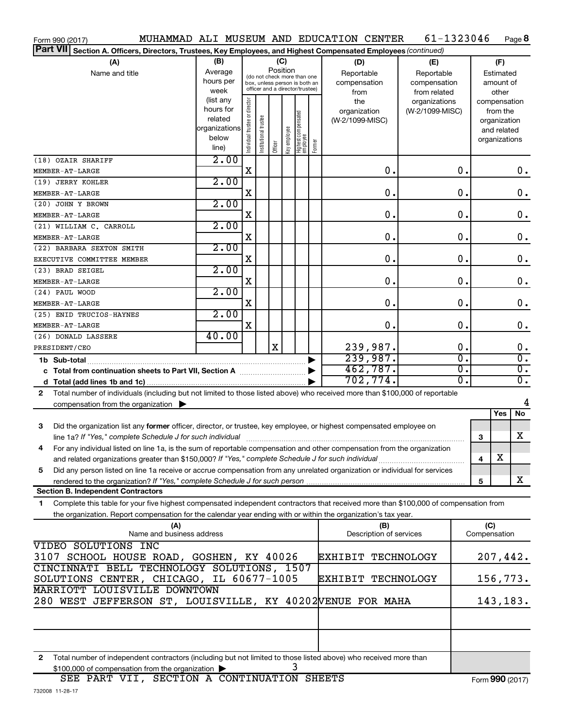| Form 990 (2017)                                                                                                                           |                                                                       |                                |                       |                                         |              |                                                                  |        | MUHAMMAD ALI MUSEUM AND EDUCATION CENTER | 61-1323046        |                  |              |                          | Page 8                            |
|-------------------------------------------------------------------------------------------------------------------------------------------|-----------------------------------------------------------------------|--------------------------------|-----------------------|-----------------------------------------|--------------|------------------------------------------------------------------|--------|------------------------------------------|-------------------|------------------|--------------|--------------------------|-----------------------------------|
| <b>Part VII</b><br>Section A. Officers, Directors, Trustees, Key Employees, and Highest Compensated Employees (continued)                 |                                                                       |                                |                       |                                         |              |                                                                  |        |                                          |                   |                  |              |                          |                                   |
| (A)                                                                                                                                       | (B)                                                                   |                                |                       | (C)                                     |              |                                                                  |        | (D)                                      | (E)               |                  |              | (F)                      |                                   |
| Name and title                                                                                                                            | Average                                                               |                                |                       | Position<br>(do not check more than one |              |                                                                  |        | Reportable                               | Reportable        |                  |              | Estimated                |                                   |
|                                                                                                                                           | hours per                                                             |                                |                       |                                         |              | box, unless person is both an<br>officer and a director/trustee) |        | compensation                             | compensation      |                  |              | amount of                |                                   |
|                                                                                                                                           | week                                                                  |                                |                       |                                         |              |                                                                  |        | from                                     | from related      |                  |              | other                    |                                   |
|                                                                                                                                           | (list any<br>hours for                                                |                                |                       |                                         |              |                                                                  |        | the                                      | organizations     |                  |              | compensation             |                                   |
|                                                                                                                                           | related                                                               |                                |                       |                                         |              |                                                                  |        | organization<br>(W-2/1099-MISC)          | (W-2/1099-MISC)   |                  |              | from the<br>organization |                                   |
|                                                                                                                                           | organizations                                                         |                                |                       |                                         |              |                                                                  |        |                                          |                   |                  |              | and related              |                                   |
|                                                                                                                                           | below                                                                 | Individual trustee or director | Institutional trustee |                                         | Key employee |                                                                  |        |                                          |                   |                  |              | organizations            |                                   |
|                                                                                                                                           | line)                                                                 |                                |                       | Officer                                 |              | Highest compensated<br>  employee                                | Former |                                          |                   |                  |              |                          |                                   |
| (18) OZAIR SHARIFF                                                                                                                        | 2.00                                                                  |                                |                       |                                         |              |                                                                  |        |                                          |                   |                  |              |                          |                                   |
| MEMBER-AT-LARGE                                                                                                                           |                                                                       | X                              |                       |                                         |              |                                                                  |        |                                          | 0.                | 0.               |              |                          | 0.                                |
| (19) JERRY KOHLER                                                                                                                         | 2.00                                                                  |                                |                       |                                         |              |                                                                  |        |                                          |                   |                  |              |                          |                                   |
| MEMBER-AT-LARGE                                                                                                                           |                                                                       | X                              |                       |                                         |              |                                                                  |        |                                          | 0.                | 0.               |              |                          | $\mathbf 0$ .                     |
| (20) JOHN Y BROWN                                                                                                                         | 2.00                                                                  | X                              |                       |                                         |              |                                                                  |        |                                          | 0.                | 0.               |              |                          | $\mathbf 0$ .                     |
| MEMBER-AT-LARGE<br>(21) WILLIAM C. CARROLL                                                                                                | 2.00                                                                  |                                |                       |                                         |              |                                                                  |        |                                          |                   |                  |              |                          |                                   |
| MEMBER-AT-LARGE                                                                                                                           |                                                                       | X                              |                       |                                         |              |                                                                  |        |                                          | 0.                | 0.               |              |                          | $\mathbf 0$ .                     |
| (22) BARBARA SEXTON SMITH                                                                                                                 | 2.00                                                                  |                                |                       |                                         |              |                                                                  |        |                                          |                   |                  |              |                          |                                   |
| EXECUTIVE COMMITTEE MEMBER                                                                                                                |                                                                       | X                              |                       |                                         |              |                                                                  |        |                                          | 0.                | $\mathbf 0$ .    |              |                          | 0.                                |
| (23) BRAD SEIGEL                                                                                                                          | 2.00                                                                  |                                |                       |                                         |              |                                                                  |        |                                          |                   |                  |              |                          |                                   |
| MEMBER-AT-LARGE                                                                                                                           |                                                                       | X                              |                       |                                         |              |                                                                  |        |                                          | 0.                | $\mathbf 0$ .    |              |                          | 0.                                |
| (24) PAUL WOOD                                                                                                                            | 2.00                                                                  |                                |                       |                                         |              |                                                                  |        |                                          |                   |                  |              |                          |                                   |
| MEMBER-AT-LARGE                                                                                                                           |                                                                       | X                              |                       |                                         |              |                                                                  |        |                                          | 0.                | $\mathbf 0$ .    |              |                          | 0.                                |
| (25) ENID TRUCIOS-HAYNES                                                                                                                  | 2.00                                                                  |                                |                       |                                         |              |                                                                  |        |                                          |                   |                  |              |                          |                                   |
| MEMBER-AT-LARGE                                                                                                                           |                                                                       | X                              |                       |                                         |              |                                                                  |        |                                          | 0.                | $\mathbf 0$ .    |              |                          | 0.                                |
| (26) DONALD LASSERE                                                                                                                       | 40.00                                                                 |                                |                       |                                         |              |                                                                  |        |                                          |                   |                  |              |                          |                                   |
| PRESIDENT/CEO                                                                                                                             |                                                                       |                                |                       | $\mathbf X$                             |              |                                                                  |        | 239,987.<br>239,987.                     |                   | 0.<br>σ.         |              |                          | $\mathbf 0$ .<br>$\overline{0}$ . |
|                                                                                                                                           |                                                                       |                                |                       |                                         |              |                                                                  |        | 462,787.                                 |                   | $\overline{0}$ . |              |                          | $\overline{0}$ .                  |
| c Total from continuation sheets to Part VII, Section A manuscription.                                                                    |                                                                       |                                |                       |                                         |              |                                                                  |        | 702, 774.                                |                   | σ.               |              |                          | σ.                                |
| Total number of individuals (including but not limited to those listed above) who received more than \$100,000 of reportable<br>2         |                                                                       |                                |                       |                                         |              |                                                                  |        |                                          |                   |                  |              |                          |                                   |
| compensation from the organization $\blacktriangleright$                                                                                  |                                                                       |                                |                       |                                         |              |                                                                  |        |                                          |                   |                  |              |                          | 4                                 |
|                                                                                                                                           |                                                                       |                                |                       |                                         |              |                                                                  |        |                                          |                   |                  |              | Yes                      | No                                |
| 3<br>Did the organization list any former officer, director, or trustee, key employee, or highest compensated employee on                 |                                                                       |                                |                       |                                         |              |                                                                  |        |                                          |                   |                  |              |                          |                                   |
|                                                                                                                                           |                                                                       |                                |                       |                                         |              |                                                                  |        |                                          |                   |                  | 3            |                          | X                                 |
| For any individual listed on line 1a, is the sum of reportable compensation and other compensation from the organization                  |                                                                       |                                |                       |                                         |              |                                                                  |        |                                          |                   |                  |              |                          |                                   |
| and related organizations greater than \$150,000? If "Yes," complete Schedule J for such individual                                       |                                                                       |                                |                       |                                         |              |                                                                  |        |                                          |                   |                  | 4            | х                        |                                   |
| Did any person listed on line 1a receive or accrue compensation from any unrelated organization or individual for services<br>5           |                                                                       |                                |                       |                                         |              |                                                                  |        |                                          |                   |                  |              |                          |                                   |
|                                                                                                                                           |                                                                       |                                |                       |                                         |              |                                                                  |        |                                          |                   |                  | 5            |                          | X                                 |
| <b>Section B. Independent Contractors</b>                                                                                                 |                                                                       |                                |                       |                                         |              |                                                                  |        |                                          |                   |                  |              |                          |                                   |
| Complete this table for your five highest compensated independent contractors that received more than \$100,000 of compensation from<br>1 |                                                                       |                                |                       |                                         |              |                                                                  |        |                                          |                   |                  |              |                          |                                   |
| the organization. Report compensation for the calendar year ending with or within the organization's tax year.                            |                                                                       |                                |                       |                                         |              |                                                                  |        |                                          |                   |                  |              |                          |                                   |
| (A)                                                                                                                                       |                                                                       |                                |                       |                                         |              |                                                                  |        | (B)                                      |                   |                  | (C)          |                          |                                   |
| Name and business address                                                                                                                 |                                                                       |                                |                       |                                         |              |                                                                  |        | Description of services                  |                   |                  | Compensation |                          |                                   |
| VIDEO SOLUTIONS INC                                                                                                                       |                                                                       |                                |                       |                                         |              |                                                                  |        |                                          |                   |                  |              |                          |                                   |
| 3107 SCHOOL HOUSE ROAD, GOSHEN, KY 40026<br>CINCINNATI BELL TECHNOLOGY SOLUTIONS, 1507                                                    |                                                                       |                                |                       |                                         |              |                                                                  |        | EXHIBIT                                  | <b>TECHNOLOGY</b> |                  |              | 207,442.                 |                                   |
| SOLUTIONS CENTER, CHICAGO, IL 60677-1005                                                                                                  |                                                                       |                                |                       |                                         |              |                                                                  |        | EXHIBIT                                  | TECHNOLOGY        |                  |              | 156,773.                 |                                   |
| <b>MARRIOTT LOUISVILLE DOWNTOWN</b>                                                                                                       |                                                                       |                                |                       |                                         |              |                                                                  |        |                                          |                   |                  |              |                          |                                   |
|                                                                                                                                           | 280 WEST JEFFERSON ST, LOUISVILLE, KY 40202VENUE FOR MAHA<br>143,183. |                                |                       |                                         |              |                                                                  |        |                                          |                   |                  |              |                          |                                   |
|                                                                                                                                           |                                                                       |                                |                       |                                         |              |                                                                  |        |                                          |                   |                  |              |                          |                                   |
|                                                                                                                                           |                                                                       |                                |                       |                                         |              |                                                                  |        |                                          |                   |                  |              |                          |                                   |
|                                                                                                                                           |                                                                       |                                |                       |                                         |              |                                                                  |        |                                          |                   |                  |              |                          |                                   |
|                                                                                                                                           |                                                                       |                                |                       |                                         |              |                                                                  |        |                                          |                   |                  |              |                          |                                   |
| Total number of independent contractors (including but not limited to those listed above) who received more than<br>2                     |                                                                       |                                |                       |                                         |              |                                                                  |        |                                          |                   |                  |              |                          |                                   |

\$100,000 of compensation from the organization | 3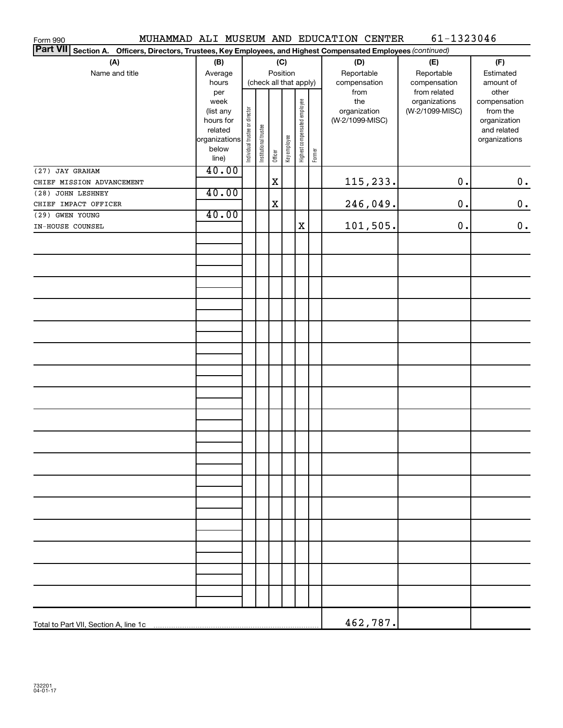| Form 990                                                                                                        |                   |                                |                       |         |              |                              |        | MUHAMMAD ALI MUSEUM AND EDUCATION CENTER | 61-1323046                       |                          |
|-----------------------------------------------------------------------------------------------------------------|-------------------|--------------------------------|-----------------------|---------|--------------|------------------------------|--------|------------------------------------------|----------------------------------|--------------------------|
| Part VII Section A. Officers, Directors, Trustees, Key Employees, and Highest Compensated Employees (continued) |                   |                                |                       |         |              |                              |        |                                          |                                  |                          |
| (A)                                                                                                             | (B)               |                                |                       |         | (C)          |                              |        | (D)                                      | (E)                              | (F)                      |
| Name and title                                                                                                  | Average           | Position                       |                       |         |              |                              |        | Reportable                               | Reportable                       | Estimated                |
|                                                                                                                 | hours             | (check all that apply)         |                       |         |              |                              |        | compensation                             | compensation                     | amount of                |
|                                                                                                                 | per               |                                |                       |         |              |                              |        | from                                     | from related                     | other                    |
|                                                                                                                 | week<br>(list any |                                |                       |         |              |                              |        | the<br>organization                      | organizations<br>(W-2/1099-MISC) | compensation<br>from the |
|                                                                                                                 | hours for         |                                |                       |         |              |                              |        | (W-2/1099-MISC)                          |                                  | organization             |
|                                                                                                                 | related           |                                |                       |         |              |                              |        |                                          |                                  | and related              |
|                                                                                                                 | organizations     | Individual trustee or director | Institutional trustee |         | Key employee | Highest compensated employee |        |                                          |                                  | organizations            |
|                                                                                                                 | below             |                                |                       | Officer |              |                              | Former |                                          |                                  |                          |
|                                                                                                                 | line)             |                                |                       |         |              |                              |        |                                          |                                  |                          |
| (27) JAY GRAHAM                                                                                                 | 40.00             |                                |                       |         |              |                              |        |                                          |                                  |                          |
| CHIEF MISSION ADVANCEMENT                                                                                       |                   |                                |                       | Χ       |              |                              |        | 115,233.                                 | $0$ .                            | $0$ .                    |
| (28) JOHN LESHNEY                                                                                               | 40.00             |                                |                       |         |              |                              |        |                                          |                                  |                          |
| CHIEF IMPACT OFFICER                                                                                            | 40.00             |                                |                       | X       |              |                              |        | 246,049.                                 | $0$ .                            | $0$ .                    |
| (29) GWEN YOUNG                                                                                                 |                   |                                |                       |         |              | $\mathbf X$                  |        | 101,505.                                 | $0$ .                            | $0$ .                    |
| IN-HOUSE COUNSEL                                                                                                |                   |                                |                       |         |              |                              |        |                                          |                                  |                          |
|                                                                                                                 |                   |                                |                       |         |              |                              |        |                                          |                                  |                          |
|                                                                                                                 |                   |                                |                       |         |              |                              |        |                                          |                                  |                          |
|                                                                                                                 |                   |                                |                       |         |              |                              |        |                                          |                                  |                          |
|                                                                                                                 |                   |                                |                       |         |              |                              |        |                                          |                                  |                          |
|                                                                                                                 |                   |                                |                       |         |              |                              |        |                                          |                                  |                          |
|                                                                                                                 |                   |                                |                       |         |              |                              |        |                                          |                                  |                          |
|                                                                                                                 |                   |                                |                       |         |              |                              |        |                                          |                                  |                          |
|                                                                                                                 |                   |                                |                       |         |              |                              |        |                                          |                                  |                          |
|                                                                                                                 |                   |                                |                       |         |              |                              |        |                                          |                                  |                          |
|                                                                                                                 |                   |                                |                       |         |              |                              |        |                                          |                                  |                          |
|                                                                                                                 |                   |                                |                       |         |              |                              |        |                                          |                                  |                          |
|                                                                                                                 |                   |                                |                       |         |              |                              |        |                                          |                                  |                          |
|                                                                                                                 |                   |                                |                       |         |              |                              |        |                                          |                                  |                          |
|                                                                                                                 |                   |                                |                       |         |              |                              |        |                                          |                                  |                          |
|                                                                                                                 |                   |                                |                       |         |              |                              |        |                                          |                                  |                          |
|                                                                                                                 |                   |                                |                       |         |              |                              |        |                                          |                                  |                          |
|                                                                                                                 |                   |                                |                       |         |              |                              |        |                                          |                                  |                          |
|                                                                                                                 |                   |                                |                       |         |              |                              |        |                                          |                                  |                          |
|                                                                                                                 |                   |                                |                       |         |              |                              |        |                                          |                                  |                          |
|                                                                                                                 |                   |                                |                       |         |              |                              |        |                                          |                                  |                          |
|                                                                                                                 |                   |                                |                       |         |              |                              |        |                                          |                                  |                          |
|                                                                                                                 |                   |                                |                       |         |              |                              |        |                                          |                                  |                          |
|                                                                                                                 |                   |                                |                       |         |              |                              |        |                                          |                                  |                          |
|                                                                                                                 |                   |                                |                       |         |              |                              |        |                                          |                                  |                          |
|                                                                                                                 |                   |                                |                       |         |              |                              |        |                                          |                                  |                          |
|                                                                                                                 |                   |                                |                       |         |              |                              |        |                                          |                                  |                          |
|                                                                                                                 |                   |                                |                       |         |              |                              |        |                                          |                                  |                          |
|                                                                                                                 |                   |                                |                       |         |              |                              |        |                                          |                                  |                          |
|                                                                                                                 |                   |                                |                       |         |              |                              |        |                                          |                                  |                          |
|                                                                                                                 |                   |                                |                       |         |              |                              |        |                                          |                                  |                          |
|                                                                                                                 |                   |                                |                       |         |              |                              |        |                                          |                                  |                          |
|                                                                                                                 |                   |                                |                       |         |              |                              |        |                                          |                                  |                          |
|                                                                                                                 |                   |                                |                       |         |              |                              |        |                                          |                                  |                          |
|                                                                                                                 |                   |                                |                       |         |              |                              |        | 462,787.                                 |                                  |                          |
|                                                                                                                 |                   |                                |                       |         |              |                              |        |                                          |                                  |                          |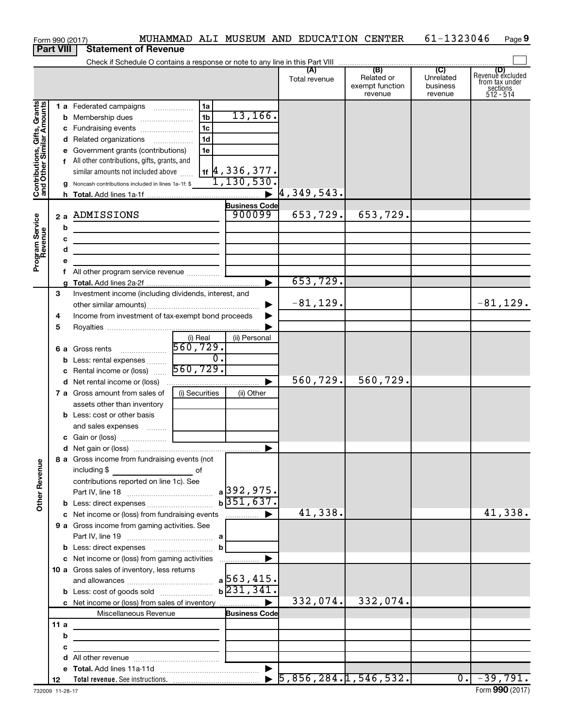|                                                                                         | Form 990 (2017)                                              |                                                                                                                                                                                                                                                                                                                                                                                                                  |                                                    |                                                                                                               | MUHAMMAD ALI MUSEUM AND EDUCATION CENTER |                                                 | 61-1323046                              | Page 9                                                      |
|-----------------------------------------------------------------------------------------|--------------------------------------------------------------|------------------------------------------------------------------------------------------------------------------------------------------------------------------------------------------------------------------------------------------------------------------------------------------------------------------------------------------------------------------------------------------------------------------|----------------------------------------------------|---------------------------------------------------------------------------------------------------------------|------------------------------------------|-------------------------------------------------|-----------------------------------------|-------------------------------------------------------------|
|                                                                                         | <b>Part VIII</b>                                             | <b>Statement of Revenue</b>                                                                                                                                                                                                                                                                                                                                                                                      |                                                    |                                                                                                               |                                          |                                                 |                                         |                                                             |
|                                                                                         |                                                              |                                                                                                                                                                                                                                                                                                                                                                                                                  |                                                    |                                                                                                               |                                          |                                                 |                                         |                                                             |
|                                                                                         |                                                              |                                                                                                                                                                                                                                                                                                                                                                                                                  |                                                    |                                                                                                               | (A)<br>Total revenue                     | (B)<br>Related or<br>exempt function<br>revenue | (C)<br>Unrelated<br>business<br>revenue | Revenue excluded<br>from tax under<br>sections<br>512 - 514 |
| Contributions, Gifts, Grants<br>and Other Similar Amounts<br>Program Service<br>Revenue | b                                                            | 1 a Federated campaigns<br>c Fundraising events<br>d Related organizations<br>e Government grants (contributions)<br>f All other contributions, gifts, grants, and<br>similar amounts not included above<br><b>g</b> Noncash contributions included in lines 1a-1f: \$<br>2 a ADMISSIONS<br><u> 1989 - Johann Barn, mars ann an t-Amhain Aonaich an t-Aonaich an t-Aonaich ann an t-Aonaich ann an t-Aonaich</u> | 1a<br>1 <sub>b</sub><br>1c<br>1 <sub>d</sub><br>1e | 13, 166.<br>$1$ if $ 4$ , 336 , 377.<br>1,130,530.<br>$\blacktriangleright$<br><b>Business Code</b><br>900099 | 4,349,543.<br>653,729.                   | 653,729.                                        |                                         |                                                             |
|                                                                                         | с                                                            | <u> 1989 - Johann John Stone, markin film ar yn y brenin y brenin y brenin y brenin y brenin y brenin y brenin y</u>                                                                                                                                                                                                                                                                                             |                                                    |                                                                                                               |                                          |                                                 |                                         |                                                             |
|                                                                                         | d                                                            | the control of the control of the control of the control of the control of                                                                                                                                                                                                                                                                                                                                       |                                                    |                                                                                                               |                                          |                                                 |                                         |                                                             |
|                                                                                         | е                                                            |                                                                                                                                                                                                                                                                                                                                                                                                                  |                                                    |                                                                                                               |                                          |                                                 |                                         |                                                             |
|                                                                                         | f.                                                           | All other program service revenue                                                                                                                                                                                                                                                                                                                                                                                |                                                    |                                                                                                               |                                          |                                                 |                                         |                                                             |
|                                                                                         |                                                              |                                                                                                                                                                                                                                                                                                                                                                                                                  |                                                    | ▶                                                                                                             | 653,729.                                 |                                                 |                                         |                                                             |
|                                                                                         | 3                                                            | Investment income (including dividends, interest, and                                                                                                                                                                                                                                                                                                                                                            |                                                    |                                                                                                               |                                          |                                                 |                                         |                                                             |
|                                                                                         |                                                              |                                                                                                                                                                                                                                                                                                                                                                                                                  |                                                    | ▶                                                                                                             | $-81, 129.$                              |                                                 |                                         | $-81, 129.$                                                 |
|                                                                                         |                                                              |                                                                                                                                                                                                                                                                                                                                                                                                                  |                                                    |                                                                                                               |                                          |                                                 |                                         |                                                             |
|                                                                                         | Income from investment of tax-exempt bond proceeds<br>4<br>5 |                                                                                                                                                                                                                                                                                                                                                                                                                  |                                                    |                                                                                                               |                                          |                                                 |                                         |                                                             |
|                                                                                         |                                                              |                                                                                                                                                                                                                                                                                                                                                                                                                  |                                                    |                                                                                                               |                                          |                                                 |                                         |                                                             |
|                                                                                         |                                                              |                                                                                                                                                                                                                                                                                                                                                                                                                  | (i) Real                                           | (ii) Personal                                                                                                 |                                          |                                                 |                                         |                                                             |
|                                                                                         |                                                              |                                                                                                                                                                                                                                                                                                                                                                                                                  |                                                    |                                                                                                               |                                          |                                                 |                                         |                                                             |
|                                                                                         |                                                              |                                                                                                                                                                                                                                                                                                                                                                                                                  |                                                    |                                                                                                               |                                          |                                                 |                                         |                                                             |
|                                                                                         |                                                              | <b>a</b> Gross remote $\frac{1}{2}$ and $\frac{1}{2}$ <b>b</b> Less: rental expenses $\frac{1}{2}$ $\frac{1}{2}$ $\frac{1}{2}$ $\frac{1}{2}$ $\frac{1}{2}$ $\frac{1}{2}$ $\frac{1}{2}$ $\frac{1}{2}$ $\frac{1}{2}$ $\frac{1}{2}$ $\frac{1}{2}$ $\frac{1}{2}$ $\frac{1}{2}$ $\frac{1}{2}$ $\frac{1}{2}$ $\frac{$                                                                                                  |                                                    |                                                                                                               |                                          |                                                 |                                         |                                                             |
|                                                                                         |                                                              |                                                                                                                                                                                                                                                                                                                                                                                                                  |                                                    | $\blacktriangleright$                                                                                         | 560,729.                                 | 560,729.                                        |                                         |                                                             |
|                                                                                         |                                                              | 7 a Gross amount from sales of                                                                                                                                                                                                                                                                                                                                                                                   | (i) Securities                                     | (ii) Other                                                                                                    |                                          |                                                 |                                         |                                                             |
|                                                                                         |                                                              | assets other than inventory                                                                                                                                                                                                                                                                                                                                                                                      |                                                    |                                                                                                               |                                          |                                                 |                                         |                                                             |
|                                                                                         |                                                              | <b>b</b> Less: cost or other basis                                                                                                                                                                                                                                                                                                                                                                               |                                                    |                                                                                                               |                                          |                                                 |                                         |                                                             |
|                                                                                         |                                                              | and sales expenses                                                                                                                                                                                                                                                                                                                                                                                               |                                                    |                                                                                                               |                                          |                                                 |                                         |                                                             |
|                                                                                         |                                                              |                                                                                                                                                                                                                                                                                                                                                                                                                  |                                                    |                                                                                                               |                                          |                                                 |                                         |                                                             |
|                                                                                         |                                                              |                                                                                                                                                                                                                                                                                                                                                                                                                  |                                                    |                                                                                                               |                                          |                                                 |                                         |                                                             |
|                                                                                         |                                                              | 8 a Gross income from fundraising events (not                                                                                                                                                                                                                                                                                                                                                                    |                                                    |                                                                                                               |                                          |                                                 |                                         |                                                             |
| <b>Other Revenue</b>                                                                    |                                                              | including \$<br><u>de la componenta de la componenta de la componenta de la componenta de la componenta de la componenta de la c</u>                                                                                                                                                                                                                                                                             |                                                    |                                                                                                               |                                          |                                                 |                                         |                                                             |
|                                                                                         |                                                              | contributions reported on line 1c). See                                                                                                                                                                                                                                                                                                                                                                          |                                                    |                                                                                                               |                                          |                                                 |                                         |                                                             |
|                                                                                         |                                                              |                                                                                                                                                                                                                                                                                                                                                                                                                  |                                                    |                                                                                                               |                                          |                                                 |                                         |                                                             |
|                                                                                         |                                                              |                                                                                                                                                                                                                                                                                                                                                                                                                  |                                                    | $b\overline{351,637.}$                                                                                        |                                          |                                                 |                                         |                                                             |
|                                                                                         |                                                              |                                                                                                                                                                                                                                                                                                                                                                                                                  |                                                    |                                                                                                               | 41,338.                                  |                                                 |                                         | 41,338.                                                     |
|                                                                                         |                                                              | 9 a Gross income from gaming activities. See                                                                                                                                                                                                                                                                                                                                                                     |                                                    |                                                                                                               |                                          |                                                 |                                         |                                                             |
|                                                                                         |                                                              |                                                                                                                                                                                                                                                                                                                                                                                                                  |                                                    |                                                                                                               |                                          |                                                 |                                         |                                                             |
|                                                                                         |                                                              |                                                                                                                                                                                                                                                                                                                                                                                                                  | $\mathbf{b}$                                       |                                                                                                               |                                          |                                                 |                                         |                                                             |
|                                                                                         |                                                              |                                                                                                                                                                                                                                                                                                                                                                                                                  |                                                    |                                                                                                               |                                          |                                                 |                                         |                                                             |
|                                                                                         |                                                              | 10 a Gross sales of inventory, less returns                                                                                                                                                                                                                                                                                                                                                                      |                                                    |                                                                                                               |                                          |                                                 |                                         |                                                             |
|                                                                                         |                                                              |                                                                                                                                                                                                                                                                                                                                                                                                                  |                                                    |                                                                                                               |                                          |                                                 |                                         |                                                             |
|                                                                                         |                                                              |                                                                                                                                                                                                                                                                                                                                                                                                                  |                                                    |                                                                                                               |                                          |                                                 |                                         |                                                             |
|                                                                                         |                                                              |                                                                                                                                                                                                                                                                                                                                                                                                                  |                                                    |                                                                                                               |                                          |                                                 |                                         |                                                             |
|                                                                                         |                                                              |                                                                                                                                                                                                                                                                                                                                                                                                                  |                                                    |                                                                                                               | 332,074.                                 | 332,074.                                        |                                         |                                                             |
|                                                                                         |                                                              | Miscellaneous Revenue                                                                                                                                                                                                                                                                                                                                                                                            |                                                    | <b>Business Code</b>                                                                                          |                                          |                                                 |                                         |                                                             |
|                                                                                         | 11a                                                          |                                                                                                                                                                                                                                                                                                                                                                                                                  |                                                    |                                                                                                               |                                          |                                                 |                                         |                                                             |
|                                                                                         | b                                                            |                                                                                                                                                                                                                                                                                                                                                                                                                  |                                                    |                                                                                                               |                                          |                                                 |                                         |                                                             |
|                                                                                         | c                                                            | <u> 1989 - Johann Barbara, martin amerikan basal dan berasal dan berasal dalam basal dalam basal dan berasal dan</u>                                                                                                                                                                                                                                                                                             |                                                    |                                                                                                               |                                          |                                                 |                                         |                                                             |
|                                                                                         | d                                                            |                                                                                                                                                                                                                                                                                                                                                                                                                  |                                                    |                                                                                                               |                                          |                                                 |                                         |                                                             |
|                                                                                         |                                                              |                                                                                                                                                                                                                                                                                                                                                                                                                  |                                                    |                                                                                                               |                                          |                                                 |                                         |                                                             |
|                                                                                         | 12                                                           |                                                                                                                                                                                                                                                                                                                                                                                                                  |                                                    |                                                                                                               |                                          |                                                 |                                         | $0. -39,791.$                                               |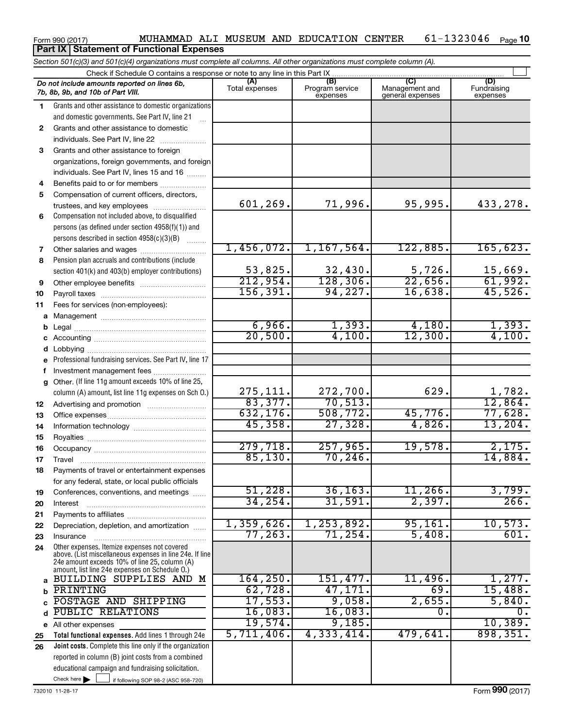#### Form 990 (2017) MUHAMMAD ALI MUSEUM AND EDUCATION CENTER  $61-1323046$  Page 61-1323046 Page 10

**Total functional expenses.**  Add lines 1 through 24e **Joint costs.** Complete this line only if the organization **(A) (B) (C) (D)** Management and general expenses **1 2 3** Grants and other assistance to foreign **4 5 6 7 8 9 10 11 a** Management ~~~~~~~~~~~~~~~~ **b c d e f g 12 13 14 15 16 17 18 19 20 21 22 23 24 a b c** d PUBLIC RELATIONS  $\begin{array}{|c|c|c|c|c|c|c|c|} \hline \text{0.5} & \text{0.6} & \text{0.7} & \text{0.83.} & \text{0.83.} & \text{0.83.} & \text{0.83.} & \text{0.83.} & \text{0.83.} & \text{0.83.} & \text{0.83.} & \text{0.83.} & \text{0.83.} & \text{0.83.} & \text{0.83.} & \text{0.83.} & \text{0.83.} & \text{0.83.} & \text$ **e** All other expenses **25 26** *Section 501(c)(3) and 501(c)(4) organizations must complete all columns. All other organizations must complete column (A).* Grants and other assistance to domestic organizations and domestic governments. See Part IV, line 21 Compensation not included above, to disqualified persons (as defined under section 4958(f)(1)) and persons described in section  $4958(c)(3)(B)$   $\ldots$ Pension plan accruals and contributions (include section 401(k) and 403(b) employer contributions) Professional fundraising services. See Part IV, line 17 Other. (If line 11g amount exceeds 10% of line 25, column (A) amount, list line 11g expenses on Sch O.) Other expenses. Itemize expenses not covered above. (List miscellaneous expenses in line 24e. If line 24e amount exceeds 10% of line 25, column (A) amount, list line 24e expenses on Schedule O.) reported in column (B) joint costs from a combined educational campaign and fundraising solicitation. Check if Schedule O contains a response or note to any line in this Part IX Total expenses Program service expenses **(D)**<br>Fundraising expenses .<br>... Grants and other assistance to domestic individuals. See Part IV, line 22 ~~~~~~~ organizations, foreign governments, and foreign individuals. See Part IV, lines 15 and 16  $\ldots$ Benefits paid to or for members .................... Compensation of current officers, directors, trustees, and key employees ........................ Other salaries and wages ~~~~~~~~~~ Other employee benefits ~~~~~~~~~~ Payroll taxes ~~~~~~~~~~~~~~~~ Fees for services (non-employees): Legal ~~~~~~~~~~~~~~~~~~~~ Accounting ~~~~~~~~~~~~~~~~~ Lobbying ~~~~~~~~~~~~~~~~~~ Investment management fees ....................... Advertising and promotion ........................... Office expenses ~~~~~~~~~~~~~~~ Information technology ~~~~~~~~~~~ Royalties ~~~~~~~~~~~~~~~~~~ Occupancy ~~~~~~~~~~~~~~~~~ Travel ………………………………………………………… Payments of travel or entertainment expenses for any federal, state, or local public officials Conferences, conventions, and meetings Interest ~~~~~~~~~~~~~~~~~~ Payments to affiliates ~~~~~~~~~~~~ Depreciation, depletion, and amortization ...... Insurance ~~~~~~~~~~~~~~~~~ *Do not include amounts reported on lines 6b, 7b, 8b, 9b, and 10b of Part VIII.* **Part IX | Statement of Functional Expenses**  $\Box$ 601,269. 71,996. 95,995. 433,278. 1,456,072. 1,167,564. 122,885. 165,623. 53,825. 32,430. 5,726. 15,669.<br>12,954. 128,306. 22,656. 61,992. 212,954**.** 128,306. 156,391. 94,227. 16,638. 45,526.  $\begin{array}{cccc} 6,966. & 1,393. & 4,180. & 1,393. \end{array}$ 20,500. 4,100. 12,300. 4,100. 275,111. 272,700. 629. 1,782.<br>83,377. 70,513. 12,864. 83,377. 70,513. 12,864. 632,176. 508,772. 45,776. 77,628. 45,358. 27,328. 4,826. 13,204. 279,718. 257,965. 19,578. 2,175. 85,130. 70,246. 14,884. 51,228. 36,163. 11,266. 3,799. 34,254. 31,591. 2,397. 266. 1,359,626. 1,253,892. 95,161. 10,573. 77,263. 71,254. 5,408. 601. BUILDING SUPPLIES AND M | 164,250. 151,477. 11,496. 1,277. PRINTING 62,728. 47,171. 69. 15,488. POSTAGE AND SHIPPING | 17,553. 9,058. 2,655. 5,840. 19,574. 9,185. 10,389. 5,711,406. 4,333,414. 479,641. 898,351.

 $\blacktriangleright$   $\Box$ 

 $\Box$  if following SOP 98-2 (ASC 958-720)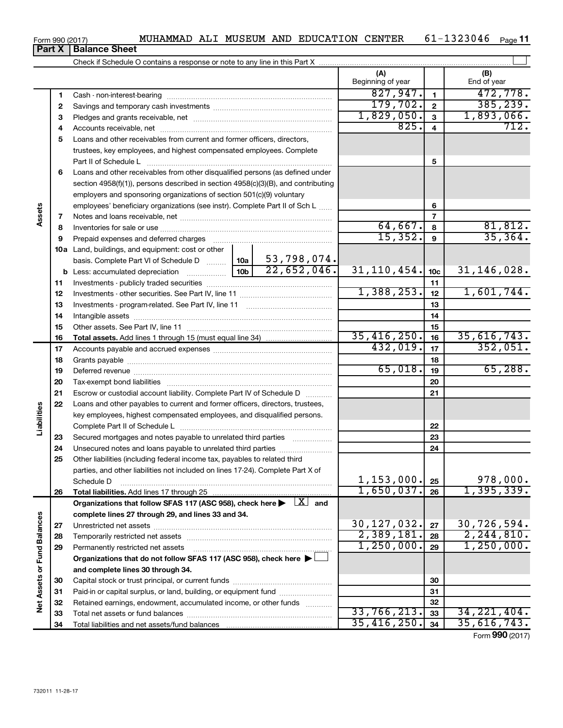|  |  | MUHAMMAD ALI MUSEUM AND EDUCATION CENTER | 61-1323046 | Page $11$ |
|--|--|------------------------------------------|------------|-----------|
|  |  |                                          |            |           |

## Form 990 (2017) MUHAMMAD ALI MUSEUM AND EDUCATION CENTER 6 L-1323046 Page Check if Schedule O contains a response or note to any line in this Part X

|                             |          | Crieck in Scriedule O contains a response or note to any line in this Fart $\lambda_{\perp}$ .                                                                                                                                |                 |             |                          |                         |                    |
|-----------------------------|----------|-------------------------------------------------------------------------------------------------------------------------------------------------------------------------------------------------------------------------------|-----------------|-------------|--------------------------|-------------------------|--------------------|
|                             |          |                                                                                                                                                                                                                               |                 |             | (A)<br>Beginning of year |                         | (B)<br>End of year |
|                             | 1        |                                                                                                                                                                                                                               |                 |             | 827,947.                 | $\mathbf{1}$            | 472,778.           |
|                             | 2        |                                                                                                                                                                                                                               |                 |             | 179,702.                 | $\mathbf{2}$            | 385, 239.          |
|                             | З        |                                                                                                                                                                                                                               |                 |             | 1,829,050.               | $\overline{\mathbf{3}}$ | 1,893,066.         |
|                             | 4        |                                                                                                                                                                                                                               |                 |             | 825.                     | $\overline{4}$          | 712.               |
|                             | 5        | Loans and other receivables from current and former officers, directors,                                                                                                                                                      |                 |             |                          |                         |                    |
|                             |          | trustees, key employees, and highest compensated employees. Complete                                                                                                                                                          |                 |             |                          |                         |                    |
|                             |          | Part II of Schedule L                                                                                                                                                                                                         |                 |             |                          | 5                       |                    |
|                             | 6        | Loans and other receivables from other disqualified persons (as defined under                                                                                                                                                 |                 |             |                          |                         |                    |
|                             |          | section 4958(f)(1)), persons described in section 4958(c)(3)(B), and contributing                                                                                                                                             |                 |             |                          |                         |                    |
|                             |          | employers and sponsoring organizations of section 501(c)(9) voluntary                                                                                                                                                         |                 |             |                          |                         |                    |
|                             |          | employees' beneficiary organizations (see instr). Complete Part II of Sch L                                                                                                                                                   |                 | 6           |                          |                         |                    |
| Assets                      | 7        |                                                                                                                                                                                                                               |                 |             |                          | $\overline{7}$          |                    |
|                             | 8        |                                                                                                                                                                                                                               |                 |             | 64,667.                  | 8                       | 81,812.            |
|                             | 9        | Prepaid expenses and deferred charges [11] [11] Prepaid expenses and deferred charges [11] [11] Martin Marian Marian Marian Marian Marian Marian Marian Marian Marian Marian Marian Marian Marian Marian Marian Marian Marian |                 |             | 15,352.                  | 9                       | 35, 364.           |
|                             |          | 10a Land, buildings, and equipment: cost or other                                                                                                                                                                             |                 |             |                          |                         |                    |
|                             |          | basis. Complete Part VI of Schedule D  10a                                                                                                                                                                                    |                 | 53,798,074. |                          |                         |                    |
|                             |          |                                                                                                                                                                                                                               | 10 <sub>b</sub> | 22,652,046. | 31, 110, 454.            | 10 <sub>c</sub>         | 31,146,028.        |
|                             | 11       |                                                                                                                                                                                                                               |                 |             |                          | 11                      |                    |
|                             | 12       |                                                                                                                                                                                                                               |                 |             | 1,388,253.               | 12                      | 1,601,744.         |
|                             | 13       |                                                                                                                                                                                                                               |                 | 13          |                          |                         |                    |
|                             | 14       |                                                                                                                                                                                                                               |                 | 14          |                          |                         |                    |
|                             | 15       |                                                                                                                                                                                                                               |                 | 15          |                          |                         |                    |
|                             | 16       |                                                                                                                                                                                                                               | 35,416,250.     | 16          | 35,616,743.              |                         |                    |
|                             | 17       |                                                                                                                                                                                                                               | 432,019.        | 17          | 352,051.                 |                         |                    |
|                             | 18       |                                                                                                                                                                                                                               |                 | 18          |                          |                         |                    |
|                             | 19       |                                                                                                                                                                                                                               |                 |             | 65,018.                  | 19                      | 65,288.            |
|                             | 20       |                                                                                                                                                                                                                               |                 |             |                          | 20                      |                    |
|                             | 21       | Escrow or custodial account liability. Complete Part IV of Schedule D                                                                                                                                                         |                 |             |                          | 21                      |                    |
| Liabilities                 | 22       | Loans and other payables to current and former officers, directors, trustees,                                                                                                                                                 |                 |             |                          |                         |                    |
|                             |          | key employees, highest compensated employees, and disqualified persons.                                                                                                                                                       |                 |             |                          |                         |                    |
|                             |          |                                                                                                                                                                                                                               |                 |             |                          | 22                      |                    |
|                             | 23       | Secured mortgages and notes payable to unrelated third parties                                                                                                                                                                |                 |             |                          | 23<br>24                |                    |
|                             | 24<br>25 | Other liabilities (including federal income tax, payables to related third                                                                                                                                                    |                 |             |                          |                         |                    |
|                             |          | parties, and other liabilities not included on lines 17-24). Complete Part X of                                                                                                                                               |                 |             |                          |                         |                    |
|                             |          | Schedule D                                                                                                                                                                                                                    |                 |             | 1, 153, 000.             | 25                      | 978,000.           |
|                             | 26       |                                                                                                                                                                                                                               |                 |             | 1,650,037.               | 26                      | 1,395,339.         |
|                             |          | Organizations that follow SFAS 117 (ASC 958), check here $\blacktriangleright \begin{array}{c} \boxed{X} \\ \end{array}$ and                                                                                                  |                 |             |                          |                         |                    |
|                             |          | complete lines 27 through 29, and lines 33 and 34.                                                                                                                                                                            |                 |             |                          |                         |                    |
|                             | 27       |                                                                                                                                                                                                                               |                 |             | 30,127,032.              | 27                      | 30,726,594.        |
|                             | 28       |                                                                                                                                                                                                                               |                 |             | 2,389,181.               | 28                      | 2, 244, 810.       |
|                             | 29       | Permanently restricted net assets                                                                                                                                                                                             |                 |             | 1,250,000.               | 29                      | 1,250,000.         |
|                             |          | Organizations that do not follow SFAS 117 (ASC 958), check here ▶ □                                                                                                                                                           |                 |             |                          |                         |                    |
|                             |          | and complete lines 30 through 34.                                                                                                                                                                                             |                 |             |                          |                         |                    |
|                             | 30       |                                                                                                                                                                                                                               |                 |             |                          | 30                      |                    |
| Net Assets or Fund Balances | 31       | Paid-in or capital surplus, or land, building, or equipment fund                                                                                                                                                              |                 |             | 31                       |                         |                    |
|                             | 32       | Retained earnings, endowment, accumulated income, or other funds                                                                                                                                                              |                 |             |                          | 32                      |                    |
|                             | 33       |                                                                                                                                                                                                                               |                 |             | 33,766,213.              | 33                      | 34, 221, 404.      |
|                             | 34       |                                                                                                                                                                                                                               |                 |             | 35,416,250.              | 34                      | 35,616,743.        |

Form (2017) **990**

†

| rm 990 (2017) |  |
|---------------|--|
|---------------|--|

**Part X Balance Sheet**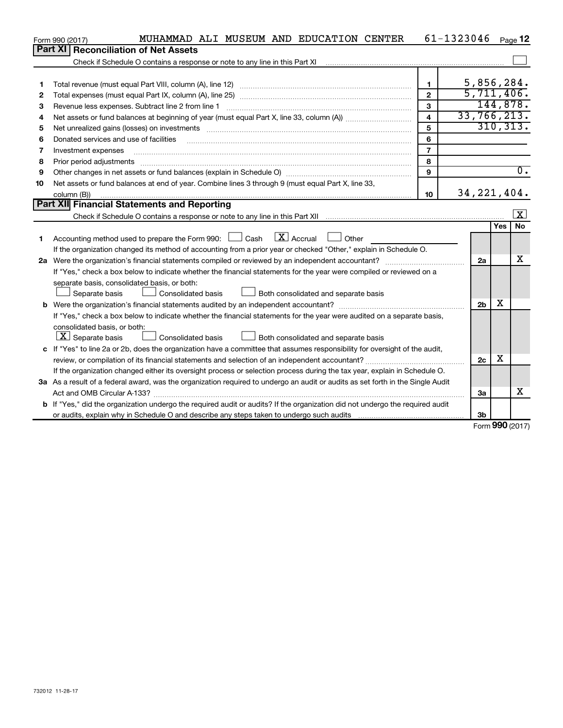|    | MUHAMMAD ALI MUSEUM AND EDUCATION CENTER<br>Form 990 (2017)                                                                     |                         | 61-1323046     | Page 12                 |
|----|---------------------------------------------------------------------------------------------------------------------------------|-------------------------|----------------|-------------------------|
|    | Part XI<br><b>Reconciliation of Net Assets</b>                                                                                  |                         |                |                         |
|    |                                                                                                                                 |                         |                |                         |
|    |                                                                                                                                 |                         |                |                         |
| 1  |                                                                                                                                 | $\mathbf{1}$            |                | 5,856,284.              |
| 2  |                                                                                                                                 | $\mathbf{2}$            |                | 5,711,406.              |
| 3  | Revenue less expenses. Subtract line 2 from line 1                                                                              | 3                       |                | 144,878.                |
| 4  |                                                                                                                                 | $\overline{\mathbf{4}}$ | 33,766,213.    |                         |
| 5  |                                                                                                                                 | 5                       |                | 310, 313.               |
| 6  | Donated services and use of facilities                                                                                          | 6                       |                |                         |
| 7  | Investment expenses                                                                                                             | $\overline{7}$          |                |                         |
| 8  | Prior period adjustments                                                                                                        | 8                       |                |                         |
| 9  |                                                                                                                                 | 9                       |                | $\overline{0}$ .        |
| 10 | Net assets or fund balances at end of year. Combine lines 3 through 9 (must equal Part X, line 33,                              |                         |                |                         |
|    | column (B))                                                                                                                     | 10                      | 34, 221, 404.  |                         |
|    | Part XII Financial Statements and Reporting                                                                                     |                         |                |                         |
|    |                                                                                                                                 |                         |                | $\overline{\mathbf{X}}$ |
|    |                                                                                                                                 |                         |                | <b>No</b><br>Yes        |
| 1  | $\boxed{\mathbf{X}}$ Accrual<br>Accounting method used to prepare the Form 990: $\Box$ Cash<br>Other                            |                         |                |                         |
|    | If the organization changed its method of accounting from a prior year or checked "Other," explain in Schedule O.               |                         |                |                         |
|    |                                                                                                                                 |                         | 2a             | x                       |
|    | If "Yes," check a box below to indicate whether the financial statements for the year were compiled or reviewed on a            |                         |                |                         |
|    | separate basis, consolidated basis, or both:                                                                                    |                         |                |                         |
|    | Both consolidated and separate basis<br>Separate basis<br>Consolidated basis                                                    |                         |                |                         |
|    |                                                                                                                                 |                         | 2 <sub>b</sub> | X                       |
|    | If "Yes," check a box below to indicate whether the financial statements for the year were audited on a separate basis,         |                         |                |                         |
|    | consolidated basis, or both:                                                                                                    |                         |                |                         |
|    | $\lfloor \underline{X} \rfloor$ Separate basis<br>Consolidated basis<br>Both consolidated and separate basis                    |                         |                |                         |
|    | c If "Yes" to line 2a or 2b, does the organization have a committee that assumes responsibility for oversight of the audit,     |                         |                |                         |
|    |                                                                                                                                 |                         | 2c             | х                       |
|    | If the organization changed either its oversight process or selection process during the tax year, explain in Schedule O.       |                         |                |                         |
|    | 3a As a result of a federal award, was the organization required to undergo an audit or audits as set forth in the Single Audit |                         |                |                         |
|    |                                                                                                                                 |                         | За             | х                       |
|    | b If "Yes," did the organization undergo the required audit or audits? If the organization did not undergo the required audit   |                         |                |                         |
|    |                                                                                                                                 |                         | 3b             |                         |

Form (2017) **990**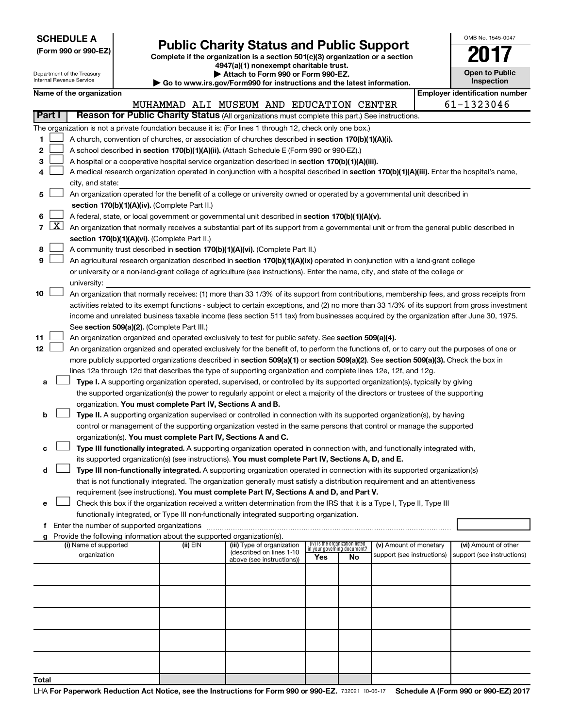| <b>SCHEDULE A</b> |  |
|-------------------|--|
|-------------------|--|

Department of the Treasury

Form 990 or 990-EZ)<br>
Complete if the organization is a section 501(c)(3) organization or a section<br> **Public Charity Status and Public Support 4947(a)(1) nonexempt charitable trust.**

**| Attach to Form 990 or Form 990-EZ.** 

| OMB No 1545-0047                    |
|-------------------------------------|
|                                     |
| <b>Open to Public</b><br>Inspection |

|                | Internal Revenue Service<br>Inspection<br>Go to www.irs.gov/Form990 for instructions and the latest information. |                                                                                                                                                                                            |  |                                                                                                    |                                                                                                                                            |     |                                                                |                                                      |  |                                                                                                                                                                                                                                                                                            |  |  |
|----------------|------------------------------------------------------------------------------------------------------------------|--------------------------------------------------------------------------------------------------------------------------------------------------------------------------------------------|--|----------------------------------------------------------------------------------------------------|--------------------------------------------------------------------------------------------------------------------------------------------|-----|----------------------------------------------------------------|------------------------------------------------------|--|--------------------------------------------------------------------------------------------------------------------------------------------------------------------------------------------------------------------------------------------------------------------------------------------|--|--|
|                |                                                                                                                  | Name of the organization                                                                                                                                                                   |  |                                                                                                    |                                                                                                                                            |     |                                                                |                                                      |  | <b>Employer identification number</b>                                                                                                                                                                                                                                                      |  |  |
|                |                                                                                                                  |                                                                                                                                                                                            |  |                                                                                                    | MUHAMMAD ALI MUSEUM AND EDUCATION CENTER                                                                                                   |     |                                                                |                                                      |  | 61-1323046                                                                                                                                                                                                                                                                                 |  |  |
|                | <b>Part I</b>                                                                                                    |                                                                                                                                                                                            |  |                                                                                                    | Reason for Public Charity Status (All organizations must complete this part.) See instructions.                                            |     |                                                                |                                                      |  |                                                                                                                                                                                                                                                                                            |  |  |
|                |                                                                                                                  |                                                                                                                                                                                            |  |                                                                                                    | The organization is not a private foundation because it is: (For lines 1 through 12, check only one box.)                                  |     |                                                                |                                                      |  |                                                                                                                                                                                                                                                                                            |  |  |
| 1              |                                                                                                                  |                                                                                                                                                                                            |  |                                                                                                    | A church, convention of churches, or association of churches described in section 170(b)(1)(A)(i).                                         |     |                                                                |                                                      |  |                                                                                                                                                                                                                                                                                            |  |  |
| 2              |                                                                                                                  |                                                                                                                                                                                            |  |                                                                                                    | A school described in section 170(b)(1)(A)(ii). (Attach Schedule E (Form 990 or 990-EZ).)                                                  |     |                                                                |                                                      |  |                                                                                                                                                                                                                                                                                            |  |  |
| 3              |                                                                                                                  |                                                                                                                                                                                            |  |                                                                                                    | A hospital or a cooperative hospital service organization described in section 170(b)(1)(A)(iii).                                          |     |                                                                |                                                      |  |                                                                                                                                                                                                                                                                                            |  |  |
| 4              |                                                                                                                  |                                                                                                                                                                                            |  |                                                                                                    | A medical research organization operated in conjunction with a hospital described in section 170(b)(1)(A)(iii). Enter the hospital's name, |     |                                                                |                                                      |  |                                                                                                                                                                                                                                                                                            |  |  |
|                |                                                                                                                  | city, and state:                                                                                                                                                                           |  |                                                                                                    |                                                                                                                                            |     |                                                                |                                                      |  |                                                                                                                                                                                                                                                                                            |  |  |
| 5              |                                                                                                                  |                                                                                                                                                                                            |  |                                                                                                    | An organization operated for the benefit of a college or university owned or operated by a governmental unit described in                  |     |                                                                |                                                      |  |                                                                                                                                                                                                                                                                                            |  |  |
|                |                                                                                                                  |                                                                                                                                                                                            |  | section 170(b)(1)(A)(iv). (Complete Part II.)                                                      |                                                                                                                                            |     |                                                                |                                                      |  |                                                                                                                                                                                                                                                                                            |  |  |
| 6              |                                                                                                                  |                                                                                                                                                                                            |  |                                                                                                    | A federal, state, or local government or governmental unit described in section 170(b)(1)(A)(v).                                           |     |                                                                |                                                      |  |                                                                                                                                                                                                                                                                                            |  |  |
| $\overline{7}$ | $\lfloor x \rfloor$                                                                                              | An organization that normally receives a substantial part of its support from a governmental unit or from the general public described in<br>section 170(b)(1)(A)(vi). (Complete Part II.) |  |                                                                                                    |                                                                                                                                            |     |                                                                |                                                      |  |                                                                                                                                                                                                                                                                                            |  |  |
|                |                                                                                                                  |                                                                                                                                                                                            |  |                                                                                                    |                                                                                                                                            |     |                                                                |                                                      |  |                                                                                                                                                                                                                                                                                            |  |  |
| 8              |                                                                                                                  |                                                                                                                                                                                            |  |                                                                                                    | A community trust described in section 170(b)(1)(A)(vi). (Complete Part II.)                                                               |     |                                                                |                                                      |  |                                                                                                                                                                                                                                                                                            |  |  |
| 9              |                                                                                                                  |                                                                                                                                                                                            |  |                                                                                                    | An agricultural research organization described in section 170(b)(1)(A)(ix) operated in conjunction with a land-grant college              |     |                                                                |                                                      |  |                                                                                                                                                                                                                                                                                            |  |  |
|                |                                                                                                                  |                                                                                                                                                                                            |  |                                                                                                    | or university or a non-land-grant college of agriculture (see instructions). Enter the name, city, and state of the college or             |     |                                                                |                                                      |  |                                                                                                                                                                                                                                                                                            |  |  |
| 10             |                                                                                                                  | university:                                                                                                                                                                                |  |                                                                                                    |                                                                                                                                            |     |                                                                |                                                      |  |                                                                                                                                                                                                                                                                                            |  |  |
|                |                                                                                                                  |                                                                                                                                                                                            |  |                                                                                                    |                                                                                                                                            |     |                                                                |                                                      |  | An organization that normally receives: (1) more than 33 1/3% of its support from contributions, membership fees, and gross receipts from<br>activities related to its exempt functions - subject to certain exceptions, and (2) no more than 33 1/3% of its support from gross investment |  |  |
|                |                                                                                                                  |                                                                                                                                                                                            |  |                                                                                                    | income and unrelated business taxable income (less section 511 tax) from businesses acquired by the organization after June 30, 1975.      |     |                                                                |                                                      |  |                                                                                                                                                                                                                                                                                            |  |  |
|                |                                                                                                                  |                                                                                                                                                                                            |  | See section 509(a)(2). (Complete Part III.)                                                        |                                                                                                                                            |     |                                                                |                                                      |  |                                                                                                                                                                                                                                                                                            |  |  |
| 11             |                                                                                                                  |                                                                                                                                                                                            |  |                                                                                                    | An organization organized and operated exclusively to test for public safety. See section 509(a)(4).                                       |     |                                                                |                                                      |  |                                                                                                                                                                                                                                                                                            |  |  |
| 12             |                                                                                                                  |                                                                                                                                                                                            |  |                                                                                                    | An organization organized and operated exclusively for the benefit of, to perform the functions of, or to carry out the purposes of one or |     |                                                                |                                                      |  |                                                                                                                                                                                                                                                                                            |  |  |
|                |                                                                                                                  |                                                                                                                                                                                            |  |                                                                                                    | more publicly supported organizations described in section 509(a)(1) or section 509(a)(2). See section 509(a)(3). Check the box in         |     |                                                                |                                                      |  |                                                                                                                                                                                                                                                                                            |  |  |
|                |                                                                                                                  |                                                                                                                                                                                            |  |                                                                                                    | lines 12a through 12d that describes the type of supporting organization and complete lines 12e, 12f, and 12g.                             |     |                                                                |                                                      |  |                                                                                                                                                                                                                                                                                            |  |  |
| a              |                                                                                                                  |                                                                                                                                                                                            |  |                                                                                                    | Type I. A supporting organization operated, supervised, or controlled by its supported organization(s), typically by giving                |     |                                                                |                                                      |  |                                                                                                                                                                                                                                                                                            |  |  |
|                |                                                                                                                  |                                                                                                                                                                                            |  |                                                                                                    | the supported organization(s) the power to regularly appoint or elect a majority of the directors or trustees of the supporting            |     |                                                                |                                                      |  |                                                                                                                                                                                                                                                                                            |  |  |
|                |                                                                                                                  |                                                                                                                                                                                            |  | organization. You must complete Part IV, Sections A and B.                                         |                                                                                                                                            |     |                                                                |                                                      |  |                                                                                                                                                                                                                                                                                            |  |  |
| b              |                                                                                                                  |                                                                                                                                                                                            |  |                                                                                                    | Type II. A supporting organization supervised or controlled in connection with its supported organization(s), by having                    |     |                                                                |                                                      |  |                                                                                                                                                                                                                                                                                            |  |  |
|                |                                                                                                                  |                                                                                                                                                                                            |  |                                                                                                    | control or management of the supporting organization vested in the same persons that control or manage the supported                       |     |                                                                |                                                      |  |                                                                                                                                                                                                                                                                                            |  |  |
|                |                                                                                                                  |                                                                                                                                                                                            |  | organization(s). You must complete Part IV, Sections A and C.                                      |                                                                                                                                            |     |                                                                |                                                      |  |                                                                                                                                                                                                                                                                                            |  |  |
|                |                                                                                                                  |                                                                                                                                                                                            |  |                                                                                                    | Type III functionally integrated. A supporting organization operated in connection with, and functionally integrated with,                 |     |                                                                |                                                      |  |                                                                                                                                                                                                                                                                                            |  |  |
|                |                                                                                                                  |                                                                                                                                                                                            |  | its supported organization(s) (see instructions). You must complete Part IV, Sections A, D, and E. |                                                                                                                                            |     |                                                                |                                                      |  |                                                                                                                                                                                                                                                                                            |  |  |
| d              |                                                                                                                  |                                                                                                                                                                                            |  |                                                                                                    | Type III non-functionally integrated. A supporting organization operated in connection with its supported organization(s)                  |     |                                                                |                                                      |  |                                                                                                                                                                                                                                                                                            |  |  |
|                |                                                                                                                  |                                                                                                                                                                                            |  |                                                                                                    | that is not functionally integrated. The organization generally must satisfy a distribution requirement and an attentiveness               |     |                                                                |                                                      |  |                                                                                                                                                                                                                                                                                            |  |  |
|                |                                                                                                                  |                                                                                                                                                                                            |  |                                                                                                    | requirement (see instructions). You must complete Part IV, Sections A and D, and Part V.                                                   |     |                                                                |                                                      |  |                                                                                                                                                                                                                                                                                            |  |  |
| e              |                                                                                                                  |                                                                                                                                                                                            |  |                                                                                                    | Check this box if the organization received a written determination from the IRS that it is a Type I, Type II, Type III                    |     |                                                                |                                                      |  |                                                                                                                                                                                                                                                                                            |  |  |
|                |                                                                                                                  |                                                                                                                                                                                            |  |                                                                                                    | functionally integrated, or Type III non-functionally integrated supporting organization.                                                  |     |                                                                |                                                      |  |                                                                                                                                                                                                                                                                                            |  |  |
|                |                                                                                                                  |                                                                                                                                                                                            |  |                                                                                                    |                                                                                                                                            |     |                                                                |                                                      |  |                                                                                                                                                                                                                                                                                            |  |  |
|                |                                                                                                                  |                                                                                                                                                                                            |  | Provide the following information about the supported organization(s).                             |                                                                                                                                            |     |                                                                |                                                      |  |                                                                                                                                                                                                                                                                                            |  |  |
|                |                                                                                                                  | (i) Name of supported<br>organization                                                                                                                                                      |  | (ii) EIN                                                                                           | (iii) Type of organization<br>(described on lines 1-10                                                                                     |     | (iv) Is the organization listed<br>in your governing document? | (v) Amount of monetary<br>support (see instructions) |  | (vi) Amount of other<br>support (see instructions)                                                                                                                                                                                                                                         |  |  |
|                |                                                                                                                  |                                                                                                                                                                                            |  |                                                                                                    | above (see instructions))                                                                                                                  | Yes | No                                                             |                                                      |  |                                                                                                                                                                                                                                                                                            |  |  |
|                |                                                                                                                  |                                                                                                                                                                                            |  |                                                                                                    |                                                                                                                                            |     |                                                                |                                                      |  |                                                                                                                                                                                                                                                                                            |  |  |
|                |                                                                                                                  |                                                                                                                                                                                            |  |                                                                                                    |                                                                                                                                            |     |                                                                |                                                      |  |                                                                                                                                                                                                                                                                                            |  |  |
|                |                                                                                                                  |                                                                                                                                                                                            |  |                                                                                                    |                                                                                                                                            |     |                                                                |                                                      |  |                                                                                                                                                                                                                                                                                            |  |  |
|                |                                                                                                                  |                                                                                                                                                                                            |  |                                                                                                    |                                                                                                                                            |     |                                                                |                                                      |  |                                                                                                                                                                                                                                                                                            |  |  |
|                |                                                                                                                  |                                                                                                                                                                                            |  |                                                                                                    |                                                                                                                                            |     |                                                                |                                                      |  |                                                                                                                                                                                                                                                                                            |  |  |
|                |                                                                                                                  |                                                                                                                                                                                            |  |                                                                                                    |                                                                                                                                            |     |                                                                |                                                      |  |                                                                                                                                                                                                                                                                                            |  |  |
|                |                                                                                                                  |                                                                                                                                                                                            |  |                                                                                                    |                                                                                                                                            |     |                                                                |                                                      |  |                                                                                                                                                                                                                                                                                            |  |  |
|                |                                                                                                                  |                                                                                                                                                                                            |  |                                                                                                    |                                                                                                                                            |     |                                                                |                                                      |  |                                                                                                                                                                                                                                                                                            |  |  |
|                |                                                                                                                  |                                                                                                                                                                                            |  |                                                                                                    |                                                                                                                                            |     |                                                                |                                                      |  |                                                                                                                                                                                                                                                                                            |  |  |
| Total          |                                                                                                                  |                                                                                                                                                                                            |  |                                                                                                    |                                                                                                                                            |     |                                                                |                                                      |  |                                                                                                                                                                                                                                                                                            |  |  |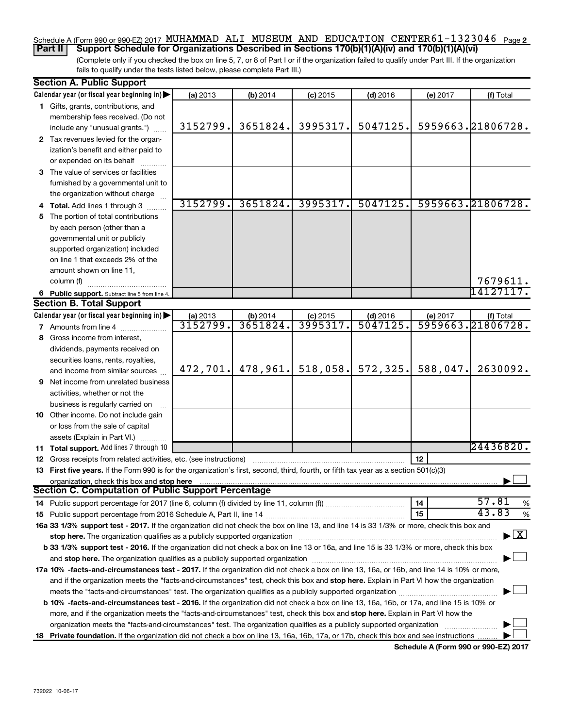#### Schedule A (Form 990 or 990-EZ) 2017 MUHAMMAD ALI MUSEUM AND EDUCATION CENTER 61-1323046 <sub>Page</sub> 2 **Part II Support Schedule for Organizations Described in Sections 170(b)(1)(A)(iv) and 170(b)(1)(A)(vi)**

(Complete only if you checked the box on line 5, 7, or 8 of Part I or if the organization failed to qualify under Part III. If the organization fails to qualify under the tests listed below, please complete Part III.)

|   | <b>Section A. Public Support</b>                                                                                                                                                                                               |          |          |            |            |          |                                          |
|---|--------------------------------------------------------------------------------------------------------------------------------------------------------------------------------------------------------------------------------|----------|----------|------------|------------|----------|------------------------------------------|
|   | Calendar year (or fiscal year beginning in)                                                                                                                                                                                    | (a) 2013 | (b) 2014 | $(c)$ 2015 | $(d)$ 2016 | (e) 2017 | (f) Total                                |
|   | 1 Gifts, grants, contributions, and                                                                                                                                                                                            |          |          |            |            |          |                                          |
|   | membership fees received. (Do not                                                                                                                                                                                              |          |          |            |            |          |                                          |
|   | include any "unusual grants.")                                                                                                                                                                                                 | 3152799. | 3651824. | 3995317.   | 5047125.   |          | 5959663.21806728.                        |
|   | 2 Tax revenues levied for the organ-                                                                                                                                                                                           |          |          |            |            |          |                                          |
|   | ization's benefit and either paid to                                                                                                                                                                                           |          |          |            |            |          |                                          |
|   | or expended on its behalf                                                                                                                                                                                                      |          |          |            |            |          |                                          |
|   | 3 The value of services or facilities                                                                                                                                                                                          |          |          |            |            |          |                                          |
|   | furnished by a governmental unit to                                                                                                                                                                                            |          |          |            |            |          |                                          |
|   | the organization without charge                                                                                                                                                                                                |          |          |            |            |          |                                          |
|   | 4 Total. Add lines 1 through 3                                                                                                                                                                                                 | 3152799. | 3651824. | 3995317.   | 5047125.   |          | 5959663.21806728.                        |
|   | 5 The portion of total contributions                                                                                                                                                                                           |          |          |            |            |          |                                          |
|   | by each person (other than a                                                                                                                                                                                                   |          |          |            |            |          |                                          |
|   | governmental unit or publicly                                                                                                                                                                                                  |          |          |            |            |          |                                          |
|   | supported organization) included                                                                                                                                                                                               |          |          |            |            |          |                                          |
|   | on line 1 that exceeds 2% of the                                                                                                                                                                                               |          |          |            |            |          |                                          |
|   | amount shown on line 11,                                                                                                                                                                                                       |          |          |            |            |          |                                          |
|   | column (f)                                                                                                                                                                                                                     |          |          |            |            |          | 7679611.                                 |
|   | 6 Public support. Subtract line 5 from line 4.                                                                                                                                                                                 |          |          |            |            |          | 14127117.                                |
|   | <b>Section B. Total Support</b>                                                                                                                                                                                                |          |          |            |            |          |                                          |
|   | Calendar year (or fiscal year beginning in)                                                                                                                                                                                    | (a) 2013 | (b) 2014 | $(c)$ 2015 | $(d)$ 2016 | (e) 2017 | (f) Total                                |
|   | <b>7</b> Amounts from line 4                                                                                                                                                                                                   | 3152799. | 3651824. | 3995317.   | 5047125    |          | 5959663.21806728.                        |
|   | 8 Gross income from interest,                                                                                                                                                                                                  |          |          |            |            |          |                                          |
|   | dividends, payments received on                                                                                                                                                                                                |          |          |            |            |          |                                          |
|   | securities loans, rents, royalties,                                                                                                                                                                                            |          |          |            |            |          |                                          |
|   | and income from similar sources                                                                                                                                                                                                | 472,701. | 478,961. | 518,058.   | 572, 325.  | 588,047. | 2630092.                                 |
| 9 | Net income from unrelated business                                                                                                                                                                                             |          |          |            |            |          |                                          |
|   | activities, whether or not the                                                                                                                                                                                                 |          |          |            |            |          |                                          |
|   | business is regularly carried on                                                                                                                                                                                               |          |          |            |            |          |                                          |
|   | 10 Other income. Do not include gain                                                                                                                                                                                           |          |          |            |            |          |                                          |
|   | or loss from the sale of capital                                                                                                                                                                                               |          |          |            |            |          |                                          |
|   | assets (Explain in Part VI.)                                                                                                                                                                                                   |          |          |            |            |          |                                          |
|   | 11 Total support. Add lines 7 through 10                                                                                                                                                                                       |          |          |            |            |          | 24436820.                                |
|   | <b>12</b> Gross receipts from related activities, etc. (see instructions)                                                                                                                                                      |          |          |            |            | 12       |                                          |
|   | 13 First five years. If the Form 990 is for the organization's first, second, third, fourth, or fifth tax year as a section 501(c)(3)                                                                                          |          |          |            |            |          |                                          |
|   | organization, check this box and stop here                                                                                                                                                                                     |          |          |            |            |          |                                          |
|   | <b>Section C. Computation of Public Support Percentage</b>                                                                                                                                                                     |          |          |            |            |          |                                          |
|   |                                                                                                                                                                                                                                |          |          |            |            | 14       | 57.81<br>%                               |
|   |                                                                                                                                                                                                                                |          |          |            |            | 15       | 43.83<br>$\%$                            |
|   | 16a 33 1/3% support test - 2017. If the organization did not check the box on line 13, and line 14 is 33 1/3% or more, check this box and                                                                                      |          |          |            |            |          |                                          |
|   | stop here. The organization qualifies as a publicly supported organization manufactured content and the organization of the state of the state of the state of the state of the state of the state of the state of the state o |          |          |            |            |          | $\blacktriangleright$ $\boxed{\text{X}}$ |
|   | b 33 1/3% support test - 2016. If the organization did not check a box on line 13 or 16a, and line 15 is 33 1/3% or more, check this box                                                                                       |          |          |            |            |          |                                          |
|   |                                                                                                                                                                                                                                |          |          |            |            |          |                                          |
|   | 17a 10% -facts-and-circumstances test - 2017. If the organization did not check a box on line 13, 16a, or 16b, and line 14 is 10% or more,                                                                                     |          |          |            |            |          |                                          |
|   | and if the organization meets the "facts-and-circumstances" test, check this box and stop here. Explain in Part VI how the organization                                                                                        |          |          |            |            |          |                                          |
|   |                                                                                                                                                                                                                                |          |          |            |            |          |                                          |
|   | b 10% -facts-and-circumstances test - 2016. If the organization did not check a box on line 13, 16a, 16b, or 17a, and line 15 is 10% or                                                                                        |          |          |            |            |          |                                          |
|   |                                                                                                                                                                                                                                |          |          |            |            |          |                                          |
|   | more, and if the organization meets the "facts-and-circumstances" test, check this box and stop here. Explain in Part VI how the                                                                                               |          |          |            |            |          |                                          |
|   | organization meets the "facts-and-circumstances" test. The organization qualifies as a publicly supported organization                                                                                                         |          |          |            |            |          |                                          |
|   | 18 Private foundation. If the organization did not check a box on line 13, 16a, 16b, 17a, or 17b, check this box and see instructions                                                                                          |          |          |            |            |          |                                          |

**Schedule A (Form 990 or 990-EZ) 2017**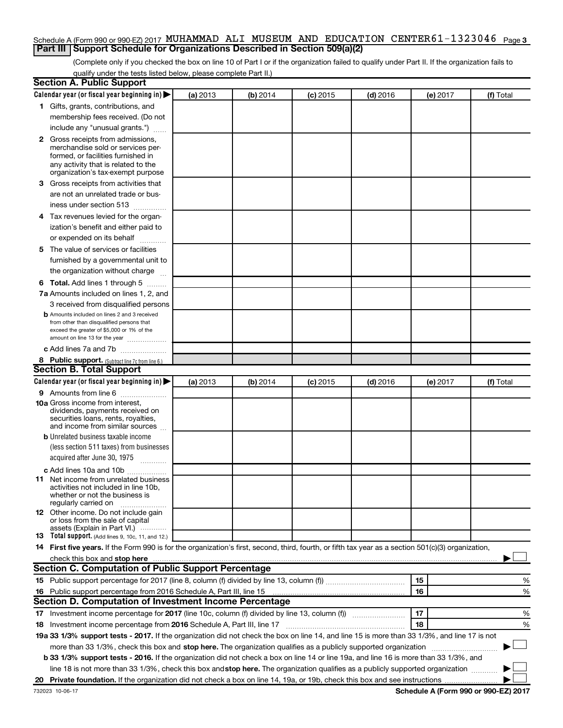#### Schedule A (Form 990 or 990-EZ) 2017 MUHAMMAD ALI MUSEUM AND EDUCATION CENTER 61-1323046 <sub>Page 3</sub> **Part III Support Schedule for Organizations Described in Section 509(a)(2)**

(Complete only if you checked the box on line 10 of Part I or if the organization failed to qualify under Part II. If the organization fails to qualify under the tests listed below, please complete Part II.)

| <b>Section A. Public Support</b>                                                                                                                                                                                              |          |          |            |            |          |           |
|-------------------------------------------------------------------------------------------------------------------------------------------------------------------------------------------------------------------------------|----------|----------|------------|------------|----------|-----------|
| Calendar year (or fiscal year beginning in)                                                                                                                                                                                   | (a) 2013 | (b) 2014 | $(c)$ 2015 | $(d)$ 2016 | (e) 2017 | (f) Total |
| 1 Gifts, grants, contributions, and                                                                                                                                                                                           |          |          |            |            |          |           |
| membership fees received. (Do not                                                                                                                                                                                             |          |          |            |            |          |           |
| include any "unusual grants.")                                                                                                                                                                                                |          |          |            |            |          |           |
| 2 Gross receipts from admissions,                                                                                                                                                                                             |          |          |            |            |          |           |
| merchandise sold or services per-                                                                                                                                                                                             |          |          |            |            |          |           |
| formed, or facilities furnished in<br>any activity that is related to the                                                                                                                                                     |          |          |            |            |          |           |
| organization's tax-exempt purpose                                                                                                                                                                                             |          |          |            |            |          |           |
| 3 Gross receipts from activities that                                                                                                                                                                                         |          |          |            |            |          |           |
| are not an unrelated trade or bus-                                                                                                                                                                                            |          |          |            |            |          |           |
| iness under section 513                                                                                                                                                                                                       |          |          |            |            |          |           |
| 4 Tax revenues levied for the organ-                                                                                                                                                                                          |          |          |            |            |          |           |
| ization's benefit and either paid to                                                                                                                                                                                          |          |          |            |            |          |           |
| or expended on its behalf                                                                                                                                                                                                     |          |          |            |            |          |           |
| 5 The value of services or facilities                                                                                                                                                                                         |          |          |            |            |          |           |
| furnished by a governmental unit to                                                                                                                                                                                           |          |          |            |            |          |           |
| the organization without charge                                                                                                                                                                                               |          |          |            |            |          |           |
| <b>6 Total.</b> Add lines 1 through 5                                                                                                                                                                                         |          |          |            |            |          |           |
| 7a Amounts included on lines 1, 2, and                                                                                                                                                                                        |          |          |            |            |          |           |
| 3 received from disqualified persons                                                                                                                                                                                          |          |          |            |            |          |           |
| <b>b</b> Amounts included on lines 2 and 3 received                                                                                                                                                                           |          |          |            |            |          |           |
| from other than disqualified persons that                                                                                                                                                                                     |          |          |            |            |          |           |
| exceed the greater of \$5,000 or 1% of the<br>amount on line 13 for the year                                                                                                                                                  |          |          |            |            |          |           |
| c Add lines 7a and 7b                                                                                                                                                                                                         |          |          |            |            |          |           |
|                                                                                                                                                                                                                               |          |          |            |            |          |           |
| 8 Public support. (Subtract line 7c from line 6.)<br><b>Section B. Total Support</b>                                                                                                                                          |          |          |            |            |          |           |
| Calendar year (or fiscal year beginning in)                                                                                                                                                                                   | (a) 2013 | (b) 2014 |            | $(d)$ 2016 |          | (f) Total |
|                                                                                                                                                                                                                               |          |          | (c) 2015   |            | (e) 2017 |           |
| <b>9</b> Amounts from line 6<br><b>10a</b> Gross income from interest,                                                                                                                                                        |          |          |            |            |          |           |
| dividends, payments received on                                                                                                                                                                                               |          |          |            |            |          |           |
| securities loans, rents, royalties,                                                                                                                                                                                           |          |          |            |            |          |           |
| and income from similar sources                                                                                                                                                                                               |          |          |            |            |          |           |
| <b>b</b> Unrelated business taxable income<br>(less section 511 taxes) from businesses                                                                                                                                        |          |          |            |            |          |           |
| acquired after June 30, 1975                                                                                                                                                                                                  |          |          |            |            |          |           |
| $\frac{1}{2}$                                                                                                                                                                                                                 |          |          |            |            |          |           |
| c Add lines 10a and 10b                                                                                                                                                                                                       |          |          |            |            |          |           |
| 11 Net income from unrelated business<br>activities not included in line 10b.                                                                                                                                                 |          |          |            |            |          |           |
| whether or not the business is                                                                                                                                                                                                |          |          |            |            |          |           |
| regularly carried on                                                                                                                                                                                                          |          |          |            |            |          |           |
| <b>12</b> Other income. Do not include gain<br>or loss from the sale of capital                                                                                                                                               |          |          |            |            |          |           |
| assets (Explain in Part VI.)                                                                                                                                                                                                  |          |          |            |            |          |           |
| <b>13</b> Total support. (Add lines 9, 10c, 11, and 12.)                                                                                                                                                                      |          |          |            |            |          |           |
| 14 First five years. If the Form 990 is for the organization's first, second, third, fourth, or fifth tax year as a section 501(c)(3) organization,                                                                           |          |          |            |            |          |           |
| check this box and stop here measurements and stop here and stop here are constructed and stop here and stop here and stop here and stop here and stop here and stop here and stop here and stop here are all the stop of the |          |          |            |            |          |           |
| Section C. Computation of Public Support Percentage                                                                                                                                                                           |          |          |            |            |          |           |
|                                                                                                                                                                                                                               |          |          |            |            | 15       | %         |
| 16 Public support percentage from 2016 Schedule A, Part III, line 15                                                                                                                                                          |          |          |            |            | 16       | %         |
| Section D. Computation of Investment Income Percentage                                                                                                                                                                        |          |          |            |            |          |           |
| 17 Investment income percentage for 2017 (line 10c, column (f) divided by line 13, column (f))                                                                                                                                |          |          |            |            | 17       | %         |
| 18 Investment income percentage from 2016 Schedule A, Part III, line 17                                                                                                                                                       |          |          |            |            | 18       | %         |
| 19a 33 1/3% support tests - 2017. If the organization did not check the box on line 14, and line 15 is more than 33 1/3%, and line 17 is not                                                                                  |          |          |            |            |          |           |
| more than 33 1/3%, check this box and stop here. The organization qualifies as a publicly supported organization                                                                                                              |          |          |            |            |          |           |
| b 33 1/3% support tests - 2016. If the organization did not check a box on line 14 or line 19a, and line 16 is more than 33 1/3%, and                                                                                         |          |          |            |            |          |           |
| line 18 is not more than 33 1/3%, check this box and stop here. The organization qualifies as a publicly supported organization                                                                                               |          |          |            |            |          |           |
|                                                                                                                                                                                                                               |          |          |            |            |          |           |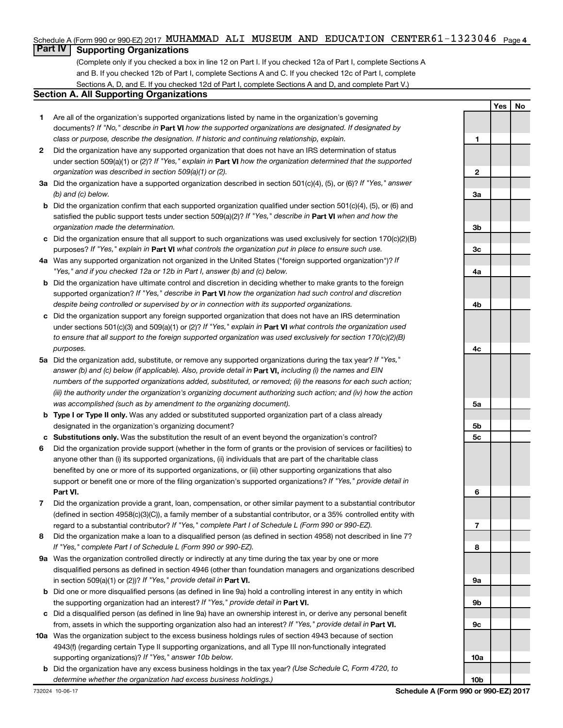#### Schedule A (Form 990 or 990-EZ) 2017 MUHAMMAD ALI MUSEUM AND EDUCATION CENTER 61-1323046 <sub>Page 4</sub>

## **Part IV Supporting Organizations**

(Complete only if you checked a box in line 12 on Part I. If you checked 12a of Part I, complete Sections A and B. If you checked 12b of Part I, complete Sections A and C. If you checked 12c of Part I, complete Sections A, D, and E. If you checked 12d of Part I, complete Sections A and D, and complete Part V.)

#### **Section A. All Supporting Organizations**

- **1** Are all of the organization's supported organizations listed by name in the organization's governing documents? If "No," describe in Part VI how the supported organizations are designated. If designated by *class or purpose, describe the designation. If historic and continuing relationship, explain.*
- **2** Did the organization have any supported organization that does not have an IRS determination of status under section 509(a)(1) or (2)? If "Yes," explain in Part **VI** how the organization determined that the supported *organization was described in section 509(a)(1) or (2).*
- **3a** Did the organization have a supported organization described in section 501(c)(4), (5), or (6)? If "Yes," answer *(b) and (c) below.*
- **b** Did the organization confirm that each supported organization qualified under section 501(c)(4), (5), or (6) and satisfied the public support tests under section 509(a)(2)? If "Yes," describe in Part VI when and how the *organization made the determination.*
- **c** Did the organization ensure that all support to such organizations was used exclusively for section 170(c)(2)(B) purposes? If "Yes," explain in Part VI what controls the organization put in place to ensure such use.
- **4 a** *If* Was any supported organization not organized in the United States ("foreign supported organization")? *"Yes," and if you checked 12a or 12b in Part I, answer (b) and (c) below.*
- **b** Did the organization have ultimate control and discretion in deciding whether to make grants to the foreign supported organization? If "Yes," describe in Part VI how the organization had such control and discretion *despite being controlled or supervised by or in connection with its supported organizations.*
- **c** Did the organization support any foreign supported organization that does not have an IRS determination under sections 501(c)(3) and 509(a)(1) or (2)? If "Yes," explain in Part VI what controls the organization used *to ensure that all support to the foreign supported organization was used exclusively for section 170(c)(2)(B) purposes.*
- **5a** Did the organization add, substitute, or remove any supported organizations during the tax year? If "Yes," answer (b) and (c) below (if applicable). Also, provide detail in **Part VI,** including (i) the names and EIN *numbers of the supported organizations added, substituted, or removed; (ii) the reasons for each such action; (iii) the authority under the organization's organizing document authorizing such action; and (iv) how the action was accomplished (such as by amendment to the organizing document).*
- **b** Type I or Type II only. Was any added or substituted supported organization part of a class already designated in the organization's organizing document?
- **c Substitutions only.**  Was the substitution the result of an event beyond the organization's control?
- **6** Did the organization provide support (whether in the form of grants or the provision of services or facilities) to **Part VI.** support or benefit one or more of the filing organization's supported organizations? If "Yes," provide detail in anyone other than (i) its supported organizations, (ii) individuals that are part of the charitable class benefited by one or more of its supported organizations, or (iii) other supporting organizations that also
- **7** Did the organization provide a grant, loan, compensation, or other similar payment to a substantial contributor regard to a substantial contributor? If "Yes," complete Part I of Schedule L (Form 990 or 990-EZ). (defined in section 4958(c)(3)(C)), a family member of a substantial contributor, or a 35% controlled entity with
- **8** Did the organization make a loan to a disqualified person (as defined in section 4958) not described in line 7? *If "Yes," complete Part I of Schedule L (Form 990 or 990-EZ).*
- **9 a** Was the organization controlled directly or indirectly at any time during the tax year by one or more in section 509(a)(1) or (2))? If "Yes," provide detail in **Part VI.** disqualified persons as defined in section 4946 (other than foundation managers and organizations described
- **b** Did one or more disqualified persons (as defined in line 9a) hold a controlling interest in any entity in which the supporting organization had an interest? If "Yes," provide detail in Part VI.
- **c** Did a disqualified person (as defined in line 9a) have an ownership interest in, or derive any personal benefit from, assets in which the supporting organization also had an interest? If "Yes," provide detail in Part VI.
- **10 a** Was the organization subject to the excess business holdings rules of section 4943 because of section supporting organizations)? If "Yes," answer 10b below. 4943(f) (regarding certain Type II supporting organizations, and all Type III non-functionally integrated
	- **b** Did the organization have any excess business holdings in the tax year? (Use Schedule C, Form 4720, to *determine whether the organization had excess business holdings.)*

**Yes No**

**1**

**2**

**3a**

**3b**

**3c**

**4a**

**4b**

**4c**

**5a**

**5b 5c**

**6**

**7**

**8**

**9a**

**9b**

**9c**

**10a**

**10b**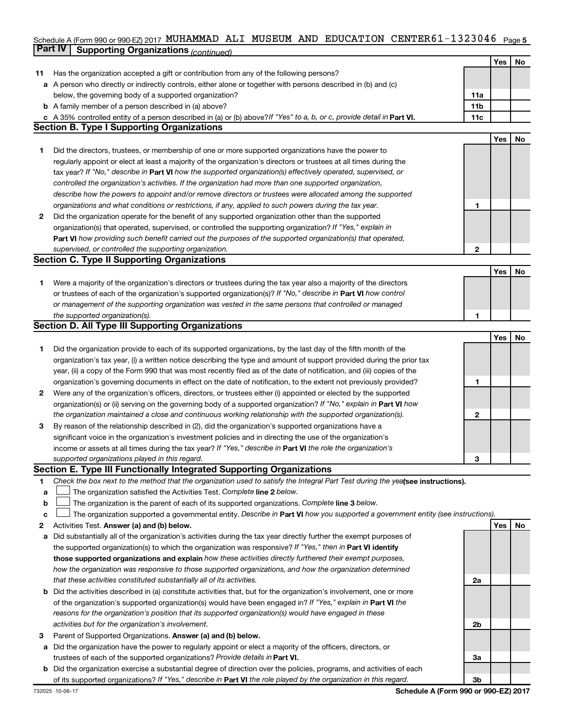### Schedule A (Form 990 or 990-EZ) 2017 MUHAMMAD ALI MUSEUM AND EDUCATION CENTER 61-1323046 <sub>Page 5</sub> **Part IV Supporting Organizations** *(continued)*

|              |                                                                                                                                 |                 | Yes | No |
|--------------|---------------------------------------------------------------------------------------------------------------------------------|-----------------|-----|----|
| 11           | Has the organization accepted a gift or contribution from any of the following persons?                                         |                 |     |    |
|              | a A person who directly or indirectly controls, either alone or together with persons described in (b) and (c)                  |                 |     |    |
|              | below, the governing body of a supported organization?                                                                          | 11a             |     |    |
|              | <b>b</b> A family member of a person described in (a) above?                                                                    | 11 <sub>b</sub> |     |    |
|              | c A 35% controlled entity of a person described in (a) or (b) above? If "Yes" to a, b, or c, provide detail in Part VI.         | 11c             |     |    |
|              | <b>Section B. Type I Supporting Organizations</b>                                                                               |                 |     |    |
|              |                                                                                                                                 |                 | Yes | No |
| 1.           | Did the directors, trustees, or membership of one or more supported organizations have the power to                             |                 |     |    |
|              | regularly appoint or elect at least a majority of the organization's directors or trustees at all times during the              |                 |     |    |
|              | tax year? If "No," describe in Part VI how the supported organization(s) effectively operated, supervised, or                   |                 |     |    |
|              | controlled the organization's activities. If the organization had more than one supported organization,                         |                 |     |    |
|              | describe how the powers to appoint and/or remove directors or trustees were allocated among the supported                       |                 |     |    |
|              | organizations and what conditions or restrictions, if any, applied to such powers during the tax year.                          | 1               |     |    |
| 2            | Did the organization operate for the benefit of any supported organization other than the supported                             |                 |     |    |
|              | organization(s) that operated, supervised, or controlled the supporting organization? If "Yes," explain in                      |                 |     |    |
|              | Part VI how providing such benefit carried out the purposes of the supported organization(s) that operated,                     |                 |     |    |
|              |                                                                                                                                 | $\mathbf{2}$    |     |    |
|              | supervised, or controlled the supporting organization.<br><b>Section C. Type II Supporting Organizations</b>                    |                 |     |    |
|              |                                                                                                                                 |                 |     |    |
|              |                                                                                                                                 |                 | Yes | No |
| 1.           | Were a majority of the organization's directors or trustees during the tax year also a majority of the directors                |                 |     |    |
|              | or trustees of each of the organization's supported organization(s)? If "No," describe in Part VI how control                   |                 |     |    |
|              | or management of the supporting organization was vested in the same persons that controlled or managed                          |                 |     |    |
|              | the supported organization(s).                                                                                                  | 1               |     |    |
|              | Section D. All Type III Supporting Organizations                                                                                |                 |     |    |
|              |                                                                                                                                 |                 | Yes | No |
| 1.           | Did the organization provide to each of its supported organizations, by the last day of the fifth month of the                  |                 |     |    |
|              | organization's tax year, (i) a written notice describing the type and amount of support provided during the prior tax           |                 |     |    |
|              | year, (ii) a copy of the Form 990 that was most recently filed as of the date of notification, and (iii) copies of the          |                 |     |    |
|              | organization's governing documents in effect on the date of notification, to the extent not previously provided?                | 1               |     |    |
| $\mathbf{2}$ | Were any of the organization's officers, directors, or trustees either (i) appointed or elected by the supported                |                 |     |    |
|              | organization(s) or (ii) serving on the governing body of a supported organization? If "No," explain in Part VI how              |                 |     |    |
|              | the organization maintained a close and continuous working relationship with the supported organization(s).                     | 2               |     |    |
| 3            | By reason of the relationship described in (2), did the organization's supported organizations have a                           |                 |     |    |
|              | significant voice in the organization's investment policies and in directing the use of the organization's                      |                 |     |    |
|              | income or assets at all times during the tax year? If "Yes," describe in Part VI the role the organization's                    |                 |     |    |
|              | supported organizations played in this regard.                                                                                  | з               |     |    |
|              | Section E. Type III Functionally Integrated Supporting Organizations                                                            |                 |     |    |
| 1            | Check the box next to the method that the organization used to satisfy the Integral Part Test during the yealsee instructions). |                 |     |    |
| a            | The organization satisfied the Activities Test. Complete line 2 below.                                                          |                 |     |    |
| b            | The organization is the parent of each of its supported organizations. Complete line 3 below.                                   |                 |     |    |
| c            | The organization supported a governmental entity. Describe in Part VI how you supported a government entity (see instructions). |                 |     |    |
| 2            | Activities Test. Answer (a) and (b) below.                                                                                      |                 | Yes | No |
| а            | Did substantially all of the organization's activities during the tax year directly further the exempt purposes of              |                 |     |    |
|              | the supported organization(s) to which the organization was responsive? If "Yes," then in Part VI identify                      |                 |     |    |
|              | those supported organizations and explain how these activities directly furthered their exempt purposes,                        |                 |     |    |
|              | how the organization was responsive to those supported organizations, and how the organization determined                       |                 |     |    |
|              | that these activities constituted substantially all of its activities.                                                          | 2a              |     |    |
| b            | Did the activities described in (a) constitute activities that, but for the organization's involvement, one or more             |                 |     |    |
|              | of the organization's supported organization(s) would have been engaged in? If "Yes," explain in Part VI the                    |                 |     |    |
|              | reasons for the organization's position that its supported organization(s) would have engaged in these                          |                 |     |    |
|              | activities but for the organization's involvement.                                                                              | 2b              |     |    |
| з            | Parent of Supported Organizations. Answer (a) and (b) below.                                                                    |                 |     |    |
| а            | Did the organization have the power to regularly appoint or elect a majority of the officers, directors, or                     |                 |     |    |
|              | trustees of each of the supported organizations? Provide details in Part VI.                                                    | За              |     |    |
| b            | Did the organization exercise a substantial degree of direction over the policies, programs, and activities of each             |                 |     |    |
|              | of its supported organizations? If "Yes," describe in Part VI the role played by the organization in this regard.               | 3b              |     |    |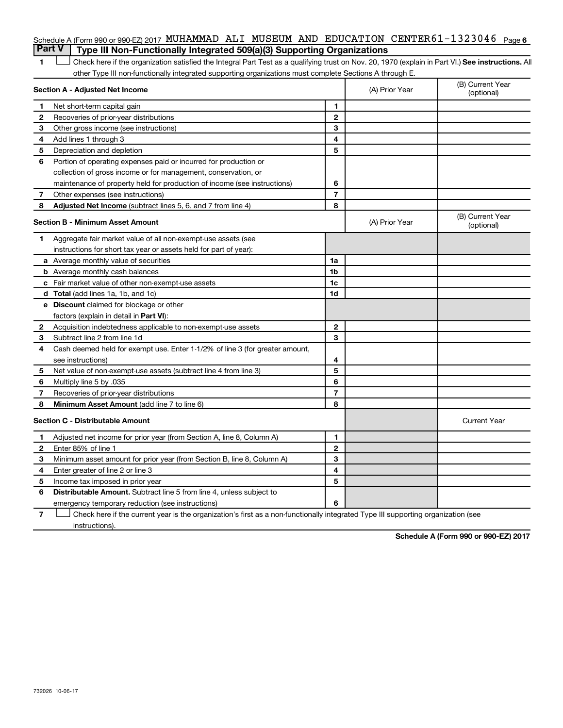|                                                                                       |  |  | Schedule A (Form 990 or 990-EZ) 2017 MUHAMMAD ALI MUSEUM AND EDUCATION CENTER61-1323046 $P_{\text{aqe}}$ 6 |  |
|---------------------------------------------------------------------------------------|--|--|------------------------------------------------------------------------------------------------------------|--|
| <b>Part V</b> Type III Non-Functionally Integrated 509(a)(3) Supporting Organizations |  |  |                                                                                                            |  |

1 **Letter See instructions.** All Check here if the organization satisfied the Integral Part Test as a qualifying trust on Nov. 20, 1970 (explain in Part VI.) See instructions. All other Type III non-functionally integrated supporting organizations must complete Sections A through E.

|    | Section A - Adjusted Net Income                                              |                | (A) Prior Year | (B) Current Year<br>(optional) |
|----|------------------------------------------------------------------------------|----------------|----------------|--------------------------------|
| 1  | Net short-term capital gain                                                  | 1              |                |                                |
| 2  | Recoveries of prior-year distributions                                       | $\mathbf{2}$   |                |                                |
| З  | Other gross income (see instructions)                                        | 3              |                |                                |
| 4  | Add lines 1 through 3                                                        | 4              |                |                                |
| 5  | Depreciation and depletion                                                   | 5              |                |                                |
| 6  | Portion of operating expenses paid or incurred for production or             |                |                |                                |
|    | collection of gross income or for management, conservation, or               |                |                |                                |
|    | maintenance of property held for production of income (see instructions)     | 6              |                |                                |
| 7  | Other expenses (see instructions)                                            | $\overline{7}$ |                |                                |
| 8  | Adjusted Net Income (subtract lines 5, 6, and 7 from line 4)                 | 8              |                |                                |
|    | <b>Section B - Minimum Asset Amount</b>                                      |                | (A) Prior Year | (B) Current Year<br>(optional) |
| 1. | Aggregate fair market value of all non-exempt-use assets (see                |                |                |                                |
|    | instructions for short tax year or assets held for part of year):            |                |                |                                |
|    | a Average monthly value of securities                                        | 1a             |                |                                |
|    | <b>b</b> Average monthly cash balances                                       | 1 <sub>b</sub> |                |                                |
|    | c Fair market value of other non-exempt-use assets                           | 1c             |                |                                |
|    | <b>d</b> Total (add lines 1a, 1b, and 1c)                                    | 1d             |                |                                |
|    | e Discount claimed for blockage or other                                     |                |                |                                |
|    | factors (explain in detail in Part VI):                                      |                |                |                                |
| 2  | Acquisition indebtedness applicable to non-exempt-use assets                 | $\mathbf{2}$   |                |                                |
| З  | Subtract line 2 from line 1d                                                 | 3              |                |                                |
| 4  | Cash deemed held for exempt use. Enter 1-1/2% of line 3 (for greater amount, |                |                |                                |
|    | see instructions)                                                            | 4              |                |                                |
| 5  | Net value of non-exempt-use assets (subtract line 4 from line 3)             | 5              |                |                                |
| 6  | Multiply line 5 by .035                                                      | 6              |                |                                |
| 7  | Recoveries of prior-year distributions                                       | $\overline{7}$ |                |                                |
| 8  | Minimum Asset Amount (add line 7 to line 6)                                  | 8              |                |                                |
|    | <b>Section C - Distributable Amount</b>                                      |                |                | <b>Current Year</b>            |
| 1  | Adjusted net income for prior year (from Section A, line 8, Column A)        | 1              |                |                                |
| 2  | Enter 85% of line 1                                                          | $\mathbf{2}$   |                |                                |
| 3  | Minimum asset amount for prior year (from Section B, line 8, Column A)       | 3              |                |                                |
| 4  | Enter greater of line 2 or line 3                                            | 4              |                |                                |
| 5  | Income tax imposed in prior year                                             | 5              |                |                                |
| 6  | <b>Distributable Amount.</b> Subtract line 5 from line 4, unless subject to  |                |                |                                |
|    | emergency temporary reduction (see instructions)                             | 6              |                |                                |
|    |                                                                              |                |                |                                |

**7** Let Check here if the current year is the organization's first as a non-functionally integrated Type III supporting organization (see instructions).

**Schedule A (Form 990 or 990-EZ) 2017**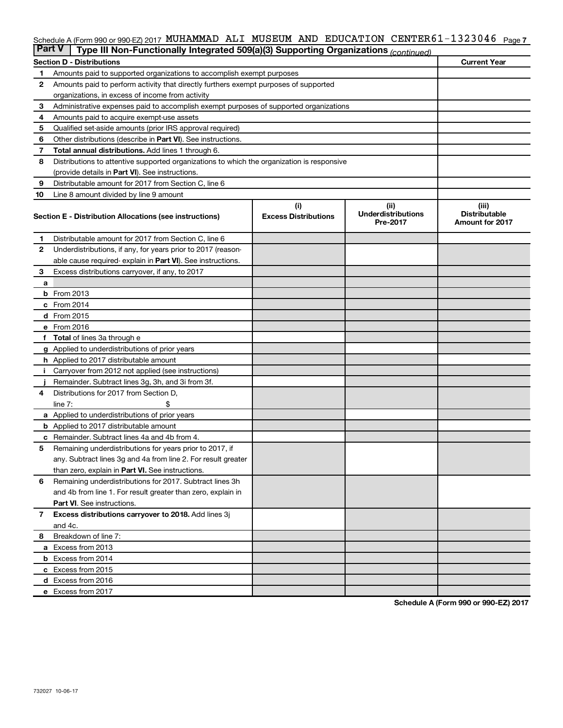#### Schedule A (Form 990 or 990-EZ) 2017 MUHAMMAD ALI MUSEUM AND EDUCATION CENTER 61-1323046 <sub>Page 7</sub>

| <b>Part V</b> | Type III Non-Functionally Integrated 509(a)(3) Supporting Organizations (continued)        |                                    |                                               |                                                         |
|---------------|--------------------------------------------------------------------------------------------|------------------------------------|-----------------------------------------------|---------------------------------------------------------|
|               | <b>Section D - Distributions</b>                                                           |                                    |                                               | <b>Current Year</b>                                     |
| 1             | Amounts paid to supported organizations to accomplish exempt purposes                      |                                    |                                               |                                                         |
| 2             | Amounts paid to perform activity that directly furthers exempt purposes of supported       |                                    |                                               |                                                         |
|               | organizations, in excess of income from activity                                           |                                    |                                               |                                                         |
| 3             | Administrative expenses paid to accomplish exempt purposes of supported organizations      |                                    |                                               |                                                         |
| 4             | Amounts paid to acquire exempt-use assets                                                  |                                    |                                               |                                                         |
| 5             | Qualified set-aside amounts (prior IRS approval required)                                  |                                    |                                               |                                                         |
| 6             | Other distributions (describe in Part VI). See instructions.                               |                                    |                                               |                                                         |
| 7             | <b>Total annual distributions.</b> Add lines 1 through 6.                                  |                                    |                                               |                                                         |
| 8             | Distributions to attentive supported organizations to which the organization is responsive |                                    |                                               |                                                         |
|               | (provide details in Part VI). See instructions.                                            |                                    |                                               |                                                         |
| 9             | Distributable amount for 2017 from Section C, line 6                                       |                                    |                                               |                                                         |
| 10            | Line 8 amount divided by line 9 amount                                                     |                                    |                                               |                                                         |
|               | Section E - Distribution Allocations (see instructions)                                    | (i)<br><b>Excess Distributions</b> | (ii)<br><b>Underdistributions</b><br>Pre-2017 | (iii)<br><b>Distributable</b><br><b>Amount for 2017</b> |
| 1.            | Distributable amount for 2017 from Section C, line 6                                       |                                    |                                               |                                                         |
| 2             | Underdistributions, if any, for years prior to 2017 (reason-                               |                                    |                                               |                                                         |
|               | able cause required-explain in Part VI). See instructions.                                 |                                    |                                               |                                                         |
| 3             | Excess distributions carryover, if any, to 2017                                            |                                    |                                               |                                                         |
| a             |                                                                                            |                                    |                                               |                                                         |
|               | <b>b</b> From 2013                                                                         |                                    |                                               |                                                         |
| c             | From 2014                                                                                  |                                    |                                               |                                                         |
|               | d From 2015                                                                                |                                    |                                               |                                                         |
|               | e From 2016                                                                                |                                    |                                               |                                                         |
| f             | <b>Total</b> of lines 3a through e                                                         |                                    |                                               |                                                         |
|               | <b>g</b> Applied to underdistributions of prior years                                      |                                    |                                               |                                                         |
|               | <b>h</b> Applied to 2017 distributable amount                                              |                                    |                                               |                                                         |
|               | Carryover from 2012 not applied (see instructions)                                         |                                    |                                               |                                                         |
|               | Remainder. Subtract lines 3g, 3h, and 3i from 3f.                                          |                                    |                                               |                                                         |
| 4             | Distributions for 2017 from Section D,                                                     |                                    |                                               |                                                         |
|               | line $7:$                                                                                  |                                    |                                               |                                                         |
|               | a Applied to underdistributions of prior years                                             |                                    |                                               |                                                         |
|               | <b>b</b> Applied to 2017 distributable amount                                              |                                    |                                               |                                                         |
| с             | Remainder. Subtract lines 4a and 4b from 4.                                                |                                    |                                               |                                                         |
| 5             | Remaining underdistributions for years prior to 2017, if                                   |                                    |                                               |                                                         |
|               | any. Subtract lines 3g and 4a from line 2. For result greater                              |                                    |                                               |                                                         |
|               | than zero, explain in Part VI. See instructions.                                           |                                    |                                               |                                                         |
| 6             | Remaining underdistributions for 2017. Subtract lines 3h                                   |                                    |                                               |                                                         |
|               | and 4b from line 1. For result greater than zero, explain in                               |                                    |                                               |                                                         |
|               | <b>Part VI.</b> See instructions.                                                          |                                    |                                               |                                                         |
| $\mathbf{7}$  | Excess distributions carryover to 2018. Add lines 3j                                       |                                    |                                               |                                                         |
|               | and 4c.                                                                                    |                                    |                                               |                                                         |
| 8             | Breakdown of line 7:                                                                       |                                    |                                               |                                                         |
|               | a Excess from 2013                                                                         |                                    |                                               |                                                         |
|               | <b>b</b> Excess from 2014                                                                  |                                    |                                               |                                                         |
|               | c Excess from 2015                                                                         |                                    |                                               |                                                         |
|               | d Excess from 2016                                                                         |                                    |                                               |                                                         |
|               | e Excess from 2017                                                                         |                                    |                                               |                                                         |

**Schedule A (Form 990 or 990-EZ) 2017**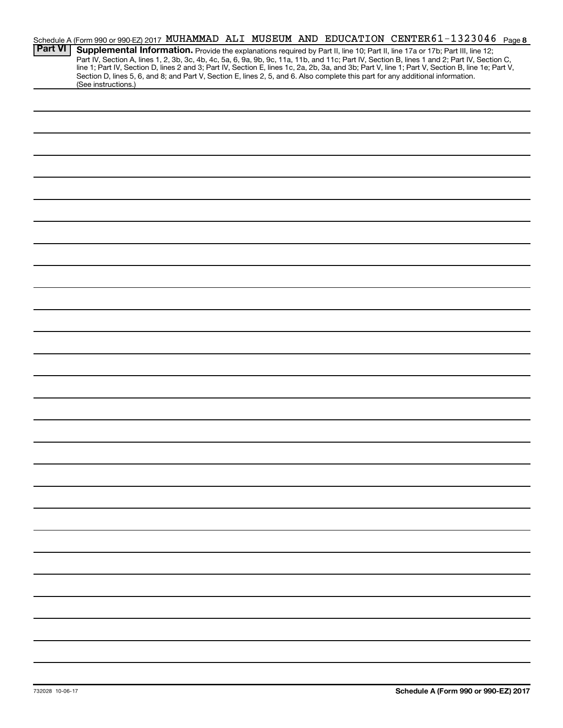|                | Schedule A (Form 990 or 990-EZ) 2017 MUHAMMAD ALI MUSEUM AND EDUCATION CENTER 61-1323046 Page 8                                                                                                                                                                                                                                                                                                                                                                                                                                                                                             |
|----------------|---------------------------------------------------------------------------------------------------------------------------------------------------------------------------------------------------------------------------------------------------------------------------------------------------------------------------------------------------------------------------------------------------------------------------------------------------------------------------------------------------------------------------------------------------------------------------------------------|
| <b>Part VI</b> | Supplemental Information. Provide the explanations required by Part II, line 10; Part II, line 17a or 17b; Part III, line 12;<br>Part IV, Section A, lines 1, 2, 3b, 3c, 4b, 4c, 5a, 6, 9a, 9b, 9c, 11a, 11b, and 11c; Part IV, Section B, lines 1 and 2; Part IV, Section C,<br>line 1; Part IV, Section D, lines 2 and 3; Part IV, Section E, lines 1c, 2a, 2b, 3a, and 3b; Part V, line 1; Part V, Section B, line 1e; Part V,<br>Section D, lines 5, 6, and 8; and Part V, Section E, lines 2, 5, and 6. Also complete this part for any additional information.<br>(See instructions.) |
|                |                                                                                                                                                                                                                                                                                                                                                                                                                                                                                                                                                                                             |
|                |                                                                                                                                                                                                                                                                                                                                                                                                                                                                                                                                                                                             |
|                |                                                                                                                                                                                                                                                                                                                                                                                                                                                                                                                                                                                             |
|                |                                                                                                                                                                                                                                                                                                                                                                                                                                                                                                                                                                                             |
|                |                                                                                                                                                                                                                                                                                                                                                                                                                                                                                                                                                                                             |
|                |                                                                                                                                                                                                                                                                                                                                                                                                                                                                                                                                                                                             |
|                |                                                                                                                                                                                                                                                                                                                                                                                                                                                                                                                                                                                             |
|                |                                                                                                                                                                                                                                                                                                                                                                                                                                                                                                                                                                                             |
|                |                                                                                                                                                                                                                                                                                                                                                                                                                                                                                                                                                                                             |
|                |                                                                                                                                                                                                                                                                                                                                                                                                                                                                                                                                                                                             |
|                |                                                                                                                                                                                                                                                                                                                                                                                                                                                                                                                                                                                             |
|                |                                                                                                                                                                                                                                                                                                                                                                                                                                                                                                                                                                                             |
|                |                                                                                                                                                                                                                                                                                                                                                                                                                                                                                                                                                                                             |
|                |                                                                                                                                                                                                                                                                                                                                                                                                                                                                                                                                                                                             |
|                |                                                                                                                                                                                                                                                                                                                                                                                                                                                                                                                                                                                             |
|                |                                                                                                                                                                                                                                                                                                                                                                                                                                                                                                                                                                                             |
|                |                                                                                                                                                                                                                                                                                                                                                                                                                                                                                                                                                                                             |
|                |                                                                                                                                                                                                                                                                                                                                                                                                                                                                                                                                                                                             |
|                |                                                                                                                                                                                                                                                                                                                                                                                                                                                                                                                                                                                             |
|                |                                                                                                                                                                                                                                                                                                                                                                                                                                                                                                                                                                                             |
|                |                                                                                                                                                                                                                                                                                                                                                                                                                                                                                                                                                                                             |
|                |                                                                                                                                                                                                                                                                                                                                                                                                                                                                                                                                                                                             |
|                |                                                                                                                                                                                                                                                                                                                                                                                                                                                                                                                                                                                             |
|                |                                                                                                                                                                                                                                                                                                                                                                                                                                                                                                                                                                                             |
|                |                                                                                                                                                                                                                                                                                                                                                                                                                                                                                                                                                                                             |
|                |                                                                                                                                                                                                                                                                                                                                                                                                                                                                                                                                                                                             |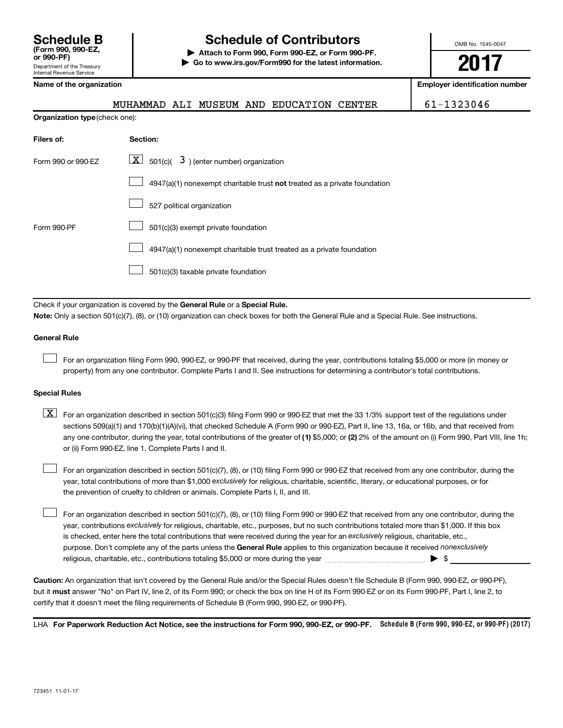# **Schedule B Schedule of Contributors**

**or 990-PF) | Attach to Form 990, Form 990-EZ, or Form 990-PF. | Go to www.irs.gov/Form990 for the latest information.** OMB No. 1545-0047

**2017**

**Employer identification number** 

|  |  | Name of the organization |
|--|--|--------------------------|
|--|--|--------------------------|

**Organization type** (check one):

MUHAMMAD ALI MUSEUM AND EDUCATION CENTER 61-1323046

| <b>Section:</b>                                                           |
|---------------------------------------------------------------------------|
| $\lfloor \mathbf{X} \rfloor$ 501(c)( 3) (enter number) organization       |
| 4947(a)(1) nonexempt charitable trust not treated as a private foundation |
| 527 political organization                                                |
| 501(c)(3) exempt private foundation                                       |
| 4947(a)(1) nonexempt charitable trust treated as a private foundation     |
| 501(c)(3) taxable private foundation                                      |
|                                                                           |

Check if your organization is covered by the General Rule or a Special Rule.

**Note:**  Only a section 501(c)(7), (8), or (10) organization can check boxes for both the General Rule and a Special Rule. See instructions.

#### **General Rule**

 $\Box$ 

For an organization filing Form 990, 990-EZ, or 990-PF that received, during the year, contributions totaling \$5,000 or more (in money or property) from any one contributor. Complete Parts I and II. See instructions for determining a contributor's total contributions.

#### **Special Rules**

any one contributor, during the year, total contributions of the greater of (1) \$5,000; or (2) 2% of the amount on (i) Form 990, Part VIII, line 1h;  $\boxed{\text{X}}$  For an organization described in section 501(c)(3) filing Form 990 or 990-EZ that met the 33 1/3% support test of the regulations under sections 509(a)(1) and 170(b)(1)(A)(vi), that checked Schedule A (Form 990 or 990-EZ), Part II, line 13, 16a, or 16b, and that received from or (ii) Form 990-EZ, line 1. Complete Parts I and II.

year, total contributions of more than \$1,000 *exclusively* for religious, charitable, scientific, literary, or educational purposes, or for For an organization described in section 501(c)(7), (8), or (10) filing Form 990 or 990-EZ that received from any one contributor, during the the prevention of cruelty to children or animals. Complete Parts I, II, and III.  $\Box$ 

purpose. Don't complete any of the parts unless the General Rule applies to this organization because it received nonexclusively year, contributions exclusively for religious, charitable, etc., purposes, but no such contributions totaled more than \$1,000. If this box is checked, enter here the total contributions that were received during the year for an exclusively religious, charitable, etc., For an organization described in section 501(c)(7), (8), or (10) filing Form 990 or 990-EZ that received from any one contributor, during the religious, charitable, etc., contributions totaling \$5,000 or more during the year  $\ldots$  $\ldots$  $\ldots$  $\ldots$  $\ldots$  $\ldots$  $\Box$ 

**Caution:**  An organization that isn't covered by the General Rule and/or the Special Rules doesn't file Schedule B (Form 990, 990-EZ, or 990-PF),  **must** but it answer "No" on Part IV, line 2, of its Form 990; or check the box on line H of its Form 990-EZ or on its Form 990-PF, Part I, line 2, to certify that it doesn't meet the filing requirements of Schedule B (Form 990, 990-EZ, or 990-PF).

LHA For Paperwork Reduction Act Notice, see the instructions for Form 990, 990-EZ, or 990-PF. Schedule B (Form 990, 990-EZ, or 990-PF) (2017)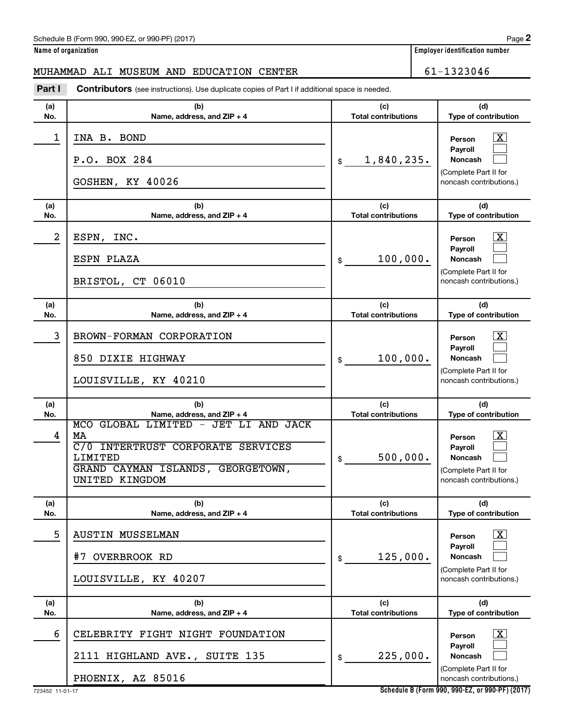#### Schedule B (Form 990, 990-EZ, or 990-PF) (2017)

|  | Name of organization |
|--|----------------------|
|  |                      |

#### MUHAMMAD ALI MUSEUM AND EDUCATION CENTER  $\vert$  61-1323046

**(a) No. (b) Name, address, and ZIP + 4 (c) Total contributions (d) Type of contribution Person Payroll Noncash (a) No. (b) Name, address, and ZIP + 4 (c) Total contributions (d) Type of contribution Person Payroll Noncash (a) No. (b) Name, address, and ZIP + 4 (c) Total contributions (d) Type of contribution Person Payroll Noncash (a) No. (b) Name, address, and ZIP + 4 (c) Total contributions (d) Type of contribution Person Payroll Noncash (a) No. (b) Name, address, and ZIP + 4 (c) Total contributions (d) Type of contribution Person Payroll Noncash (a) No. (b) Name, address, and ZIP + 4 (c) Total contributions (d) Type of contribution Person Payroll Noncash Part I** Contributors (see instructions). Use duplicate copies of Part I if additional space is needed. \$ (Complete Part II for noncash contributions.) \$ (Complete Part II for noncash contributions.) \$ (Complete Part II for noncash contributions.) \$ (Complete Part II for noncash contributions.) \$ (Complete Part II for noncash contributions.) \$ (Complete Part II for noncash contributions.) †  $\Box$  $\Box$  $\overline{\mathbf{X}}$  $\Box$  $\Box$  $\lceil \text{X} \rceil$  $\Box$  $\Box$  $\boxed{\textbf{X}}$  $\Box$  $\Box$  $\boxed{\textbf{X}}$  $\Box$  $\Box$  $\boxed{\textbf{X}}$  $\Box$  $\Box$ 1 | INA B. BOND P.O. BOX 284  $\frac{1}{3}$  1,840,235. GOSHEN, KY 40026  $2$  | ESPN, INC. ESPN PLAZA 100,000. BRISTOL, CT 06010 3 | BROWN-FORMAN CORPORATION 850 DIXIE HIGHWAY  $\begin{array}{ccc} 850 & 100,000 \end{array}$ LOUISVILLE, KY 40210 4 MCO GLOBAL LIMITED - JET LI AND JACK  $\rm MA$  , and the contract of the contract of the contract of the contract of the contract of the contract of the contract of the contract of the contract of the contract of the contract of the contract of the contract of t C/0 INTERTRUST CORPORATE SERVICES  $\texttt{LIMITED} \qquad \qquad \vert \texttt{s} \qquad \texttt{500,000}.$ GRAND CAYMAN ISLANDS, GEORGETOWN, UNITED KINGDOM 5 | AUSTIN MUSSELMAN  $\frac{1}{2}$  over BROOK RD 125,000. LOUISVILLE, KY 40207 6 CELEBRITY FIGHT NIGHT FOUNDATION X 2111 HIGHLAND AVE., SUITE 135  $\frac{1}{3}$  225,000. PHOENIX, AZ 85016

**Schedule B (Form 990, 990-EZ, or 990-PF) (2017)**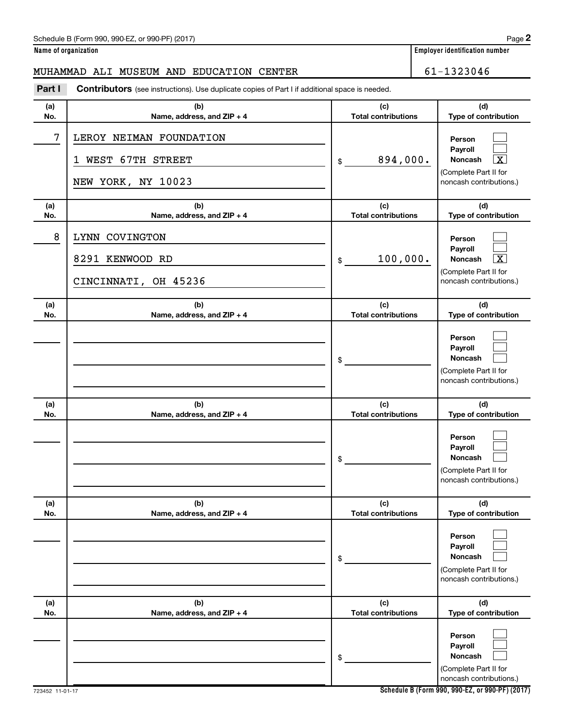#### Schedule B (Form 990, 990-EZ, or 990-PF) (2017)

**Name of organization Employer identification number**

#### MUHAMMAD ALI MUSEUM AND EDUCATION CENTER  $\vert$  61-1323046

**(a) No. (b) Name, address, and ZIP + 4 (c) Total contributions (d) Type of contribution Person Payroll Noncash (a) No. (b) Name, address, and ZIP + 4 (c) Total contributions (d) Type of contribution Person Payroll Noncash (a) No. (b) Name, address, and ZIP + 4 (c) Total contributions (d) Type of contribution Person Payroll Noncash (a) No. (b) Name, address, and ZIP + 4 (c) Total contributions (d) Type of contribution Person Payroll Noncash (a) No. (b) Name, address, and ZIP + 4 (c) Total contributions (d) Type of contribution Person Payroll Noncash (a) No. (b) Name, address, and ZIP + 4 (c) Total contributions (d) Type of contribution Person Payroll Noncash Part I** Contributors (see instructions). Use duplicate copies of Part I if additional space is needed. \$ (Complete Part II for noncash contributions.) \$ (Complete Part II for noncash contributions.) \$ (Complete Part II for noncash contributions.) \$ (Complete Part II for noncash contributions.) \$ (Complete Part II for noncash contributions.) \$ (Complete Part II for noncash contributions.)  $\Box$  $\Box$  $\lceil \texttt{X} \rceil$  $\Box$  $\Box$  $|X|$  $\Box$  $\Box$  $\Box$  $\Box$  $\Box$  $\Box$  $\Box$  $\Box$  $\Box$  $\Box$  $\Box$  $\Box$ 7 LEROY NEIMAN FOUNDATION 1 WEST 67TH STREET  $\frac{1}{3}$  894,000. NEW YORK, NY 10023 8 LYNN COVINGTON 8291 KENWOOD RD 100,000. CINCINNATI, OH 45236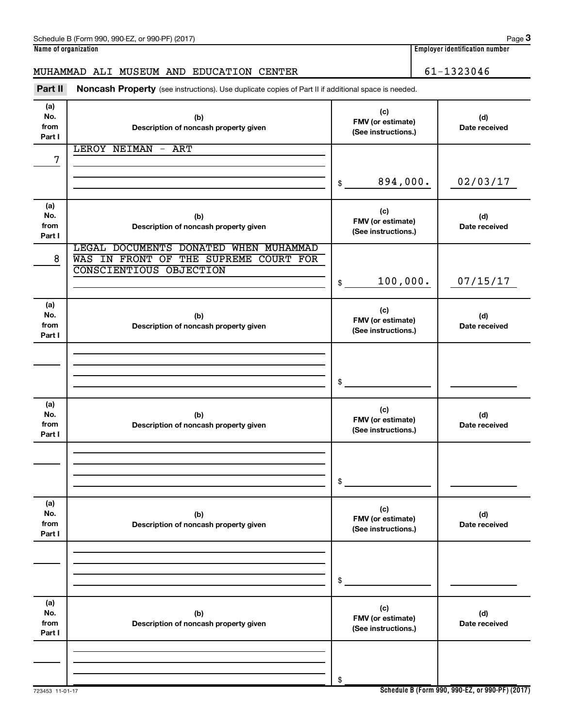| (a)<br>No.<br>from<br>Part I | (b)<br>Description of noncash property given                                                              | (c)<br>FMV (or estimate)<br>(See instructions.) | (d)<br>Date received                            |
|------------------------------|-----------------------------------------------------------------------------------------------------------|-------------------------------------------------|-------------------------------------------------|
| 7                            | <b>LEROY NEIMAN</b><br>$-$ ART                                                                            |                                                 |                                                 |
|                              |                                                                                                           |                                                 |                                                 |
|                              |                                                                                                           | 894,000.<br>\$                                  | 02/03/17                                        |
| (a)<br>No.<br>from<br>Part I | (b)<br>Description of noncash property given                                                              | (c)<br>FMV (or estimate)<br>(See instructions.) | (d)<br>Date received                            |
| 8                            | LEGAL DOCUMENTS DONATED WHEN MUHAMMAD<br>WAS IN FRONT OF THE SUPREME COURT FOR<br>CONSCIENTIOUS OBJECTION |                                                 |                                                 |
|                              |                                                                                                           | 100,000.<br>\$                                  | 07/15/17                                        |
| (a)<br>No.<br>from<br>Part I | (b)<br>Description of noncash property given                                                              | (c)<br>FMV (or estimate)<br>(See instructions.) | (d)<br>Date received                            |
|                              |                                                                                                           | \$                                              |                                                 |
| (a)<br>No.<br>from<br>Part I | (b)<br>Description of noncash property given                                                              | (c)<br>FMV (or estimate)<br>(See instructions.) | (d)<br>Date received                            |
|                              |                                                                                                           | \$                                              |                                                 |
| (a)<br>NO.<br>from<br>Part I | (b)<br>Description of noncash property given                                                              | (c)<br>FMV (or estimate)<br>(See instructions.) | (d)<br>Date received                            |
|                              |                                                                                                           | \$                                              |                                                 |
| (a)<br>No.<br>from<br>Part I | (b)<br>Description of noncash property given                                                              | (c)<br>FMV (or estimate)<br>(See instructions.) | (d)<br>Date received                            |
| 723453 11-01-17              |                                                                                                           | \$                                              | Schedule B (Form 990, 990-EZ, or 990-PF) (2017) |

Part II Noncash Property (see instructions). Use duplicate copies of Part II if additional space is needed.

MUHAMMAD ALI MUSEUM AND EDUCATION CENTER 61-1323046

**Schedule B (Form 990, 990-EZ, or 990-PF) (2017)**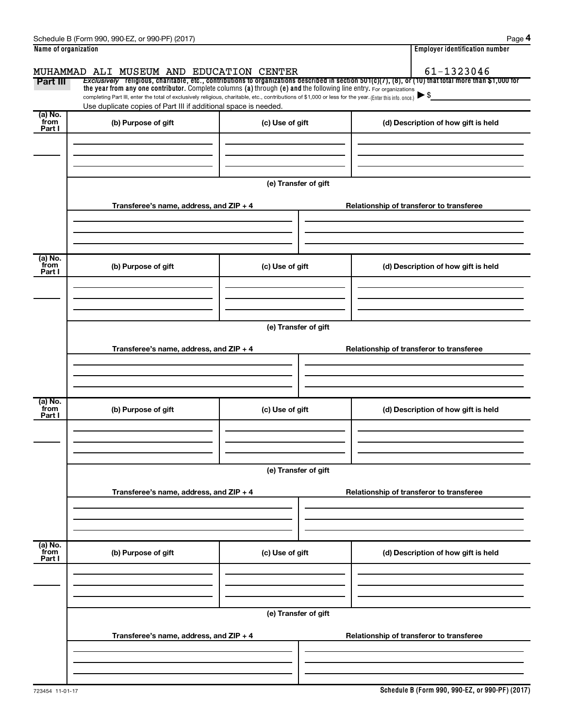|                           | Schedule B (Form 990, 990-EZ, or 990-PF) (2017)                                                                                                                                                                                                                                 |                      |                                          | Page                                                                                                                                                  |  |  |  |  |
|---------------------------|---------------------------------------------------------------------------------------------------------------------------------------------------------------------------------------------------------------------------------------------------------------------------------|----------------------|------------------------------------------|-------------------------------------------------------------------------------------------------------------------------------------------------------|--|--|--|--|
| Name of organization      |                                                                                                                                                                                                                                                                                 |                      |                                          | <b>Employer identification number</b>                                                                                                                 |  |  |  |  |
|                           | MUHAMMAD ALI MUSEUM AND EDUCATION CENTER                                                                                                                                                                                                                                        |                      |                                          | 61-1323046                                                                                                                                            |  |  |  |  |
| Part III                  |                                                                                                                                                                                                                                                                                 |                      |                                          | Exclusively religious, charitable, etc., contributions to organizations described in section 501(c)(7), (8), or (10) that total more than \$1,000 for |  |  |  |  |
|                           | the year from any one contributor. Complete columns (a) through (e) and the following line entry. For organizations<br>completing Part III, enter the total of exclusively religious, charitable, etc., contributions of \$1,000 or less for the year. (Enter this info. once.) |                      |                                          |                                                                                                                                                       |  |  |  |  |
|                           | Use duplicate copies of Part III if additional space is needed.                                                                                                                                                                                                                 |                      |                                          |                                                                                                                                                       |  |  |  |  |
| (a) No.<br>from           | (b) Purpose of gift                                                                                                                                                                                                                                                             | (c) Use of gift      |                                          | (d) Description of how gift is held                                                                                                                   |  |  |  |  |
| Part I                    |                                                                                                                                                                                                                                                                                 |                      |                                          |                                                                                                                                                       |  |  |  |  |
|                           |                                                                                                                                                                                                                                                                                 |                      |                                          |                                                                                                                                                       |  |  |  |  |
|                           |                                                                                                                                                                                                                                                                                 |                      |                                          |                                                                                                                                                       |  |  |  |  |
|                           |                                                                                                                                                                                                                                                                                 |                      |                                          |                                                                                                                                                       |  |  |  |  |
|                           |                                                                                                                                                                                                                                                                                 | (e) Transfer of gift |                                          |                                                                                                                                                       |  |  |  |  |
|                           |                                                                                                                                                                                                                                                                                 |                      |                                          |                                                                                                                                                       |  |  |  |  |
|                           | Transferee's name, address, and ZIP + 4                                                                                                                                                                                                                                         |                      |                                          | Relationship of transferor to transferee                                                                                                              |  |  |  |  |
|                           |                                                                                                                                                                                                                                                                                 |                      |                                          |                                                                                                                                                       |  |  |  |  |
|                           |                                                                                                                                                                                                                                                                                 |                      |                                          |                                                                                                                                                       |  |  |  |  |
|                           |                                                                                                                                                                                                                                                                                 |                      |                                          |                                                                                                                                                       |  |  |  |  |
| (a) No.<br>from           | (b) Purpose of gift                                                                                                                                                                                                                                                             | (c) Use of gift      |                                          | (d) Description of how gift is held                                                                                                                   |  |  |  |  |
| Part I                    |                                                                                                                                                                                                                                                                                 |                      |                                          |                                                                                                                                                       |  |  |  |  |
|                           |                                                                                                                                                                                                                                                                                 |                      |                                          |                                                                                                                                                       |  |  |  |  |
|                           |                                                                                                                                                                                                                                                                                 |                      |                                          |                                                                                                                                                       |  |  |  |  |
|                           | (e) Transfer of gift                                                                                                                                                                                                                                                            |                      |                                          |                                                                                                                                                       |  |  |  |  |
|                           |                                                                                                                                                                                                                                                                                 |                      |                                          |                                                                                                                                                       |  |  |  |  |
|                           | Transferee's name, address, and ZIP + 4                                                                                                                                                                                                                                         |                      | Relationship of transferor to transferee |                                                                                                                                                       |  |  |  |  |
|                           |                                                                                                                                                                                                                                                                                 |                      |                                          |                                                                                                                                                       |  |  |  |  |
|                           |                                                                                                                                                                                                                                                                                 |                      |                                          |                                                                                                                                                       |  |  |  |  |
|                           |                                                                                                                                                                                                                                                                                 |                      |                                          |                                                                                                                                                       |  |  |  |  |
| (a) No.<br>from           |                                                                                                                                                                                                                                                                                 | (c) Use of gift      |                                          |                                                                                                                                                       |  |  |  |  |
| Part I                    | (b) Purpose of gift                                                                                                                                                                                                                                                             |                      |                                          | (d) Description of how gift is held                                                                                                                   |  |  |  |  |
|                           |                                                                                                                                                                                                                                                                                 |                      |                                          |                                                                                                                                                       |  |  |  |  |
|                           |                                                                                                                                                                                                                                                                                 |                      |                                          |                                                                                                                                                       |  |  |  |  |
|                           |                                                                                                                                                                                                                                                                                 |                      |                                          |                                                                                                                                                       |  |  |  |  |
|                           | (e) Transfer of gift                                                                                                                                                                                                                                                            |                      |                                          |                                                                                                                                                       |  |  |  |  |
|                           | Transferee's name, address, and ZIP + 4                                                                                                                                                                                                                                         |                      |                                          | Relationship of transferor to transferee                                                                                                              |  |  |  |  |
|                           |                                                                                                                                                                                                                                                                                 |                      |                                          |                                                                                                                                                       |  |  |  |  |
|                           |                                                                                                                                                                                                                                                                                 |                      |                                          |                                                                                                                                                       |  |  |  |  |
|                           |                                                                                                                                                                                                                                                                                 |                      |                                          |                                                                                                                                                       |  |  |  |  |
|                           |                                                                                                                                                                                                                                                                                 |                      |                                          |                                                                                                                                                       |  |  |  |  |
| (a) No.<br>from<br>Part I | (b) Purpose of gift                                                                                                                                                                                                                                                             | (c) Use of gift      |                                          | (d) Description of how gift is held                                                                                                                   |  |  |  |  |
|                           |                                                                                                                                                                                                                                                                                 |                      |                                          |                                                                                                                                                       |  |  |  |  |
|                           |                                                                                                                                                                                                                                                                                 |                      |                                          |                                                                                                                                                       |  |  |  |  |
|                           |                                                                                                                                                                                                                                                                                 |                      |                                          |                                                                                                                                                       |  |  |  |  |
|                           |                                                                                                                                                                                                                                                                                 | (e) Transfer of gift |                                          |                                                                                                                                                       |  |  |  |  |
|                           |                                                                                                                                                                                                                                                                                 |                      |                                          |                                                                                                                                                       |  |  |  |  |
|                           | Transferee's name, address, and ZIP + 4                                                                                                                                                                                                                                         |                      |                                          | Relationship of transferor to transferee                                                                                                              |  |  |  |  |
|                           |                                                                                                                                                                                                                                                                                 |                      |                                          |                                                                                                                                                       |  |  |  |  |

 $\overline{a}$ 

Ĭ.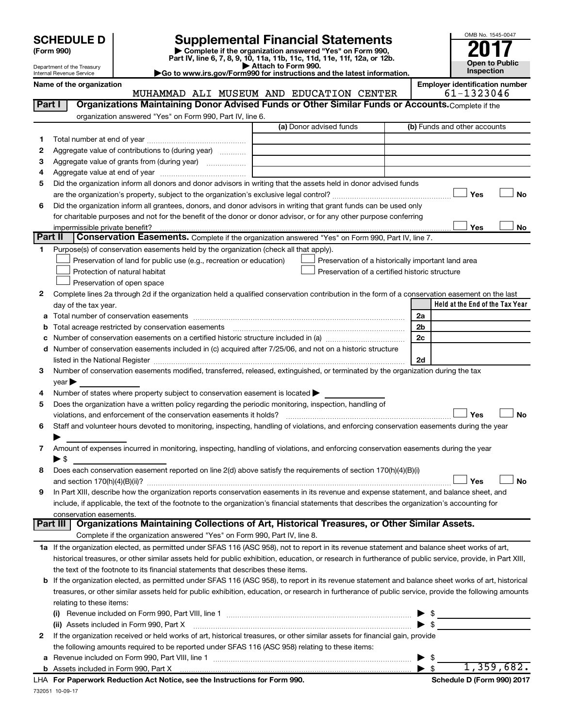| <b>SCHEDULE D</b> |  |
|-------------------|--|
|-------------------|--|

Department of the Treasury Internal Revenue Service

# **SCHEDULE D Supplemental Financial Statements**<br> **Form 990 2017**<br> **Part IV** line 6.7.8.9.10, 11a, 11b, 11d, 11d, 11d, 11d, 11d, 12a, 0r, 12b

**(Form 990) | Complete if the organization answered "Yes" on Form 990, Part IV, line 6, 7, 8, 9, 10, 11a, 11b, 11c, 11d, 11e, 11f, 12a, or 12b.**

**| Attach to Form 990. |Go to www.irs.gov/Form990 for instructions and the latest information.**



**Name of the organization Employer identification number Employer identification number** 

| Part I<br>Organizations Maintaining Donor Advised Funds or Other Similar Funds or Accounts. Complete if the<br>organization answered "Yes" on Form 990, Part IV, line 6.<br>(a) Donor advised funds<br>(b) Funds and other accounts<br>1.<br>Aggregate value of contributions to (during year)<br>2<br>Aggregate value of grants from (during year)<br>з<br>4<br>Did the organization inform all donors and donor advisors in writing that the assets held in donor advised funds<br>5<br>Yes<br><b>No</b><br>Did the organization inform all grantees, donors, and donor advisors in writing that grant funds can be used only<br>6<br>for charitable purposes and not for the benefit of the donor or donor advisor, or for any other purpose conferring<br>Yes<br>No<br>impermissible private benefit?<br>Part II<br><b>Conservation Easements.</b> Complete if the organization answered "Yes" on Form 990, Part IV, line 7.<br>Purpose(s) of conservation easements held by the organization (check all that apply).<br>1<br>Preservation of land for public use (e.g., recreation or education)<br>Preservation of a historically important land area<br>Protection of natural habitat<br>Preservation of a certified historic structure<br>Preservation of open space<br>Complete lines 2a through 2d if the organization held a qualified conservation contribution in the form of a conservation easement on the last<br>2<br>Held at the End of the Tax Year<br>day of the tax year.<br>2a<br>а<br>2 <sub>b</sub><br>b<br>2 <sub>c</sub><br>с<br>Number of conservation easements included in (c) acquired after 7/25/06, and not on a historic structure<br>d<br>2d<br>listed in the National Register [111] Marshall Register [11] Marshall Register [11] Marshall Register [11] Marshall Register [11] Marshall Register [11] Marshall Register [11] Marshall Register [11] Marshall Register [11]<br>Number of conservation easements modified, transferred, released, extinguished, or terminated by the organization during the tax<br>3<br>year<br>Number of states where property subject to conservation easement is located ><br>4<br>Does the organization have a written policy regarding the periodic monitoring, inspection, handling of<br>5<br>Yes<br><b>No</b><br>violations, and enforcement of the conservation easements it holds?<br>Staff and volunteer hours devoted to monitoring, inspecting, handling of violations, and enforcing conservation easements during the year<br>6<br>Amount of expenses incurred in monitoring, inspecting, handling of violations, and enforcing conservation easements during the year<br>7<br>▶ \$<br>Does each conservation easement reported on line 2(d) above satisfy the requirements of section 170(h)(4)(B)(i)<br>8<br>Yes<br><b>No</b><br>In Part XIII, describe how the organization reports conservation easements in its revenue and expense statement, and balance sheet, and<br>9<br>include, if applicable, the text of the footnote to the organization's financial statements that describes the organization's accounting for<br>conservation easements.<br>Organizations Maintaining Collections of Art, Historical Treasures, or Other Similar Assets.<br><b>Part III</b><br>Complete if the organization answered "Yes" on Form 990, Part IV, line 8.<br>1a If the organization elected, as permitted under SFAS 116 (ASC 958), not to report in its revenue statement and balance sheet works of art,<br>historical treasures, or other similar assets held for public exhibition, education, or research in furtherance of public service, provide, in Part XIII,<br>the text of the footnote to its financial statements that describes these items.<br>b If the organization elected, as permitted under SFAS 116 (ASC 958), to report in its revenue statement and balance sheet works of art, historical<br>treasures, or other similar assets held for public exhibition, education, or research in furtherance of public service, provide the following amounts<br>relating to these items:<br><u> 1990 - John Stein, markin film fan de Fryske k</u><br>$\triangleright$ \$<br>(ii) Assets included in Form 990, Part X<br>If the organization received or held works of art, historical treasures, or other similar assets for financial gain, provide<br>$\mathbf{2}$<br>the following amounts required to be reported under SFAS 116 (ASC 958) relating to these items:<br>\$<br>а | MUHAMMAD ALI MUSEUM AND EDUCATION CENTER | 61-1323046 |
|----------------------------------------------------------------------------------------------------------------------------------------------------------------------------------------------------------------------------------------------------------------------------------------------------------------------------------------------------------------------------------------------------------------------------------------------------------------------------------------------------------------------------------------------------------------------------------------------------------------------------------------------------------------------------------------------------------------------------------------------------------------------------------------------------------------------------------------------------------------------------------------------------------------------------------------------------------------------------------------------------------------------------------------------------------------------------------------------------------------------------------------------------------------------------------------------------------------------------------------------------------------------------------------------------------------------------------------------------------------------------------------------------------------------------------------------------------------------------------------------------------------------------------------------------------------------------------------------------------------------------------------------------------------------------------------------------------------------------------------------------------------------------------------------------------------------------------------------------------------------------------------------------------------------------------------------------------------------------------------------------------------------------------------------------------------------------------------------------------------------------------------------------------------------------------------------------------------------------------------------------------------------------------------------------------------------------------------------------------------------------------------------------------------------------------------------------------------------------------------------------------------------------------------------------------------------------------------------------------------------------------------------------------------------------------------------------------------------------------------------------------------------------------------------------------------------------------------------------------------------------------------------------------------------------------------------------------------------------------------------------------------------------------------------------------------------------------------------------------------------------------------------------------------------------------------------------------------------------------------------------------------------------------------------------------------------------------------------------------------------------------------------------------------------------------------------------------------------------------------------------------------------------------------------------------------------------------------------------------------------------------------------------------------------------------------------------------------------------------------------------------------------------------------------------------------------------------------------------------------------------------------------------------------------------------------------------------------------------------------------------------------------------------------------------------------------------------------------------------------------------------------------------------------------------------------------------------------------------------------------------------------------------------------------------------------------------------------------------------------------------------------------------------------------------------------------------------------------------------------|------------------------------------------|------------|
|                                                                                                                                                                                                                                                                                                                                                                                                                                                                                                                                                                                                                                                                                                                                                                                                                                                                                                                                                                                                                                                                                                                                                                                                                                                                                                                                                                                                                                                                                                                                                                                                                                                                                                                                                                                                                                                                                                                                                                                                                                                                                                                                                                                                                                                                                                                                                                                                                                                                                                                                                                                                                                                                                                                                                                                                                                                                                                                                                                                                                                                                                                                                                                                                                                                                                                                                                                                                                                                                                                                                                                                                                                                                                                                                                                                                                                                                                                                                                                                                                                                                                                                                                                                                                                                                                                                                                                                                                                                                                        |                                          |            |
|                                                                                                                                                                                                                                                                                                                                                                                                                                                                                                                                                                                                                                                                                                                                                                                                                                                                                                                                                                                                                                                                                                                                                                                                                                                                                                                                                                                                                                                                                                                                                                                                                                                                                                                                                                                                                                                                                                                                                                                                                                                                                                                                                                                                                                                                                                                                                                                                                                                                                                                                                                                                                                                                                                                                                                                                                                                                                                                                                                                                                                                                                                                                                                                                                                                                                                                                                                                                                                                                                                                                                                                                                                                                                                                                                                                                                                                                                                                                                                                                                                                                                                                                                                                                                                                                                                                                                                                                                                                                                        |                                          |            |
|                                                                                                                                                                                                                                                                                                                                                                                                                                                                                                                                                                                                                                                                                                                                                                                                                                                                                                                                                                                                                                                                                                                                                                                                                                                                                                                                                                                                                                                                                                                                                                                                                                                                                                                                                                                                                                                                                                                                                                                                                                                                                                                                                                                                                                                                                                                                                                                                                                                                                                                                                                                                                                                                                                                                                                                                                                                                                                                                                                                                                                                                                                                                                                                                                                                                                                                                                                                                                                                                                                                                                                                                                                                                                                                                                                                                                                                                                                                                                                                                                                                                                                                                                                                                                                                                                                                                                                                                                                                                                        |                                          |            |
|                                                                                                                                                                                                                                                                                                                                                                                                                                                                                                                                                                                                                                                                                                                                                                                                                                                                                                                                                                                                                                                                                                                                                                                                                                                                                                                                                                                                                                                                                                                                                                                                                                                                                                                                                                                                                                                                                                                                                                                                                                                                                                                                                                                                                                                                                                                                                                                                                                                                                                                                                                                                                                                                                                                                                                                                                                                                                                                                                                                                                                                                                                                                                                                                                                                                                                                                                                                                                                                                                                                                                                                                                                                                                                                                                                                                                                                                                                                                                                                                                                                                                                                                                                                                                                                                                                                                                                                                                                                                                        |                                          |            |
|                                                                                                                                                                                                                                                                                                                                                                                                                                                                                                                                                                                                                                                                                                                                                                                                                                                                                                                                                                                                                                                                                                                                                                                                                                                                                                                                                                                                                                                                                                                                                                                                                                                                                                                                                                                                                                                                                                                                                                                                                                                                                                                                                                                                                                                                                                                                                                                                                                                                                                                                                                                                                                                                                                                                                                                                                                                                                                                                                                                                                                                                                                                                                                                                                                                                                                                                                                                                                                                                                                                                                                                                                                                                                                                                                                                                                                                                                                                                                                                                                                                                                                                                                                                                                                                                                                                                                                                                                                                                                        |                                          |            |
|                                                                                                                                                                                                                                                                                                                                                                                                                                                                                                                                                                                                                                                                                                                                                                                                                                                                                                                                                                                                                                                                                                                                                                                                                                                                                                                                                                                                                                                                                                                                                                                                                                                                                                                                                                                                                                                                                                                                                                                                                                                                                                                                                                                                                                                                                                                                                                                                                                                                                                                                                                                                                                                                                                                                                                                                                                                                                                                                                                                                                                                                                                                                                                                                                                                                                                                                                                                                                                                                                                                                                                                                                                                                                                                                                                                                                                                                                                                                                                                                                                                                                                                                                                                                                                                                                                                                                                                                                                                                                        |                                          |            |
|                                                                                                                                                                                                                                                                                                                                                                                                                                                                                                                                                                                                                                                                                                                                                                                                                                                                                                                                                                                                                                                                                                                                                                                                                                                                                                                                                                                                                                                                                                                                                                                                                                                                                                                                                                                                                                                                                                                                                                                                                                                                                                                                                                                                                                                                                                                                                                                                                                                                                                                                                                                                                                                                                                                                                                                                                                                                                                                                                                                                                                                                                                                                                                                                                                                                                                                                                                                                                                                                                                                                                                                                                                                                                                                                                                                                                                                                                                                                                                                                                                                                                                                                                                                                                                                                                                                                                                                                                                                                                        |                                          |            |
|                                                                                                                                                                                                                                                                                                                                                                                                                                                                                                                                                                                                                                                                                                                                                                                                                                                                                                                                                                                                                                                                                                                                                                                                                                                                                                                                                                                                                                                                                                                                                                                                                                                                                                                                                                                                                                                                                                                                                                                                                                                                                                                                                                                                                                                                                                                                                                                                                                                                                                                                                                                                                                                                                                                                                                                                                                                                                                                                                                                                                                                                                                                                                                                                                                                                                                                                                                                                                                                                                                                                                                                                                                                                                                                                                                                                                                                                                                                                                                                                                                                                                                                                                                                                                                                                                                                                                                                                                                                                                        |                                          |            |
|                                                                                                                                                                                                                                                                                                                                                                                                                                                                                                                                                                                                                                                                                                                                                                                                                                                                                                                                                                                                                                                                                                                                                                                                                                                                                                                                                                                                                                                                                                                                                                                                                                                                                                                                                                                                                                                                                                                                                                                                                                                                                                                                                                                                                                                                                                                                                                                                                                                                                                                                                                                                                                                                                                                                                                                                                                                                                                                                                                                                                                                                                                                                                                                                                                                                                                                                                                                                                                                                                                                                                                                                                                                                                                                                                                                                                                                                                                                                                                                                                                                                                                                                                                                                                                                                                                                                                                                                                                                                                        |                                          |            |
|                                                                                                                                                                                                                                                                                                                                                                                                                                                                                                                                                                                                                                                                                                                                                                                                                                                                                                                                                                                                                                                                                                                                                                                                                                                                                                                                                                                                                                                                                                                                                                                                                                                                                                                                                                                                                                                                                                                                                                                                                                                                                                                                                                                                                                                                                                                                                                                                                                                                                                                                                                                                                                                                                                                                                                                                                                                                                                                                                                                                                                                                                                                                                                                                                                                                                                                                                                                                                                                                                                                                                                                                                                                                                                                                                                                                                                                                                                                                                                                                                                                                                                                                                                                                                                                                                                                                                                                                                                                                                        |                                          |            |
|                                                                                                                                                                                                                                                                                                                                                                                                                                                                                                                                                                                                                                                                                                                                                                                                                                                                                                                                                                                                                                                                                                                                                                                                                                                                                                                                                                                                                                                                                                                                                                                                                                                                                                                                                                                                                                                                                                                                                                                                                                                                                                                                                                                                                                                                                                                                                                                                                                                                                                                                                                                                                                                                                                                                                                                                                                                                                                                                                                                                                                                                                                                                                                                                                                                                                                                                                                                                                                                                                                                                                                                                                                                                                                                                                                                                                                                                                                                                                                                                                                                                                                                                                                                                                                                                                                                                                                                                                                                                                        |                                          |            |
|                                                                                                                                                                                                                                                                                                                                                                                                                                                                                                                                                                                                                                                                                                                                                                                                                                                                                                                                                                                                                                                                                                                                                                                                                                                                                                                                                                                                                                                                                                                                                                                                                                                                                                                                                                                                                                                                                                                                                                                                                                                                                                                                                                                                                                                                                                                                                                                                                                                                                                                                                                                                                                                                                                                                                                                                                                                                                                                                                                                                                                                                                                                                                                                                                                                                                                                                                                                                                                                                                                                                                                                                                                                                                                                                                                                                                                                                                                                                                                                                                                                                                                                                                                                                                                                                                                                                                                                                                                                                                        |                                          |            |
|                                                                                                                                                                                                                                                                                                                                                                                                                                                                                                                                                                                                                                                                                                                                                                                                                                                                                                                                                                                                                                                                                                                                                                                                                                                                                                                                                                                                                                                                                                                                                                                                                                                                                                                                                                                                                                                                                                                                                                                                                                                                                                                                                                                                                                                                                                                                                                                                                                                                                                                                                                                                                                                                                                                                                                                                                                                                                                                                                                                                                                                                                                                                                                                                                                                                                                                                                                                                                                                                                                                                                                                                                                                                                                                                                                                                                                                                                                                                                                                                                                                                                                                                                                                                                                                                                                                                                                                                                                                                                        |                                          |            |
|                                                                                                                                                                                                                                                                                                                                                                                                                                                                                                                                                                                                                                                                                                                                                                                                                                                                                                                                                                                                                                                                                                                                                                                                                                                                                                                                                                                                                                                                                                                                                                                                                                                                                                                                                                                                                                                                                                                                                                                                                                                                                                                                                                                                                                                                                                                                                                                                                                                                                                                                                                                                                                                                                                                                                                                                                                                                                                                                                                                                                                                                                                                                                                                                                                                                                                                                                                                                                                                                                                                                                                                                                                                                                                                                                                                                                                                                                                                                                                                                                                                                                                                                                                                                                                                                                                                                                                                                                                                                                        |                                          |            |
|                                                                                                                                                                                                                                                                                                                                                                                                                                                                                                                                                                                                                                                                                                                                                                                                                                                                                                                                                                                                                                                                                                                                                                                                                                                                                                                                                                                                                                                                                                                                                                                                                                                                                                                                                                                                                                                                                                                                                                                                                                                                                                                                                                                                                                                                                                                                                                                                                                                                                                                                                                                                                                                                                                                                                                                                                                                                                                                                                                                                                                                                                                                                                                                                                                                                                                                                                                                                                                                                                                                                                                                                                                                                                                                                                                                                                                                                                                                                                                                                                                                                                                                                                                                                                                                                                                                                                                                                                                                                                        |                                          |            |
|                                                                                                                                                                                                                                                                                                                                                                                                                                                                                                                                                                                                                                                                                                                                                                                                                                                                                                                                                                                                                                                                                                                                                                                                                                                                                                                                                                                                                                                                                                                                                                                                                                                                                                                                                                                                                                                                                                                                                                                                                                                                                                                                                                                                                                                                                                                                                                                                                                                                                                                                                                                                                                                                                                                                                                                                                                                                                                                                                                                                                                                                                                                                                                                                                                                                                                                                                                                                                                                                                                                                                                                                                                                                                                                                                                                                                                                                                                                                                                                                                                                                                                                                                                                                                                                                                                                                                                                                                                                                                        |                                          |            |
|                                                                                                                                                                                                                                                                                                                                                                                                                                                                                                                                                                                                                                                                                                                                                                                                                                                                                                                                                                                                                                                                                                                                                                                                                                                                                                                                                                                                                                                                                                                                                                                                                                                                                                                                                                                                                                                                                                                                                                                                                                                                                                                                                                                                                                                                                                                                                                                                                                                                                                                                                                                                                                                                                                                                                                                                                                                                                                                                                                                                                                                                                                                                                                                                                                                                                                                                                                                                                                                                                                                                                                                                                                                                                                                                                                                                                                                                                                                                                                                                                                                                                                                                                                                                                                                                                                                                                                                                                                                                                        |                                          |            |
|                                                                                                                                                                                                                                                                                                                                                                                                                                                                                                                                                                                                                                                                                                                                                                                                                                                                                                                                                                                                                                                                                                                                                                                                                                                                                                                                                                                                                                                                                                                                                                                                                                                                                                                                                                                                                                                                                                                                                                                                                                                                                                                                                                                                                                                                                                                                                                                                                                                                                                                                                                                                                                                                                                                                                                                                                                                                                                                                                                                                                                                                                                                                                                                                                                                                                                                                                                                                                                                                                                                                                                                                                                                                                                                                                                                                                                                                                                                                                                                                                                                                                                                                                                                                                                                                                                                                                                                                                                                                                        |                                          |            |
|                                                                                                                                                                                                                                                                                                                                                                                                                                                                                                                                                                                                                                                                                                                                                                                                                                                                                                                                                                                                                                                                                                                                                                                                                                                                                                                                                                                                                                                                                                                                                                                                                                                                                                                                                                                                                                                                                                                                                                                                                                                                                                                                                                                                                                                                                                                                                                                                                                                                                                                                                                                                                                                                                                                                                                                                                                                                                                                                                                                                                                                                                                                                                                                                                                                                                                                                                                                                                                                                                                                                                                                                                                                                                                                                                                                                                                                                                                                                                                                                                                                                                                                                                                                                                                                                                                                                                                                                                                                                                        |                                          |            |
|                                                                                                                                                                                                                                                                                                                                                                                                                                                                                                                                                                                                                                                                                                                                                                                                                                                                                                                                                                                                                                                                                                                                                                                                                                                                                                                                                                                                                                                                                                                                                                                                                                                                                                                                                                                                                                                                                                                                                                                                                                                                                                                                                                                                                                                                                                                                                                                                                                                                                                                                                                                                                                                                                                                                                                                                                                                                                                                                                                                                                                                                                                                                                                                                                                                                                                                                                                                                                                                                                                                                                                                                                                                                                                                                                                                                                                                                                                                                                                                                                                                                                                                                                                                                                                                                                                                                                                                                                                                                                        |                                          |            |
|                                                                                                                                                                                                                                                                                                                                                                                                                                                                                                                                                                                                                                                                                                                                                                                                                                                                                                                                                                                                                                                                                                                                                                                                                                                                                                                                                                                                                                                                                                                                                                                                                                                                                                                                                                                                                                                                                                                                                                                                                                                                                                                                                                                                                                                                                                                                                                                                                                                                                                                                                                                                                                                                                                                                                                                                                                                                                                                                                                                                                                                                                                                                                                                                                                                                                                                                                                                                                                                                                                                                                                                                                                                                                                                                                                                                                                                                                                                                                                                                                                                                                                                                                                                                                                                                                                                                                                                                                                                                                        |                                          |            |
|                                                                                                                                                                                                                                                                                                                                                                                                                                                                                                                                                                                                                                                                                                                                                                                                                                                                                                                                                                                                                                                                                                                                                                                                                                                                                                                                                                                                                                                                                                                                                                                                                                                                                                                                                                                                                                                                                                                                                                                                                                                                                                                                                                                                                                                                                                                                                                                                                                                                                                                                                                                                                                                                                                                                                                                                                                                                                                                                                                                                                                                                                                                                                                                                                                                                                                                                                                                                                                                                                                                                                                                                                                                                                                                                                                                                                                                                                                                                                                                                                                                                                                                                                                                                                                                                                                                                                                                                                                                                                        |                                          |            |
|                                                                                                                                                                                                                                                                                                                                                                                                                                                                                                                                                                                                                                                                                                                                                                                                                                                                                                                                                                                                                                                                                                                                                                                                                                                                                                                                                                                                                                                                                                                                                                                                                                                                                                                                                                                                                                                                                                                                                                                                                                                                                                                                                                                                                                                                                                                                                                                                                                                                                                                                                                                                                                                                                                                                                                                                                                                                                                                                                                                                                                                                                                                                                                                                                                                                                                                                                                                                                                                                                                                                                                                                                                                                                                                                                                                                                                                                                                                                                                                                                                                                                                                                                                                                                                                                                                                                                                                                                                                                                        |                                          |            |
|                                                                                                                                                                                                                                                                                                                                                                                                                                                                                                                                                                                                                                                                                                                                                                                                                                                                                                                                                                                                                                                                                                                                                                                                                                                                                                                                                                                                                                                                                                                                                                                                                                                                                                                                                                                                                                                                                                                                                                                                                                                                                                                                                                                                                                                                                                                                                                                                                                                                                                                                                                                                                                                                                                                                                                                                                                                                                                                                                                                                                                                                                                                                                                                                                                                                                                                                                                                                                                                                                                                                                                                                                                                                                                                                                                                                                                                                                                                                                                                                                                                                                                                                                                                                                                                                                                                                                                                                                                                                                        |                                          |            |
|                                                                                                                                                                                                                                                                                                                                                                                                                                                                                                                                                                                                                                                                                                                                                                                                                                                                                                                                                                                                                                                                                                                                                                                                                                                                                                                                                                                                                                                                                                                                                                                                                                                                                                                                                                                                                                                                                                                                                                                                                                                                                                                                                                                                                                                                                                                                                                                                                                                                                                                                                                                                                                                                                                                                                                                                                                                                                                                                                                                                                                                                                                                                                                                                                                                                                                                                                                                                                                                                                                                                                                                                                                                                                                                                                                                                                                                                                                                                                                                                                                                                                                                                                                                                                                                                                                                                                                                                                                                                                        |                                          |            |
|                                                                                                                                                                                                                                                                                                                                                                                                                                                                                                                                                                                                                                                                                                                                                                                                                                                                                                                                                                                                                                                                                                                                                                                                                                                                                                                                                                                                                                                                                                                                                                                                                                                                                                                                                                                                                                                                                                                                                                                                                                                                                                                                                                                                                                                                                                                                                                                                                                                                                                                                                                                                                                                                                                                                                                                                                                                                                                                                                                                                                                                                                                                                                                                                                                                                                                                                                                                                                                                                                                                                                                                                                                                                                                                                                                                                                                                                                                                                                                                                                                                                                                                                                                                                                                                                                                                                                                                                                                                                                        |                                          |            |
|                                                                                                                                                                                                                                                                                                                                                                                                                                                                                                                                                                                                                                                                                                                                                                                                                                                                                                                                                                                                                                                                                                                                                                                                                                                                                                                                                                                                                                                                                                                                                                                                                                                                                                                                                                                                                                                                                                                                                                                                                                                                                                                                                                                                                                                                                                                                                                                                                                                                                                                                                                                                                                                                                                                                                                                                                                                                                                                                                                                                                                                                                                                                                                                                                                                                                                                                                                                                                                                                                                                                                                                                                                                                                                                                                                                                                                                                                                                                                                                                                                                                                                                                                                                                                                                                                                                                                                                                                                                                                        |                                          |            |
|                                                                                                                                                                                                                                                                                                                                                                                                                                                                                                                                                                                                                                                                                                                                                                                                                                                                                                                                                                                                                                                                                                                                                                                                                                                                                                                                                                                                                                                                                                                                                                                                                                                                                                                                                                                                                                                                                                                                                                                                                                                                                                                                                                                                                                                                                                                                                                                                                                                                                                                                                                                                                                                                                                                                                                                                                                                                                                                                                                                                                                                                                                                                                                                                                                                                                                                                                                                                                                                                                                                                                                                                                                                                                                                                                                                                                                                                                                                                                                                                                                                                                                                                                                                                                                                                                                                                                                                                                                                                                        |                                          |            |
|                                                                                                                                                                                                                                                                                                                                                                                                                                                                                                                                                                                                                                                                                                                                                                                                                                                                                                                                                                                                                                                                                                                                                                                                                                                                                                                                                                                                                                                                                                                                                                                                                                                                                                                                                                                                                                                                                                                                                                                                                                                                                                                                                                                                                                                                                                                                                                                                                                                                                                                                                                                                                                                                                                                                                                                                                                                                                                                                                                                                                                                                                                                                                                                                                                                                                                                                                                                                                                                                                                                                                                                                                                                                                                                                                                                                                                                                                                                                                                                                                                                                                                                                                                                                                                                                                                                                                                                                                                                                                        |                                          |            |
|                                                                                                                                                                                                                                                                                                                                                                                                                                                                                                                                                                                                                                                                                                                                                                                                                                                                                                                                                                                                                                                                                                                                                                                                                                                                                                                                                                                                                                                                                                                                                                                                                                                                                                                                                                                                                                                                                                                                                                                                                                                                                                                                                                                                                                                                                                                                                                                                                                                                                                                                                                                                                                                                                                                                                                                                                                                                                                                                                                                                                                                                                                                                                                                                                                                                                                                                                                                                                                                                                                                                                                                                                                                                                                                                                                                                                                                                                                                                                                                                                                                                                                                                                                                                                                                                                                                                                                                                                                                                                        |                                          |            |
|                                                                                                                                                                                                                                                                                                                                                                                                                                                                                                                                                                                                                                                                                                                                                                                                                                                                                                                                                                                                                                                                                                                                                                                                                                                                                                                                                                                                                                                                                                                                                                                                                                                                                                                                                                                                                                                                                                                                                                                                                                                                                                                                                                                                                                                                                                                                                                                                                                                                                                                                                                                                                                                                                                                                                                                                                                                                                                                                                                                                                                                                                                                                                                                                                                                                                                                                                                                                                                                                                                                                                                                                                                                                                                                                                                                                                                                                                                                                                                                                                                                                                                                                                                                                                                                                                                                                                                                                                                                                                        |                                          |            |
|                                                                                                                                                                                                                                                                                                                                                                                                                                                                                                                                                                                                                                                                                                                                                                                                                                                                                                                                                                                                                                                                                                                                                                                                                                                                                                                                                                                                                                                                                                                                                                                                                                                                                                                                                                                                                                                                                                                                                                                                                                                                                                                                                                                                                                                                                                                                                                                                                                                                                                                                                                                                                                                                                                                                                                                                                                                                                                                                                                                                                                                                                                                                                                                                                                                                                                                                                                                                                                                                                                                                                                                                                                                                                                                                                                                                                                                                                                                                                                                                                                                                                                                                                                                                                                                                                                                                                                                                                                                                                        |                                          |            |
|                                                                                                                                                                                                                                                                                                                                                                                                                                                                                                                                                                                                                                                                                                                                                                                                                                                                                                                                                                                                                                                                                                                                                                                                                                                                                                                                                                                                                                                                                                                                                                                                                                                                                                                                                                                                                                                                                                                                                                                                                                                                                                                                                                                                                                                                                                                                                                                                                                                                                                                                                                                                                                                                                                                                                                                                                                                                                                                                                                                                                                                                                                                                                                                                                                                                                                                                                                                                                                                                                                                                                                                                                                                                                                                                                                                                                                                                                                                                                                                                                                                                                                                                                                                                                                                                                                                                                                                                                                                                                        |                                          |            |
|                                                                                                                                                                                                                                                                                                                                                                                                                                                                                                                                                                                                                                                                                                                                                                                                                                                                                                                                                                                                                                                                                                                                                                                                                                                                                                                                                                                                                                                                                                                                                                                                                                                                                                                                                                                                                                                                                                                                                                                                                                                                                                                                                                                                                                                                                                                                                                                                                                                                                                                                                                                                                                                                                                                                                                                                                                                                                                                                                                                                                                                                                                                                                                                                                                                                                                                                                                                                                                                                                                                                                                                                                                                                                                                                                                                                                                                                                                                                                                                                                                                                                                                                                                                                                                                                                                                                                                                                                                                                                        |                                          |            |
|                                                                                                                                                                                                                                                                                                                                                                                                                                                                                                                                                                                                                                                                                                                                                                                                                                                                                                                                                                                                                                                                                                                                                                                                                                                                                                                                                                                                                                                                                                                                                                                                                                                                                                                                                                                                                                                                                                                                                                                                                                                                                                                                                                                                                                                                                                                                                                                                                                                                                                                                                                                                                                                                                                                                                                                                                                                                                                                                                                                                                                                                                                                                                                                                                                                                                                                                                                                                                                                                                                                                                                                                                                                                                                                                                                                                                                                                                                                                                                                                                                                                                                                                                                                                                                                                                                                                                                                                                                                                                        |                                          |            |
|                                                                                                                                                                                                                                                                                                                                                                                                                                                                                                                                                                                                                                                                                                                                                                                                                                                                                                                                                                                                                                                                                                                                                                                                                                                                                                                                                                                                                                                                                                                                                                                                                                                                                                                                                                                                                                                                                                                                                                                                                                                                                                                                                                                                                                                                                                                                                                                                                                                                                                                                                                                                                                                                                                                                                                                                                                                                                                                                                                                                                                                                                                                                                                                                                                                                                                                                                                                                                                                                                                                                                                                                                                                                                                                                                                                                                                                                                                                                                                                                                                                                                                                                                                                                                                                                                                                                                                                                                                                                                        |                                          |            |
|                                                                                                                                                                                                                                                                                                                                                                                                                                                                                                                                                                                                                                                                                                                                                                                                                                                                                                                                                                                                                                                                                                                                                                                                                                                                                                                                                                                                                                                                                                                                                                                                                                                                                                                                                                                                                                                                                                                                                                                                                                                                                                                                                                                                                                                                                                                                                                                                                                                                                                                                                                                                                                                                                                                                                                                                                                                                                                                                                                                                                                                                                                                                                                                                                                                                                                                                                                                                                                                                                                                                                                                                                                                                                                                                                                                                                                                                                                                                                                                                                                                                                                                                                                                                                                                                                                                                                                                                                                                                                        |                                          |            |
|                                                                                                                                                                                                                                                                                                                                                                                                                                                                                                                                                                                                                                                                                                                                                                                                                                                                                                                                                                                                                                                                                                                                                                                                                                                                                                                                                                                                                                                                                                                                                                                                                                                                                                                                                                                                                                                                                                                                                                                                                                                                                                                                                                                                                                                                                                                                                                                                                                                                                                                                                                                                                                                                                                                                                                                                                                                                                                                                                                                                                                                                                                                                                                                                                                                                                                                                                                                                                                                                                                                                                                                                                                                                                                                                                                                                                                                                                                                                                                                                                                                                                                                                                                                                                                                                                                                                                                                                                                                                                        |                                          |            |
|                                                                                                                                                                                                                                                                                                                                                                                                                                                                                                                                                                                                                                                                                                                                                                                                                                                                                                                                                                                                                                                                                                                                                                                                                                                                                                                                                                                                                                                                                                                                                                                                                                                                                                                                                                                                                                                                                                                                                                                                                                                                                                                                                                                                                                                                                                                                                                                                                                                                                                                                                                                                                                                                                                                                                                                                                                                                                                                                                                                                                                                                                                                                                                                                                                                                                                                                                                                                                                                                                                                                                                                                                                                                                                                                                                                                                                                                                                                                                                                                                                                                                                                                                                                                                                                                                                                                                                                                                                                                                        |                                          |            |
|                                                                                                                                                                                                                                                                                                                                                                                                                                                                                                                                                                                                                                                                                                                                                                                                                                                                                                                                                                                                                                                                                                                                                                                                                                                                                                                                                                                                                                                                                                                                                                                                                                                                                                                                                                                                                                                                                                                                                                                                                                                                                                                                                                                                                                                                                                                                                                                                                                                                                                                                                                                                                                                                                                                                                                                                                                                                                                                                                                                                                                                                                                                                                                                                                                                                                                                                                                                                                                                                                                                                                                                                                                                                                                                                                                                                                                                                                                                                                                                                                                                                                                                                                                                                                                                                                                                                                                                                                                                                                        |                                          |            |
|                                                                                                                                                                                                                                                                                                                                                                                                                                                                                                                                                                                                                                                                                                                                                                                                                                                                                                                                                                                                                                                                                                                                                                                                                                                                                                                                                                                                                                                                                                                                                                                                                                                                                                                                                                                                                                                                                                                                                                                                                                                                                                                                                                                                                                                                                                                                                                                                                                                                                                                                                                                                                                                                                                                                                                                                                                                                                                                                                                                                                                                                                                                                                                                                                                                                                                                                                                                                                                                                                                                                                                                                                                                                                                                                                                                                                                                                                                                                                                                                                                                                                                                                                                                                                                                                                                                                                                                                                                                                                        |                                          |            |
|                                                                                                                                                                                                                                                                                                                                                                                                                                                                                                                                                                                                                                                                                                                                                                                                                                                                                                                                                                                                                                                                                                                                                                                                                                                                                                                                                                                                                                                                                                                                                                                                                                                                                                                                                                                                                                                                                                                                                                                                                                                                                                                                                                                                                                                                                                                                                                                                                                                                                                                                                                                                                                                                                                                                                                                                                                                                                                                                                                                                                                                                                                                                                                                                                                                                                                                                                                                                                                                                                                                                                                                                                                                                                                                                                                                                                                                                                                                                                                                                                                                                                                                                                                                                                                                                                                                                                                                                                                                                                        |                                          |            |
|                                                                                                                                                                                                                                                                                                                                                                                                                                                                                                                                                                                                                                                                                                                                                                                                                                                                                                                                                                                                                                                                                                                                                                                                                                                                                                                                                                                                                                                                                                                                                                                                                                                                                                                                                                                                                                                                                                                                                                                                                                                                                                                                                                                                                                                                                                                                                                                                                                                                                                                                                                                                                                                                                                                                                                                                                                                                                                                                                                                                                                                                                                                                                                                                                                                                                                                                                                                                                                                                                                                                                                                                                                                                                                                                                                                                                                                                                                                                                                                                                                                                                                                                                                                                                                                                                                                                                                                                                                                                                        |                                          |            |
|                                                                                                                                                                                                                                                                                                                                                                                                                                                                                                                                                                                                                                                                                                                                                                                                                                                                                                                                                                                                                                                                                                                                                                                                                                                                                                                                                                                                                                                                                                                                                                                                                                                                                                                                                                                                                                                                                                                                                                                                                                                                                                                                                                                                                                                                                                                                                                                                                                                                                                                                                                                                                                                                                                                                                                                                                                                                                                                                                                                                                                                                                                                                                                                                                                                                                                                                                                                                                                                                                                                                                                                                                                                                                                                                                                                                                                                                                                                                                                                                                                                                                                                                                                                                                                                                                                                                                                                                                                                                                        |                                          |            |
|                                                                                                                                                                                                                                                                                                                                                                                                                                                                                                                                                                                                                                                                                                                                                                                                                                                                                                                                                                                                                                                                                                                                                                                                                                                                                                                                                                                                                                                                                                                                                                                                                                                                                                                                                                                                                                                                                                                                                                                                                                                                                                                                                                                                                                                                                                                                                                                                                                                                                                                                                                                                                                                                                                                                                                                                                                                                                                                                                                                                                                                                                                                                                                                                                                                                                                                                                                                                                                                                                                                                                                                                                                                                                                                                                                                                                                                                                                                                                                                                                                                                                                                                                                                                                                                                                                                                                                                                                                                                                        |                                          |            |
|                                                                                                                                                                                                                                                                                                                                                                                                                                                                                                                                                                                                                                                                                                                                                                                                                                                                                                                                                                                                                                                                                                                                                                                                                                                                                                                                                                                                                                                                                                                                                                                                                                                                                                                                                                                                                                                                                                                                                                                                                                                                                                                                                                                                                                                                                                                                                                                                                                                                                                                                                                                                                                                                                                                                                                                                                                                                                                                                                                                                                                                                                                                                                                                                                                                                                                                                                                                                                                                                                                                                                                                                                                                                                                                                                                                                                                                                                                                                                                                                                                                                                                                                                                                                                                                                                                                                                                                                                                                                                        |                                          |            |
|                                                                                                                                                                                                                                                                                                                                                                                                                                                                                                                                                                                                                                                                                                                                                                                                                                                                                                                                                                                                                                                                                                                                                                                                                                                                                                                                                                                                                                                                                                                                                                                                                                                                                                                                                                                                                                                                                                                                                                                                                                                                                                                                                                                                                                                                                                                                                                                                                                                                                                                                                                                                                                                                                                                                                                                                                                                                                                                                                                                                                                                                                                                                                                                                                                                                                                                                                                                                                                                                                                                                                                                                                                                                                                                                                                                                                                                                                                                                                                                                                                                                                                                                                                                                                                                                                                                                                                                                                                                                                        |                                          |            |
|                                                                                                                                                                                                                                                                                                                                                                                                                                                                                                                                                                                                                                                                                                                                                                                                                                                                                                                                                                                                                                                                                                                                                                                                                                                                                                                                                                                                                                                                                                                                                                                                                                                                                                                                                                                                                                                                                                                                                                                                                                                                                                                                                                                                                                                                                                                                                                                                                                                                                                                                                                                                                                                                                                                                                                                                                                                                                                                                                                                                                                                                                                                                                                                                                                                                                                                                                                                                                                                                                                                                                                                                                                                                                                                                                                                                                                                                                                                                                                                                                                                                                                                                                                                                                                                                                                                                                                                                                                                                                        |                                          |            |
|                                                                                                                                                                                                                                                                                                                                                                                                                                                                                                                                                                                                                                                                                                                                                                                                                                                                                                                                                                                                                                                                                                                                                                                                                                                                                                                                                                                                                                                                                                                                                                                                                                                                                                                                                                                                                                                                                                                                                                                                                                                                                                                                                                                                                                                                                                                                                                                                                                                                                                                                                                                                                                                                                                                                                                                                                                                                                                                                                                                                                                                                                                                                                                                                                                                                                                                                                                                                                                                                                                                                                                                                                                                                                                                                                                                                                                                                                                                                                                                                                                                                                                                                                                                                                                                                                                                                                                                                                                                                                        |                                          |            |
|                                                                                                                                                                                                                                                                                                                                                                                                                                                                                                                                                                                                                                                                                                                                                                                                                                                                                                                                                                                                                                                                                                                                                                                                                                                                                                                                                                                                                                                                                                                                                                                                                                                                                                                                                                                                                                                                                                                                                                                                                                                                                                                                                                                                                                                                                                                                                                                                                                                                                                                                                                                                                                                                                                                                                                                                                                                                                                                                                                                                                                                                                                                                                                                                                                                                                                                                                                                                                                                                                                                                                                                                                                                                                                                                                                                                                                                                                                                                                                                                                                                                                                                                                                                                                                                                                                                                                                                                                                                                                        |                                          |            |
|                                                                                                                                                                                                                                                                                                                                                                                                                                                                                                                                                                                                                                                                                                                                                                                                                                                                                                                                                                                                                                                                                                                                                                                                                                                                                                                                                                                                                                                                                                                                                                                                                                                                                                                                                                                                                                                                                                                                                                                                                                                                                                                                                                                                                                                                                                                                                                                                                                                                                                                                                                                                                                                                                                                                                                                                                                                                                                                                                                                                                                                                                                                                                                                                                                                                                                                                                                                                                                                                                                                                                                                                                                                                                                                                                                                                                                                                                                                                                                                                                                                                                                                                                                                                                                                                                                                                                                                                                                                                                        |                                          |            |
|                                                                                                                                                                                                                                                                                                                                                                                                                                                                                                                                                                                                                                                                                                                                                                                                                                                                                                                                                                                                                                                                                                                                                                                                                                                                                                                                                                                                                                                                                                                                                                                                                                                                                                                                                                                                                                                                                                                                                                                                                                                                                                                                                                                                                                                                                                                                                                                                                                                                                                                                                                                                                                                                                                                                                                                                                                                                                                                                                                                                                                                                                                                                                                                                                                                                                                                                                                                                                                                                                                                                                                                                                                                                                                                                                                                                                                                                                                                                                                                                                                                                                                                                                                                                                                                                                                                                                                                                                                                                                        |                                          |            |
|                                                                                                                                                                                                                                                                                                                                                                                                                                                                                                                                                                                                                                                                                                                                                                                                                                                                                                                                                                                                                                                                                                                                                                                                                                                                                                                                                                                                                                                                                                                                                                                                                                                                                                                                                                                                                                                                                                                                                                                                                                                                                                                                                                                                                                                                                                                                                                                                                                                                                                                                                                                                                                                                                                                                                                                                                                                                                                                                                                                                                                                                                                                                                                                                                                                                                                                                                                                                                                                                                                                                                                                                                                                                                                                                                                                                                                                                                                                                                                                                                                                                                                                                                                                                                                                                                                                                                                                                                                                                                        |                                          | 1,359,682. |

| ichedule D (Form 990) 2017 |  |  |
|----------------------------|--|--|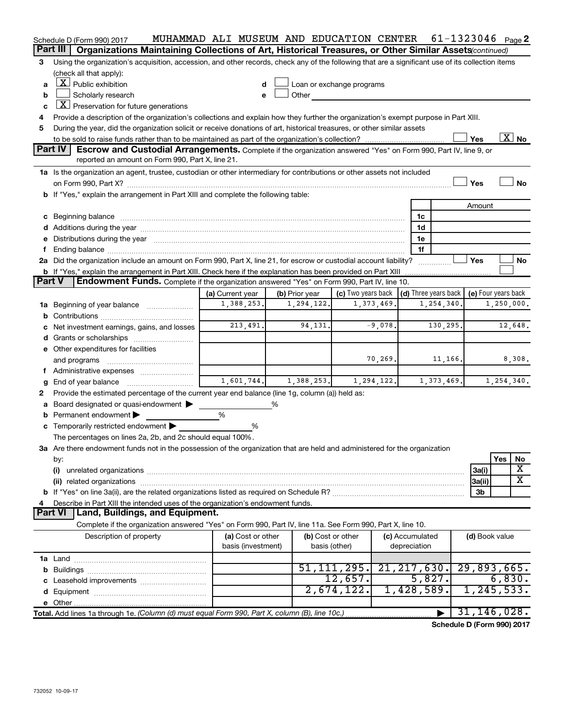| Part III<br>Organizations Maintaining Collections of Art, Historical Treasures, or Other Similar Assets (continued)<br>Using the organization's acquisition, accession, and other records, check any of the following that are a significant use of its collection items<br>3<br>(check all that apply):<br>$X$ Public exhibition<br>Loan or exchange programs<br>a<br>d<br>Scholarly research<br>Other<br>b<br>e<br>$X$ Preservation for future generations<br>c<br>Provide a description of the organization's collections and explain how they further the organization's exempt purpose in Part XIII.<br>4<br>During the year, did the organization solicit or receive donations of art, historical treasures, or other similar assets<br>5<br>$\overline{\text{X}}$ No<br>Yes<br>Part IV<br>Escrow and Custodial Arrangements. Complete if the organization answered "Yes" on Form 990, Part IV, line 9, or<br>reported an amount on Form 990, Part X, line 21.<br>1a Is the organization an agent, trustee, custodian or other intermediary for contributions or other assets not included<br>Yes<br>No<br>b If "Yes," explain the arrangement in Part XIII and complete the following table:<br>Amount<br>1c<br>1d<br>Additions during the year manufactured and an account of the year manufactured and account of the year manufactured and account of the year manufactured and account of the year manufactured and account of the year manufact<br>Distributions during the year manufactured and an account of the year manufactured and account of the year manufactured and account of the year manufactured and account of the year manufactured and account of the year manu<br>1e<br>е<br>1f<br>f<br>Yes<br>2a Did the organization include an amount on Form 990, Part X, line 21, for escrow or custodial account liability?<br>No<br>b If "Yes," explain the arrangement in Part XIII. Check here if the explanation has been provided on Part XIII<br>Part V<br><b>Endowment Funds.</b> Complete if the organization answered "Yes" on Form 990, Part IV, line 10.<br>(c) Two years back<br>$\vert$ (d) Three years back $\vert$<br>(b) Prior year<br>(e) Four years back<br>(a) Current year<br>1,388,253.<br>1,294,122.<br>1,373,469.<br>1,250,000.<br>1,254,340.<br>Beginning of year balance<br>1a<br>b<br>213,491.<br>94,131.<br>$-9,078.$<br>130,295<br>12,648.<br>Net investment earnings, gains, and losses<br>d<br>e Other expenditures for facilities<br>70,269.<br>11,166.<br>8,308.<br>and programs<br>f.<br>1,601,744.<br>1,373,469.<br>1,254,340.<br>1,388,253.<br>1, 294, 122.<br>End of year balance<br>g<br>Provide the estimated percentage of the current year end balance (line 1g, column (a)) held as:<br>2<br>Board designated or quasi-endowment ><br>%<br>a<br>%<br>Permanent endowment<br>b<br>Temporarily restricted endowment<br>%<br>The percentages on lines 2a, 2b, and 2c should equal 100%.<br>3a Are there endowment funds not in the possession of the organization that are held and administered for the organization<br>Yes<br>No<br>by:<br>х<br>(i)<br>3a(i)<br>X<br>3a(ii)<br>3 <sub>b</sub><br>Describe in Part XIII the intended uses of the organization's endowment funds.<br>4<br>Part VI<br>Land, Buildings, and Equipment.<br>Complete if the organization answered "Yes" on Form 990, Part IV, line 11a. See Form 990, Part X, line 10.<br>Description of property<br>(a) Cost or other<br>(b) Cost or other<br>(c) Accumulated<br>(d) Book value<br>basis (investment)<br>basis (other)<br>depreciation<br>51, 111, 295.<br>21, 217, 630.<br>29,893,665.<br>12,657.<br>5,827.<br>6,830.<br>1, 245, 533.<br>2,674,122.<br>1,428,589.<br>31, 146, 028.<br>$\blacktriangleright$ | Schedule D (Form 990) 2017 | MUHAMMAD ALI MUSEUM AND EDUCATION CENTER |  |  | 61-1323046 $_{Page}$ 2 |  |
|------------------------------------------------------------------------------------------------------------------------------------------------------------------------------------------------------------------------------------------------------------------------------------------------------------------------------------------------------------------------------------------------------------------------------------------------------------------------------------------------------------------------------------------------------------------------------------------------------------------------------------------------------------------------------------------------------------------------------------------------------------------------------------------------------------------------------------------------------------------------------------------------------------------------------------------------------------------------------------------------------------------------------------------------------------------------------------------------------------------------------------------------------------------------------------------------------------------------------------------------------------------------------------------------------------------------------------------------------------------------------------------------------------------------------------------------------------------------------------------------------------------------------------------------------------------------------------------------------------------------------------------------------------------------------------------------------------------------------------------------------------------------------------------------------------------------------------------------------------------------------------------------------------------------------------------------------------------------------------------------------------------------------------------------------------------------------------------------------------------------------------------------------------------------------------------------------------------------------------------------------------------------------------------------------------------------------------------------------------------------------------------------------------------------------------------------------------------------------------------------------------------------------------------------------------------------------------------------------------------------------------------------------------------------------------------------------------------------------------------------------------------------------------------------------------------------------------------------------------------------------------------------------------------------------------------------------------------------------------------------------------------------------------------------------------------------------------------------------------------------------------------------------------------------------------------------------------------------------------------------------------------------------------------------------------------------------------------------------------------------------------------------------------------------------------------------------------------------------------------------------------------------------------------------------------------------------------------------------------------------------------------------------------------------------------------------------------------------------------------------------|----------------------------|------------------------------------------|--|--|------------------------|--|
|                                                                                                                                                                                                                                                                                                                                                                                                                                                                                                                                                                                                                                                                                                                                                                                                                                                                                                                                                                                                                                                                                                                                                                                                                                                                                                                                                                                                                                                                                                                                                                                                                                                                                                                                                                                                                                                                                                                                                                                                                                                                                                                                                                                                                                                                                                                                                                                                                                                                                                                                                                                                                                                                                                                                                                                                                                                                                                                                                                                                                                                                                                                                                                                                                                                                                                                                                                                                                                                                                                                                                                                                                                                                                                                                                      |                            |                                          |  |  |                        |  |
|                                                                                                                                                                                                                                                                                                                                                                                                                                                                                                                                                                                                                                                                                                                                                                                                                                                                                                                                                                                                                                                                                                                                                                                                                                                                                                                                                                                                                                                                                                                                                                                                                                                                                                                                                                                                                                                                                                                                                                                                                                                                                                                                                                                                                                                                                                                                                                                                                                                                                                                                                                                                                                                                                                                                                                                                                                                                                                                                                                                                                                                                                                                                                                                                                                                                                                                                                                                                                                                                                                                                                                                                                                                                                                                                                      |                            |                                          |  |  |                        |  |
|                                                                                                                                                                                                                                                                                                                                                                                                                                                                                                                                                                                                                                                                                                                                                                                                                                                                                                                                                                                                                                                                                                                                                                                                                                                                                                                                                                                                                                                                                                                                                                                                                                                                                                                                                                                                                                                                                                                                                                                                                                                                                                                                                                                                                                                                                                                                                                                                                                                                                                                                                                                                                                                                                                                                                                                                                                                                                                                                                                                                                                                                                                                                                                                                                                                                                                                                                                                                                                                                                                                                                                                                                                                                                                                                                      |                            |                                          |  |  |                        |  |
|                                                                                                                                                                                                                                                                                                                                                                                                                                                                                                                                                                                                                                                                                                                                                                                                                                                                                                                                                                                                                                                                                                                                                                                                                                                                                                                                                                                                                                                                                                                                                                                                                                                                                                                                                                                                                                                                                                                                                                                                                                                                                                                                                                                                                                                                                                                                                                                                                                                                                                                                                                                                                                                                                                                                                                                                                                                                                                                                                                                                                                                                                                                                                                                                                                                                                                                                                                                                                                                                                                                                                                                                                                                                                                                                                      |                            |                                          |  |  |                        |  |
|                                                                                                                                                                                                                                                                                                                                                                                                                                                                                                                                                                                                                                                                                                                                                                                                                                                                                                                                                                                                                                                                                                                                                                                                                                                                                                                                                                                                                                                                                                                                                                                                                                                                                                                                                                                                                                                                                                                                                                                                                                                                                                                                                                                                                                                                                                                                                                                                                                                                                                                                                                                                                                                                                                                                                                                                                                                                                                                                                                                                                                                                                                                                                                                                                                                                                                                                                                                                                                                                                                                                                                                                                                                                                                                                                      |                            |                                          |  |  |                        |  |
|                                                                                                                                                                                                                                                                                                                                                                                                                                                                                                                                                                                                                                                                                                                                                                                                                                                                                                                                                                                                                                                                                                                                                                                                                                                                                                                                                                                                                                                                                                                                                                                                                                                                                                                                                                                                                                                                                                                                                                                                                                                                                                                                                                                                                                                                                                                                                                                                                                                                                                                                                                                                                                                                                                                                                                                                                                                                                                                                                                                                                                                                                                                                                                                                                                                                                                                                                                                                                                                                                                                                                                                                                                                                                                                                                      |                            |                                          |  |  |                        |  |
|                                                                                                                                                                                                                                                                                                                                                                                                                                                                                                                                                                                                                                                                                                                                                                                                                                                                                                                                                                                                                                                                                                                                                                                                                                                                                                                                                                                                                                                                                                                                                                                                                                                                                                                                                                                                                                                                                                                                                                                                                                                                                                                                                                                                                                                                                                                                                                                                                                                                                                                                                                                                                                                                                                                                                                                                                                                                                                                                                                                                                                                                                                                                                                                                                                                                                                                                                                                                                                                                                                                                                                                                                                                                                                                                                      |                            |                                          |  |  |                        |  |
|                                                                                                                                                                                                                                                                                                                                                                                                                                                                                                                                                                                                                                                                                                                                                                                                                                                                                                                                                                                                                                                                                                                                                                                                                                                                                                                                                                                                                                                                                                                                                                                                                                                                                                                                                                                                                                                                                                                                                                                                                                                                                                                                                                                                                                                                                                                                                                                                                                                                                                                                                                                                                                                                                                                                                                                                                                                                                                                                                                                                                                                                                                                                                                                                                                                                                                                                                                                                                                                                                                                                                                                                                                                                                                                                                      |                            |                                          |  |  |                        |  |
|                                                                                                                                                                                                                                                                                                                                                                                                                                                                                                                                                                                                                                                                                                                                                                                                                                                                                                                                                                                                                                                                                                                                                                                                                                                                                                                                                                                                                                                                                                                                                                                                                                                                                                                                                                                                                                                                                                                                                                                                                                                                                                                                                                                                                                                                                                                                                                                                                                                                                                                                                                                                                                                                                                                                                                                                                                                                                                                                                                                                                                                                                                                                                                                                                                                                                                                                                                                                                                                                                                                                                                                                                                                                                                                                                      |                            |                                          |  |  |                        |  |
|                                                                                                                                                                                                                                                                                                                                                                                                                                                                                                                                                                                                                                                                                                                                                                                                                                                                                                                                                                                                                                                                                                                                                                                                                                                                                                                                                                                                                                                                                                                                                                                                                                                                                                                                                                                                                                                                                                                                                                                                                                                                                                                                                                                                                                                                                                                                                                                                                                                                                                                                                                                                                                                                                                                                                                                                                                                                                                                                                                                                                                                                                                                                                                                                                                                                                                                                                                                                                                                                                                                                                                                                                                                                                                                                                      |                            |                                          |  |  |                        |  |
|                                                                                                                                                                                                                                                                                                                                                                                                                                                                                                                                                                                                                                                                                                                                                                                                                                                                                                                                                                                                                                                                                                                                                                                                                                                                                                                                                                                                                                                                                                                                                                                                                                                                                                                                                                                                                                                                                                                                                                                                                                                                                                                                                                                                                                                                                                                                                                                                                                                                                                                                                                                                                                                                                                                                                                                                                                                                                                                                                                                                                                                                                                                                                                                                                                                                                                                                                                                                                                                                                                                                                                                                                                                                                                                                                      |                            |                                          |  |  |                        |  |
|                                                                                                                                                                                                                                                                                                                                                                                                                                                                                                                                                                                                                                                                                                                                                                                                                                                                                                                                                                                                                                                                                                                                                                                                                                                                                                                                                                                                                                                                                                                                                                                                                                                                                                                                                                                                                                                                                                                                                                                                                                                                                                                                                                                                                                                                                                                                                                                                                                                                                                                                                                                                                                                                                                                                                                                                                                                                                                                                                                                                                                                                                                                                                                                                                                                                                                                                                                                                                                                                                                                                                                                                                                                                                                                                                      |                            |                                          |  |  |                        |  |
|                                                                                                                                                                                                                                                                                                                                                                                                                                                                                                                                                                                                                                                                                                                                                                                                                                                                                                                                                                                                                                                                                                                                                                                                                                                                                                                                                                                                                                                                                                                                                                                                                                                                                                                                                                                                                                                                                                                                                                                                                                                                                                                                                                                                                                                                                                                                                                                                                                                                                                                                                                                                                                                                                                                                                                                                                                                                                                                                                                                                                                                                                                                                                                                                                                                                                                                                                                                                                                                                                                                                                                                                                                                                                                                                                      |                            |                                          |  |  |                        |  |
|                                                                                                                                                                                                                                                                                                                                                                                                                                                                                                                                                                                                                                                                                                                                                                                                                                                                                                                                                                                                                                                                                                                                                                                                                                                                                                                                                                                                                                                                                                                                                                                                                                                                                                                                                                                                                                                                                                                                                                                                                                                                                                                                                                                                                                                                                                                                                                                                                                                                                                                                                                                                                                                                                                                                                                                                                                                                                                                                                                                                                                                                                                                                                                                                                                                                                                                                                                                                                                                                                                                                                                                                                                                                                                                                                      |                            |                                          |  |  |                        |  |
|                                                                                                                                                                                                                                                                                                                                                                                                                                                                                                                                                                                                                                                                                                                                                                                                                                                                                                                                                                                                                                                                                                                                                                                                                                                                                                                                                                                                                                                                                                                                                                                                                                                                                                                                                                                                                                                                                                                                                                                                                                                                                                                                                                                                                                                                                                                                                                                                                                                                                                                                                                                                                                                                                                                                                                                                                                                                                                                                                                                                                                                                                                                                                                                                                                                                                                                                                                                                                                                                                                                                                                                                                                                                                                                                                      |                            |                                          |  |  |                        |  |
|                                                                                                                                                                                                                                                                                                                                                                                                                                                                                                                                                                                                                                                                                                                                                                                                                                                                                                                                                                                                                                                                                                                                                                                                                                                                                                                                                                                                                                                                                                                                                                                                                                                                                                                                                                                                                                                                                                                                                                                                                                                                                                                                                                                                                                                                                                                                                                                                                                                                                                                                                                                                                                                                                                                                                                                                                                                                                                                                                                                                                                                                                                                                                                                                                                                                                                                                                                                                                                                                                                                                                                                                                                                                                                                                                      |                            |                                          |  |  |                        |  |
|                                                                                                                                                                                                                                                                                                                                                                                                                                                                                                                                                                                                                                                                                                                                                                                                                                                                                                                                                                                                                                                                                                                                                                                                                                                                                                                                                                                                                                                                                                                                                                                                                                                                                                                                                                                                                                                                                                                                                                                                                                                                                                                                                                                                                                                                                                                                                                                                                                                                                                                                                                                                                                                                                                                                                                                                                                                                                                                                                                                                                                                                                                                                                                                                                                                                                                                                                                                                                                                                                                                                                                                                                                                                                                                                                      |                            |                                          |  |  |                        |  |
|                                                                                                                                                                                                                                                                                                                                                                                                                                                                                                                                                                                                                                                                                                                                                                                                                                                                                                                                                                                                                                                                                                                                                                                                                                                                                                                                                                                                                                                                                                                                                                                                                                                                                                                                                                                                                                                                                                                                                                                                                                                                                                                                                                                                                                                                                                                                                                                                                                                                                                                                                                                                                                                                                                                                                                                                                                                                                                                                                                                                                                                                                                                                                                                                                                                                                                                                                                                                                                                                                                                                                                                                                                                                                                                                                      |                            |                                          |  |  |                        |  |
|                                                                                                                                                                                                                                                                                                                                                                                                                                                                                                                                                                                                                                                                                                                                                                                                                                                                                                                                                                                                                                                                                                                                                                                                                                                                                                                                                                                                                                                                                                                                                                                                                                                                                                                                                                                                                                                                                                                                                                                                                                                                                                                                                                                                                                                                                                                                                                                                                                                                                                                                                                                                                                                                                                                                                                                                                                                                                                                                                                                                                                                                                                                                                                                                                                                                                                                                                                                                                                                                                                                                                                                                                                                                                                                                                      |                            |                                          |  |  |                        |  |
|                                                                                                                                                                                                                                                                                                                                                                                                                                                                                                                                                                                                                                                                                                                                                                                                                                                                                                                                                                                                                                                                                                                                                                                                                                                                                                                                                                                                                                                                                                                                                                                                                                                                                                                                                                                                                                                                                                                                                                                                                                                                                                                                                                                                                                                                                                                                                                                                                                                                                                                                                                                                                                                                                                                                                                                                                                                                                                                                                                                                                                                                                                                                                                                                                                                                                                                                                                                                                                                                                                                                                                                                                                                                                                                                                      |                            |                                          |  |  |                        |  |
|                                                                                                                                                                                                                                                                                                                                                                                                                                                                                                                                                                                                                                                                                                                                                                                                                                                                                                                                                                                                                                                                                                                                                                                                                                                                                                                                                                                                                                                                                                                                                                                                                                                                                                                                                                                                                                                                                                                                                                                                                                                                                                                                                                                                                                                                                                                                                                                                                                                                                                                                                                                                                                                                                                                                                                                                                                                                                                                                                                                                                                                                                                                                                                                                                                                                                                                                                                                                                                                                                                                                                                                                                                                                                                                                                      |                            |                                          |  |  |                        |  |
|                                                                                                                                                                                                                                                                                                                                                                                                                                                                                                                                                                                                                                                                                                                                                                                                                                                                                                                                                                                                                                                                                                                                                                                                                                                                                                                                                                                                                                                                                                                                                                                                                                                                                                                                                                                                                                                                                                                                                                                                                                                                                                                                                                                                                                                                                                                                                                                                                                                                                                                                                                                                                                                                                                                                                                                                                                                                                                                                                                                                                                                                                                                                                                                                                                                                                                                                                                                                                                                                                                                                                                                                                                                                                                                                                      |                            |                                          |  |  |                        |  |
|                                                                                                                                                                                                                                                                                                                                                                                                                                                                                                                                                                                                                                                                                                                                                                                                                                                                                                                                                                                                                                                                                                                                                                                                                                                                                                                                                                                                                                                                                                                                                                                                                                                                                                                                                                                                                                                                                                                                                                                                                                                                                                                                                                                                                                                                                                                                                                                                                                                                                                                                                                                                                                                                                                                                                                                                                                                                                                                                                                                                                                                                                                                                                                                                                                                                                                                                                                                                                                                                                                                                                                                                                                                                                                                                                      |                            |                                          |  |  |                        |  |
|                                                                                                                                                                                                                                                                                                                                                                                                                                                                                                                                                                                                                                                                                                                                                                                                                                                                                                                                                                                                                                                                                                                                                                                                                                                                                                                                                                                                                                                                                                                                                                                                                                                                                                                                                                                                                                                                                                                                                                                                                                                                                                                                                                                                                                                                                                                                                                                                                                                                                                                                                                                                                                                                                                                                                                                                                                                                                                                                                                                                                                                                                                                                                                                                                                                                                                                                                                                                                                                                                                                                                                                                                                                                                                                                                      |                            |                                          |  |  |                        |  |
|                                                                                                                                                                                                                                                                                                                                                                                                                                                                                                                                                                                                                                                                                                                                                                                                                                                                                                                                                                                                                                                                                                                                                                                                                                                                                                                                                                                                                                                                                                                                                                                                                                                                                                                                                                                                                                                                                                                                                                                                                                                                                                                                                                                                                                                                                                                                                                                                                                                                                                                                                                                                                                                                                                                                                                                                                                                                                                                                                                                                                                                                                                                                                                                                                                                                                                                                                                                                                                                                                                                                                                                                                                                                                                                                                      |                            |                                          |  |  |                        |  |
|                                                                                                                                                                                                                                                                                                                                                                                                                                                                                                                                                                                                                                                                                                                                                                                                                                                                                                                                                                                                                                                                                                                                                                                                                                                                                                                                                                                                                                                                                                                                                                                                                                                                                                                                                                                                                                                                                                                                                                                                                                                                                                                                                                                                                                                                                                                                                                                                                                                                                                                                                                                                                                                                                                                                                                                                                                                                                                                                                                                                                                                                                                                                                                                                                                                                                                                                                                                                                                                                                                                                                                                                                                                                                                                                                      |                            |                                          |  |  |                        |  |
|                                                                                                                                                                                                                                                                                                                                                                                                                                                                                                                                                                                                                                                                                                                                                                                                                                                                                                                                                                                                                                                                                                                                                                                                                                                                                                                                                                                                                                                                                                                                                                                                                                                                                                                                                                                                                                                                                                                                                                                                                                                                                                                                                                                                                                                                                                                                                                                                                                                                                                                                                                                                                                                                                                                                                                                                                                                                                                                                                                                                                                                                                                                                                                                                                                                                                                                                                                                                                                                                                                                                                                                                                                                                                                                                                      |                            |                                          |  |  |                        |  |
|                                                                                                                                                                                                                                                                                                                                                                                                                                                                                                                                                                                                                                                                                                                                                                                                                                                                                                                                                                                                                                                                                                                                                                                                                                                                                                                                                                                                                                                                                                                                                                                                                                                                                                                                                                                                                                                                                                                                                                                                                                                                                                                                                                                                                                                                                                                                                                                                                                                                                                                                                                                                                                                                                                                                                                                                                                                                                                                                                                                                                                                                                                                                                                                                                                                                                                                                                                                                                                                                                                                                                                                                                                                                                                                                                      |                            |                                          |  |  |                        |  |
|                                                                                                                                                                                                                                                                                                                                                                                                                                                                                                                                                                                                                                                                                                                                                                                                                                                                                                                                                                                                                                                                                                                                                                                                                                                                                                                                                                                                                                                                                                                                                                                                                                                                                                                                                                                                                                                                                                                                                                                                                                                                                                                                                                                                                                                                                                                                                                                                                                                                                                                                                                                                                                                                                                                                                                                                                                                                                                                                                                                                                                                                                                                                                                                                                                                                                                                                                                                                                                                                                                                                                                                                                                                                                                                                                      |                            |                                          |  |  |                        |  |
|                                                                                                                                                                                                                                                                                                                                                                                                                                                                                                                                                                                                                                                                                                                                                                                                                                                                                                                                                                                                                                                                                                                                                                                                                                                                                                                                                                                                                                                                                                                                                                                                                                                                                                                                                                                                                                                                                                                                                                                                                                                                                                                                                                                                                                                                                                                                                                                                                                                                                                                                                                                                                                                                                                                                                                                                                                                                                                                                                                                                                                                                                                                                                                                                                                                                                                                                                                                                                                                                                                                                                                                                                                                                                                                                                      |                            |                                          |  |  |                        |  |
|                                                                                                                                                                                                                                                                                                                                                                                                                                                                                                                                                                                                                                                                                                                                                                                                                                                                                                                                                                                                                                                                                                                                                                                                                                                                                                                                                                                                                                                                                                                                                                                                                                                                                                                                                                                                                                                                                                                                                                                                                                                                                                                                                                                                                                                                                                                                                                                                                                                                                                                                                                                                                                                                                                                                                                                                                                                                                                                                                                                                                                                                                                                                                                                                                                                                                                                                                                                                                                                                                                                                                                                                                                                                                                                                                      |                            |                                          |  |  |                        |  |
|                                                                                                                                                                                                                                                                                                                                                                                                                                                                                                                                                                                                                                                                                                                                                                                                                                                                                                                                                                                                                                                                                                                                                                                                                                                                                                                                                                                                                                                                                                                                                                                                                                                                                                                                                                                                                                                                                                                                                                                                                                                                                                                                                                                                                                                                                                                                                                                                                                                                                                                                                                                                                                                                                                                                                                                                                                                                                                                                                                                                                                                                                                                                                                                                                                                                                                                                                                                                                                                                                                                                                                                                                                                                                                                                                      |                            |                                          |  |  |                        |  |
|                                                                                                                                                                                                                                                                                                                                                                                                                                                                                                                                                                                                                                                                                                                                                                                                                                                                                                                                                                                                                                                                                                                                                                                                                                                                                                                                                                                                                                                                                                                                                                                                                                                                                                                                                                                                                                                                                                                                                                                                                                                                                                                                                                                                                                                                                                                                                                                                                                                                                                                                                                                                                                                                                                                                                                                                                                                                                                                                                                                                                                                                                                                                                                                                                                                                                                                                                                                                                                                                                                                                                                                                                                                                                                                                                      |                            |                                          |  |  |                        |  |
|                                                                                                                                                                                                                                                                                                                                                                                                                                                                                                                                                                                                                                                                                                                                                                                                                                                                                                                                                                                                                                                                                                                                                                                                                                                                                                                                                                                                                                                                                                                                                                                                                                                                                                                                                                                                                                                                                                                                                                                                                                                                                                                                                                                                                                                                                                                                                                                                                                                                                                                                                                                                                                                                                                                                                                                                                                                                                                                                                                                                                                                                                                                                                                                                                                                                                                                                                                                                                                                                                                                                                                                                                                                                                                                                                      |                            |                                          |  |  |                        |  |
|                                                                                                                                                                                                                                                                                                                                                                                                                                                                                                                                                                                                                                                                                                                                                                                                                                                                                                                                                                                                                                                                                                                                                                                                                                                                                                                                                                                                                                                                                                                                                                                                                                                                                                                                                                                                                                                                                                                                                                                                                                                                                                                                                                                                                                                                                                                                                                                                                                                                                                                                                                                                                                                                                                                                                                                                                                                                                                                                                                                                                                                                                                                                                                                                                                                                                                                                                                                                                                                                                                                                                                                                                                                                                                                                                      |                            |                                          |  |  |                        |  |
|                                                                                                                                                                                                                                                                                                                                                                                                                                                                                                                                                                                                                                                                                                                                                                                                                                                                                                                                                                                                                                                                                                                                                                                                                                                                                                                                                                                                                                                                                                                                                                                                                                                                                                                                                                                                                                                                                                                                                                                                                                                                                                                                                                                                                                                                                                                                                                                                                                                                                                                                                                                                                                                                                                                                                                                                                                                                                                                                                                                                                                                                                                                                                                                                                                                                                                                                                                                                                                                                                                                                                                                                                                                                                                                                                      |                            |                                          |  |  |                        |  |
|                                                                                                                                                                                                                                                                                                                                                                                                                                                                                                                                                                                                                                                                                                                                                                                                                                                                                                                                                                                                                                                                                                                                                                                                                                                                                                                                                                                                                                                                                                                                                                                                                                                                                                                                                                                                                                                                                                                                                                                                                                                                                                                                                                                                                                                                                                                                                                                                                                                                                                                                                                                                                                                                                                                                                                                                                                                                                                                                                                                                                                                                                                                                                                                                                                                                                                                                                                                                                                                                                                                                                                                                                                                                                                                                                      |                            |                                          |  |  |                        |  |
|                                                                                                                                                                                                                                                                                                                                                                                                                                                                                                                                                                                                                                                                                                                                                                                                                                                                                                                                                                                                                                                                                                                                                                                                                                                                                                                                                                                                                                                                                                                                                                                                                                                                                                                                                                                                                                                                                                                                                                                                                                                                                                                                                                                                                                                                                                                                                                                                                                                                                                                                                                                                                                                                                                                                                                                                                                                                                                                                                                                                                                                                                                                                                                                                                                                                                                                                                                                                                                                                                                                                                                                                                                                                                                                                                      |                            |                                          |  |  |                        |  |
|                                                                                                                                                                                                                                                                                                                                                                                                                                                                                                                                                                                                                                                                                                                                                                                                                                                                                                                                                                                                                                                                                                                                                                                                                                                                                                                                                                                                                                                                                                                                                                                                                                                                                                                                                                                                                                                                                                                                                                                                                                                                                                                                                                                                                                                                                                                                                                                                                                                                                                                                                                                                                                                                                                                                                                                                                                                                                                                                                                                                                                                                                                                                                                                                                                                                                                                                                                                                                                                                                                                                                                                                                                                                                                                                                      |                            |                                          |  |  |                        |  |
|                                                                                                                                                                                                                                                                                                                                                                                                                                                                                                                                                                                                                                                                                                                                                                                                                                                                                                                                                                                                                                                                                                                                                                                                                                                                                                                                                                                                                                                                                                                                                                                                                                                                                                                                                                                                                                                                                                                                                                                                                                                                                                                                                                                                                                                                                                                                                                                                                                                                                                                                                                                                                                                                                                                                                                                                                                                                                                                                                                                                                                                                                                                                                                                                                                                                                                                                                                                                                                                                                                                                                                                                                                                                                                                                                      |                            |                                          |  |  |                        |  |
|                                                                                                                                                                                                                                                                                                                                                                                                                                                                                                                                                                                                                                                                                                                                                                                                                                                                                                                                                                                                                                                                                                                                                                                                                                                                                                                                                                                                                                                                                                                                                                                                                                                                                                                                                                                                                                                                                                                                                                                                                                                                                                                                                                                                                                                                                                                                                                                                                                                                                                                                                                                                                                                                                                                                                                                                                                                                                                                                                                                                                                                                                                                                                                                                                                                                                                                                                                                                                                                                                                                                                                                                                                                                                                                                                      |                            |                                          |  |  |                        |  |
|                                                                                                                                                                                                                                                                                                                                                                                                                                                                                                                                                                                                                                                                                                                                                                                                                                                                                                                                                                                                                                                                                                                                                                                                                                                                                                                                                                                                                                                                                                                                                                                                                                                                                                                                                                                                                                                                                                                                                                                                                                                                                                                                                                                                                                                                                                                                                                                                                                                                                                                                                                                                                                                                                                                                                                                                                                                                                                                                                                                                                                                                                                                                                                                                                                                                                                                                                                                                                                                                                                                                                                                                                                                                                                                                                      |                            |                                          |  |  |                        |  |
|                                                                                                                                                                                                                                                                                                                                                                                                                                                                                                                                                                                                                                                                                                                                                                                                                                                                                                                                                                                                                                                                                                                                                                                                                                                                                                                                                                                                                                                                                                                                                                                                                                                                                                                                                                                                                                                                                                                                                                                                                                                                                                                                                                                                                                                                                                                                                                                                                                                                                                                                                                                                                                                                                                                                                                                                                                                                                                                                                                                                                                                                                                                                                                                                                                                                                                                                                                                                                                                                                                                                                                                                                                                                                                                                                      |                            |                                          |  |  |                        |  |
|                                                                                                                                                                                                                                                                                                                                                                                                                                                                                                                                                                                                                                                                                                                                                                                                                                                                                                                                                                                                                                                                                                                                                                                                                                                                                                                                                                                                                                                                                                                                                                                                                                                                                                                                                                                                                                                                                                                                                                                                                                                                                                                                                                                                                                                                                                                                                                                                                                                                                                                                                                                                                                                                                                                                                                                                                                                                                                                                                                                                                                                                                                                                                                                                                                                                                                                                                                                                                                                                                                                                                                                                                                                                                                                                                      |                            |                                          |  |  |                        |  |
|                                                                                                                                                                                                                                                                                                                                                                                                                                                                                                                                                                                                                                                                                                                                                                                                                                                                                                                                                                                                                                                                                                                                                                                                                                                                                                                                                                                                                                                                                                                                                                                                                                                                                                                                                                                                                                                                                                                                                                                                                                                                                                                                                                                                                                                                                                                                                                                                                                                                                                                                                                                                                                                                                                                                                                                                                                                                                                                                                                                                                                                                                                                                                                                                                                                                                                                                                                                                                                                                                                                                                                                                                                                                                                                                                      |                            |                                          |  |  |                        |  |
|                                                                                                                                                                                                                                                                                                                                                                                                                                                                                                                                                                                                                                                                                                                                                                                                                                                                                                                                                                                                                                                                                                                                                                                                                                                                                                                                                                                                                                                                                                                                                                                                                                                                                                                                                                                                                                                                                                                                                                                                                                                                                                                                                                                                                                                                                                                                                                                                                                                                                                                                                                                                                                                                                                                                                                                                                                                                                                                                                                                                                                                                                                                                                                                                                                                                                                                                                                                                                                                                                                                                                                                                                                                                                                                                                      |                            |                                          |  |  |                        |  |
|                                                                                                                                                                                                                                                                                                                                                                                                                                                                                                                                                                                                                                                                                                                                                                                                                                                                                                                                                                                                                                                                                                                                                                                                                                                                                                                                                                                                                                                                                                                                                                                                                                                                                                                                                                                                                                                                                                                                                                                                                                                                                                                                                                                                                                                                                                                                                                                                                                                                                                                                                                                                                                                                                                                                                                                                                                                                                                                                                                                                                                                                                                                                                                                                                                                                                                                                                                                                                                                                                                                                                                                                                                                                                                                                                      |                            |                                          |  |  |                        |  |
|                                                                                                                                                                                                                                                                                                                                                                                                                                                                                                                                                                                                                                                                                                                                                                                                                                                                                                                                                                                                                                                                                                                                                                                                                                                                                                                                                                                                                                                                                                                                                                                                                                                                                                                                                                                                                                                                                                                                                                                                                                                                                                                                                                                                                                                                                                                                                                                                                                                                                                                                                                                                                                                                                                                                                                                                                                                                                                                                                                                                                                                                                                                                                                                                                                                                                                                                                                                                                                                                                                                                                                                                                                                                                                                                                      |                            |                                          |  |  |                        |  |
|                                                                                                                                                                                                                                                                                                                                                                                                                                                                                                                                                                                                                                                                                                                                                                                                                                                                                                                                                                                                                                                                                                                                                                                                                                                                                                                                                                                                                                                                                                                                                                                                                                                                                                                                                                                                                                                                                                                                                                                                                                                                                                                                                                                                                                                                                                                                                                                                                                                                                                                                                                                                                                                                                                                                                                                                                                                                                                                                                                                                                                                                                                                                                                                                                                                                                                                                                                                                                                                                                                                                                                                                                                                                                                                                                      |                            |                                          |  |  |                        |  |
|                                                                                                                                                                                                                                                                                                                                                                                                                                                                                                                                                                                                                                                                                                                                                                                                                                                                                                                                                                                                                                                                                                                                                                                                                                                                                                                                                                                                                                                                                                                                                                                                                                                                                                                                                                                                                                                                                                                                                                                                                                                                                                                                                                                                                                                                                                                                                                                                                                                                                                                                                                                                                                                                                                                                                                                                                                                                                                                                                                                                                                                                                                                                                                                                                                                                                                                                                                                                                                                                                                                                                                                                                                                                                                                                                      |                            |                                          |  |  |                        |  |
|                                                                                                                                                                                                                                                                                                                                                                                                                                                                                                                                                                                                                                                                                                                                                                                                                                                                                                                                                                                                                                                                                                                                                                                                                                                                                                                                                                                                                                                                                                                                                                                                                                                                                                                                                                                                                                                                                                                                                                                                                                                                                                                                                                                                                                                                                                                                                                                                                                                                                                                                                                                                                                                                                                                                                                                                                                                                                                                                                                                                                                                                                                                                                                                                                                                                                                                                                                                                                                                                                                                                                                                                                                                                                                                                                      |                            |                                          |  |  |                        |  |

**Schedule D (Form 990) 2017**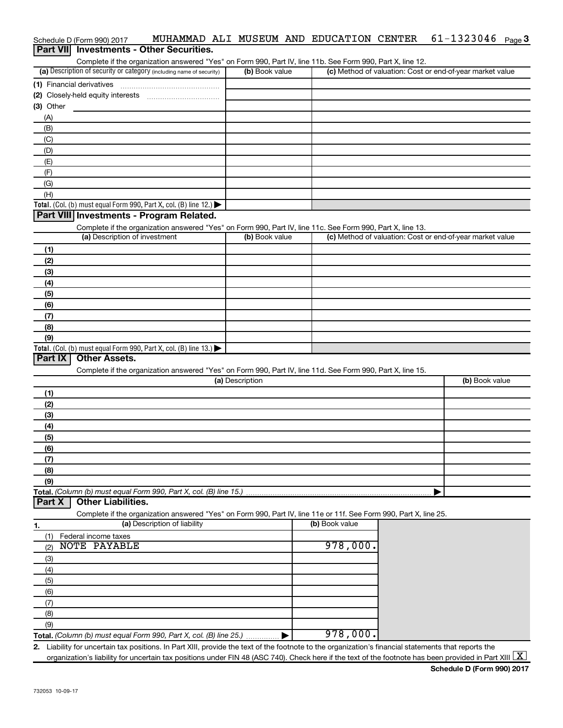|                  | Schedule D (Form 990) 2017    | MUHAMMAD ALI MUSEUM AND EDUCATION CENTER                                                                                                             |                 |                | $61 - 1323046$ Page 3                                     |  |
|------------------|-------------------------------|------------------------------------------------------------------------------------------------------------------------------------------------------|-----------------|----------------|-----------------------------------------------------------|--|
| <b>Part VIII</b> |                               | <b>Investments - Other Securities.</b>                                                                                                               |                 |                |                                                           |  |
|                  |                               | Complete if the organization answered "Yes" on Form 990, Part IV, line 11b. See Form 990, Part X, line 12.                                           |                 |                |                                                           |  |
|                  |                               | (a) Description of security or category (including name of security)                                                                                 | (b) Book value  |                | (c) Method of valuation: Cost or end-of-year market value |  |
|                  | (1) Financial derivatives     |                                                                                                                                                      |                 |                |                                                           |  |
|                  |                               |                                                                                                                                                      |                 |                |                                                           |  |
| $(3)$ Other      |                               |                                                                                                                                                      |                 |                |                                                           |  |
| (A)              |                               |                                                                                                                                                      |                 |                |                                                           |  |
| (B)              |                               |                                                                                                                                                      |                 |                |                                                           |  |
| (C)              |                               |                                                                                                                                                      |                 |                |                                                           |  |
| (D)              |                               |                                                                                                                                                      |                 |                |                                                           |  |
| (E)              |                               |                                                                                                                                                      |                 |                |                                                           |  |
| (F)              |                               |                                                                                                                                                      |                 |                |                                                           |  |
| (G)              |                               |                                                                                                                                                      |                 |                |                                                           |  |
| (H)              |                               |                                                                                                                                                      |                 |                |                                                           |  |
|                  |                               | Total. (Col. (b) must equal Form 990, Part X, col. (B) line 12.)                                                                                     |                 |                |                                                           |  |
|                  |                               | Part VIII Investments - Program Related.                                                                                                             |                 |                |                                                           |  |
|                  |                               | Complete if the organization answered "Yes" on Form 990, Part IV, line 11c. See Form 990, Part X, line 13.                                           |                 |                |                                                           |  |
|                  | (a) Description of investment |                                                                                                                                                      | (b) Book value  |                | (c) Method of valuation: Cost or end-of-year market value |  |
| (1)              |                               |                                                                                                                                                      |                 |                |                                                           |  |
| (2)              |                               |                                                                                                                                                      |                 |                |                                                           |  |
| (3)              |                               |                                                                                                                                                      |                 |                |                                                           |  |
| (4)              |                               |                                                                                                                                                      |                 |                |                                                           |  |
| (5)              |                               |                                                                                                                                                      |                 |                |                                                           |  |
| (6)              |                               |                                                                                                                                                      |                 |                |                                                           |  |
| (7)              |                               |                                                                                                                                                      |                 |                |                                                           |  |
| (8)              |                               |                                                                                                                                                      |                 |                |                                                           |  |
| (9)              |                               |                                                                                                                                                      |                 |                |                                                           |  |
|                  |                               | Total. (Col. (b) must equal Form 990, Part X, col. (B) line $13$ .)                                                                                  |                 |                |                                                           |  |
| Part IX          | <b>Other Assets.</b>          |                                                                                                                                                      |                 |                |                                                           |  |
|                  |                               | Complete if the organization answered "Yes" on Form 990, Part IV, line 11d. See Form 990, Part X, line 15.                                           |                 |                |                                                           |  |
|                  |                               |                                                                                                                                                      | (a) Description |                | (b) Book value                                            |  |
| (1)              |                               |                                                                                                                                                      |                 |                |                                                           |  |
| (2)              |                               |                                                                                                                                                      |                 |                |                                                           |  |
| (3)              |                               |                                                                                                                                                      |                 |                |                                                           |  |
| (4)              |                               |                                                                                                                                                      |                 |                |                                                           |  |
| (5)              |                               |                                                                                                                                                      |                 |                |                                                           |  |
| (6)              |                               |                                                                                                                                                      |                 |                |                                                           |  |
| (7)              |                               |                                                                                                                                                      |                 |                |                                                           |  |
| (8)              |                               |                                                                                                                                                      |                 |                |                                                           |  |
| (9)              |                               |                                                                                                                                                      |                 |                |                                                           |  |
|                  |                               | Total. (Column (b) must equal Form 990, Part X, col. (B) line 15.)                                                                                   |                 |                |                                                           |  |
| Part X           | <b>Other Liabilities.</b>     |                                                                                                                                                      |                 |                |                                                           |  |
|                  |                               | Complete if the organization answered "Yes" on Form 990, Part IV, line 11e or 11f. See Form 990, Part X, line 25.                                    |                 |                |                                                           |  |
| 1.               |                               | (a) Description of liability                                                                                                                         |                 | (b) Book value |                                                           |  |
| (1)              | Federal income taxes          |                                                                                                                                                      |                 |                |                                                           |  |
| (2)              | <b>NOTE PAYABLE</b>           |                                                                                                                                                      |                 | 978,000.       |                                                           |  |
| (3)              |                               |                                                                                                                                                      |                 |                |                                                           |  |
| (4)              |                               |                                                                                                                                                      |                 |                |                                                           |  |
| (5)              |                               |                                                                                                                                                      |                 |                |                                                           |  |
| (6)              |                               |                                                                                                                                                      |                 |                |                                                           |  |
| (7)              |                               |                                                                                                                                                      |                 |                |                                                           |  |
| (8)              |                               |                                                                                                                                                      |                 |                |                                                           |  |
| (9)              |                               |                                                                                                                                                      |                 |                |                                                           |  |
|                  |                               | Total. (Column (b) must equal Form 990, Part X, col. (B) line 25.)                                                                                   |                 | 978,000.       |                                                           |  |
|                  |                               | 2. Liability for uncertain tax positions. In Part XIII, provide the text of the footnote to the organization's financial statements that reports the |                 |                |                                                           |  |

organization's liability for uncertain tax positions under FIN 48 (ASC 740). Check here if the text of the footnote has been provided in Part XIII  $\boxed{\text{X}}$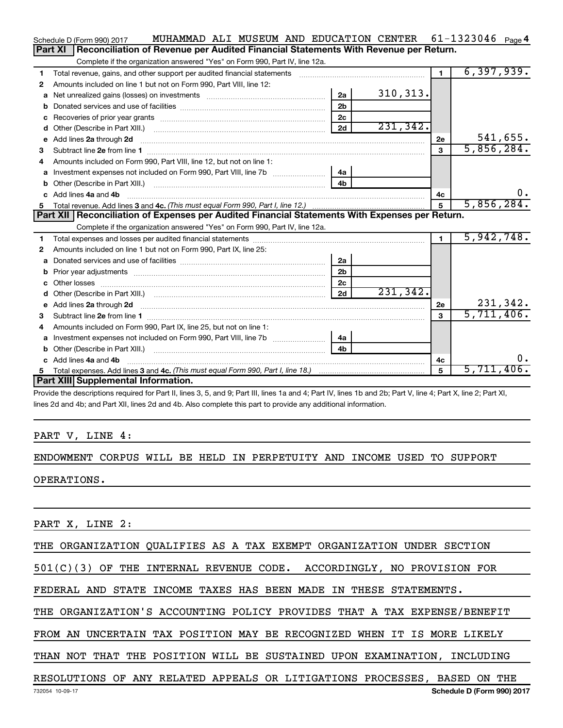|    | MUHAMMAD ALI MUSEUM AND EDUCATION CENTER<br>Schedule D (Form 990) 2017                                                                                                                                                               |                |           |                | 61-1323046 $_{Page 4}$ |       |
|----|--------------------------------------------------------------------------------------------------------------------------------------------------------------------------------------------------------------------------------------|----------------|-----------|----------------|------------------------|-------|
|    | Reconciliation of Revenue per Audited Financial Statements With Revenue per Return.<br>Part XI                                                                                                                                       |                |           |                |                        |       |
|    | Complete if the organization answered "Yes" on Form 990, Part IV, line 12a.                                                                                                                                                          |                |           |                |                        |       |
| 1  | Total revenue, gains, and other support per audited financial statements [111] [11] Total revenue, gains, and other support per audited financial statements                                                                         |                |           | $\blacksquare$ | 6, 397, 939.           |       |
| 2  | Amounts included on line 1 but not on Form 990, Part VIII, line 12:                                                                                                                                                                  |                |           |                |                        |       |
| a  |                                                                                                                                                                                                                                      | 2a             | 310, 313. |                |                        |       |
|    |                                                                                                                                                                                                                                      | 2 <sub>b</sub> |           |                |                        |       |
| с  |                                                                                                                                                                                                                                      | 2c             |           |                |                        |       |
| d  |                                                                                                                                                                                                                                      | 2d             | 231, 342. |                |                        |       |
| е  | Add lines 2a through 2d <b>Martin Martin Martin Martin Martin Martin Martin Martin Martin Martin Martin Martin Martin Martin Martin Martin Martin Martin Martin Martin Martin Martin Martin Martin Martin Martin Martin Martin M</b> |                |           | 2e             | 541,655.               |       |
| 3  |                                                                                                                                                                                                                                      |                |           | 3              | 5,856,284.             |       |
| 4  | Amounts included on Form 990, Part VIII, line 12, but not on line 1:                                                                                                                                                                 |                |           |                |                        |       |
| a  |                                                                                                                                                                                                                                      | 4a             |           |                |                        |       |
| b  |                                                                                                                                                                                                                                      | 4 <sub>b</sub> |           |                |                        |       |
| C. | Add lines 4a and 4b                                                                                                                                                                                                                  |                |           | 4с             |                        | 0.    |
| 5  |                                                                                                                                                                                                                                      |                |           | 5              | 5,856,284.             |       |
|    |                                                                                                                                                                                                                                      |                |           |                |                        |       |
|    | Part XII   Reconciliation of Expenses per Audited Financial Statements With Expenses per Return.                                                                                                                                     |                |           |                |                        |       |
|    | Complete if the organization answered "Yes" on Form 990, Part IV, line 12a.                                                                                                                                                          |                |           |                |                        |       |
| 1  |                                                                                                                                                                                                                                      |                |           | $\mathbf{1}$   | 5,942,748.             |       |
| 2  | Amounts included on line 1 but not on Form 990, Part IX, line 25:                                                                                                                                                                    |                |           |                |                        |       |
| a  |                                                                                                                                                                                                                                      | 2a             |           |                |                        |       |
| b  |                                                                                                                                                                                                                                      | 2 <sub>b</sub> |           |                |                        |       |
| c  |                                                                                                                                                                                                                                      | 2 <sub>c</sub> |           |                |                        |       |
|    |                                                                                                                                                                                                                                      | 2d             | 231,342.  |                |                        |       |
| е  | Add lines 2a through 2d <b>contained a contained a contained a contained a</b> contained a contained a contained a contained a contained a contained a contained a contained a contained a contained a contained a contained a cont  |                |           | 2e             | 231,342.               |       |
| 3  |                                                                                                                                                                                                                                      |                |           | $\mathbf{a}$   | 5,711,406.             |       |
| 4  | Amounts included on Form 990, Part IX, line 25, but not on line 1:                                                                                                                                                                   |                |           |                |                        |       |
| a  |                                                                                                                                                                                                                                      | 4a             |           |                |                        |       |
|    |                                                                                                                                                                                                                                      | 4b             |           |                |                        |       |
|    | Add lines 4a and 4b                                                                                                                                                                                                                  |                |           | 4c             |                        | $0$ . |
| 5  | Part XIII Supplemental Information.                                                                                                                                                                                                  |                |           | 5              | 5,711,406.             |       |

Provide the descriptions required for Part II, lines 3, 5, and 9; Part III, lines 1a and 4; Part IV, lines 1b and 2b; Part V, line 4; Part X, line 2; Part XI, lines 2d and 4b; and Part XII, lines 2d and 4b. Also complete this part to provide any additional information.

#### PART V, LINE 4:

#### ENDOWMENT CORPUS WILL BE HELD IN PERPETUITY AND INCOME USED TO SUPPORT

OPERATIONS.

PART X, LINE 2:

THE ORGANIZATION QUALIFIES AS A TAX EXEMPT ORGANIZATION UNDER SECTION

501(C)(3) OF THE INTERNAL REVENUE CODE. ACCORDINGLY, NO PROVISION FOR

FEDERAL AND STATE INCOME TAXES HAS BEEN MADE IN THESE STATEMENTS.

THE ORGANIZATION'S ACCOUNTING POLICY PROVIDES THAT A TAX EXPENSE/BENEFIT

FROM AN UNCERTAIN TAX POSITION MAY BE RECOGNIZED WHEN IT IS MORE LIKELY

THAN NOT THAT THE POSITION WILL BE SUSTAINED UPON EXAMINATION, INCLUDING

#### **Schedule D (Form 990) 2017** RESOLUTIONS OF ANY RELATED APPEALS OR LITIGATIONS PROCESSES, BASED ON THE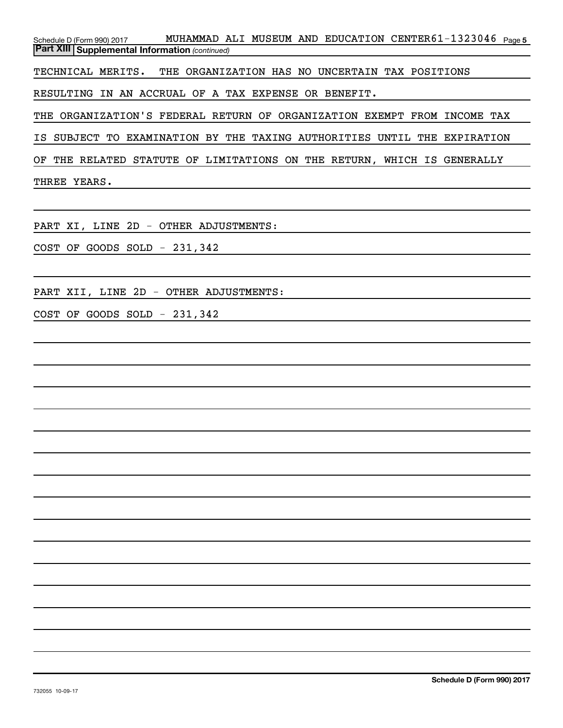Schedule D (Form 990) 2017 **MUHAMMAD ALI MUSEUM AND EDUCATION CENTER61-1323046** page 5 *(continued)* **Part XIII Supplemental Information**  TECHNICAL MERITS. THE ORGANIZATION HAS NO UNCERTAIN TAX POSITIONS RESULTING IN AN ACCRUAL OF A TAX EXPENSE OR BENEFIT.

THE ORGANIZATION'S FEDERAL RETURN OF ORGANIZATION EXEMPT FROM INCOME TAX

IS SUBJECT TO EXAMINATION BY THE TAXING AUTHORITIES UNTIL THE EXPIRATION

OF THE RELATED STATUTE OF LIMITATIONS ON THE RETURN, WHICH IS GENERALLY

THREE YEARS.

PART XI, LINE 2D - OTHER ADJUSTMENTS:

COST OF GOODS SOLD - 231,342

PART XII, LINE 2D - OTHER ADJUSTMENTS:

COST OF GOODS SOLD - 231,342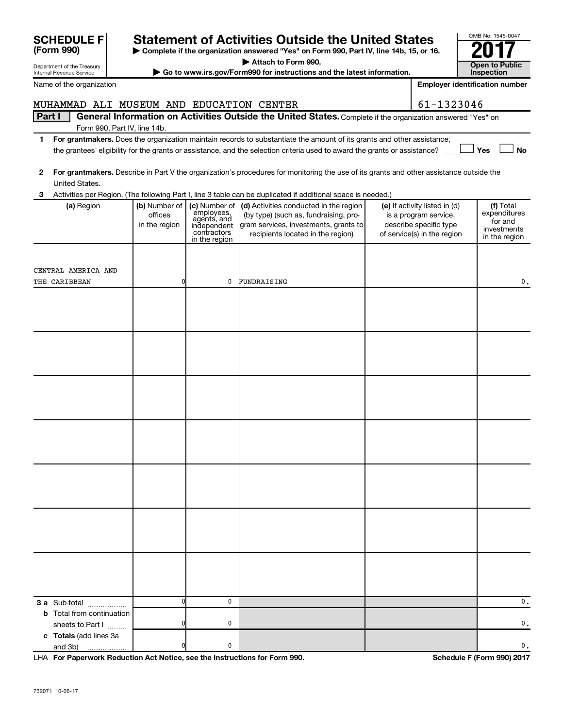|              | <b>SCHEDULE F</b><br>(Form 990)                        |                                           |                                                                          | <b>Statement of Activities Outside the United States</b><br>Complete if the organization answered "Yes" on Form 990, Part IV, line 14b, 15, or 16.                                                                                                   |                                                                                                                 | OMB No. 1545-0047                                                    |
|--------------|--------------------------------------------------------|-------------------------------------------|--------------------------------------------------------------------------|------------------------------------------------------------------------------------------------------------------------------------------------------------------------------------------------------------------------------------------------------|-----------------------------------------------------------------------------------------------------------------|----------------------------------------------------------------------|
|              | Department of the Treasury<br>Internal Revenue Service |                                           |                                                                          | Attach to Form 990.<br>Go to www.irs.gov/Form990 for instructions and the latest information.                                                                                                                                                        |                                                                                                                 | <b>Open to Public</b><br><b>Inspection</b>                           |
|              | Name of the organization                               |                                           |                                                                          |                                                                                                                                                                                                                                                      |                                                                                                                 | <b>Employer identification number</b>                                |
|              | MUHAMMAD ALI MUSEUM AND EDUCATION CENTER               |                                           |                                                                          |                                                                                                                                                                                                                                                      | 61-1323046                                                                                                      |                                                                      |
| Part I       |                                                        |                                           |                                                                          | General Information on Activities Outside the United States. Complete if the organization answered "Yes" on                                                                                                                                          |                                                                                                                 |                                                                      |
|              | Form 990, Part IV, line 14b.                           |                                           |                                                                          |                                                                                                                                                                                                                                                      |                                                                                                                 |                                                                      |
| 1.           |                                                        |                                           |                                                                          | For grantmakers. Does the organization maintain records to substantiate the amount of its grants and other assistance,<br>the grantees' eligibility for the grants or assistance, and the selection criteria used to award the grants or assistance? |                                                                                                                 | Yes<br><b>No</b>                                                     |
| $\mathbf{2}$ | United States.                                         |                                           |                                                                          | For grantmakers. Describe in Part V the organization's procedures for monitoring the use of its grants and other assistance outside the                                                                                                              |                                                                                                                 |                                                                      |
| 3            |                                                        |                                           |                                                                          | Activities per Region. (The following Part I, line 3 table can be duplicated if additional space is needed.)                                                                                                                                         |                                                                                                                 |                                                                      |
|              | (a) Region                                             | (b) Number of<br>offices<br>in the region | employees,<br>agents, and<br>independent<br>contractors<br>in the region | (c) Number of (d) Activities conducted in the region<br>(by type) (such as, fundraising, pro-<br>gram services, investments, grants to<br>recipients located in the region)                                                                          | (e) If activity listed in (d)<br>is a program service,<br>describe specific type<br>of service(s) in the region | (f) Total<br>expenditures<br>for and<br>investments<br>in the region |
|              | CENTRAL AMERICA AND<br>THE CARIBBEAN                   | 0                                         | 0                                                                        | FUNDRAISING                                                                                                                                                                                                                                          |                                                                                                                 | 0.                                                                   |
|              |                                                        |                                           |                                                                          |                                                                                                                                                                                                                                                      |                                                                                                                 |                                                                      |
|              |                                                        |                                           |                                                                          |                                                                                                                                                                                                                                                      |                                                                                                                 |                                                                      |
|              |                                                        |                                           |                                                                          |                                                                                                                                                                                                                                                      |                                                                                                                 |                                                                      |
|              |                                                        |                                           |                                                                          |                                                                                                                                                                                                                                                      |                                                                                                                 |                                                                      |
|              |                                                        |                                           |                                                                          |                                                                                                                                                                                                                                                      |                                                                                                                 |                                                                      |
|              |                                                        |                                           |                                                                          |                                                                                                                                                                                                                                                      |                                                                                                                 |                                                                      |
|              |                                                        |                                           |                                                                          |                                                                                                                                                                                                                                                      |                                                                                                                 |                                                                      |
|              |                                                        |                                           |                                                                          |                                                                                                                                                                                                                                                      |                                                                                                                 |                                                                      |
|              |                                                        |                                           |                                                                          |                                                                                                                                                                                                                                                      |                                                                                                                 |                                                                      |
|              |                                                        |                                           |                                                                          |                                                                                                                                                                                                                                                      |                                                                                                                 |                                                                      |
|              | 3 a Sub-total                                          | $\mathbf{0}$                              | 0                                                                        |                                                                                                                                                                                                                                                      |                                                                                                                 | 0.                                                                   |
|              | <b>b</b> Total from continuation<br>sheets to Part I   | 0                                         | 0                                                                        |                                                                                                                                                                                                                                                      |                                                                                                                 | 0.                                                                   |
|              | c Totals (add lines 3a<br>and 3b)                      |                                           | 0                                                                        |                                                                                                                                                                                                                                                      |                                                                                                                 | 0.                                                                   |

**For Paperwork Reduction Act Notice, see the Instructions for Form 990. Schedule F (Form 990) 2017** LHA

OMB No. 1545-0047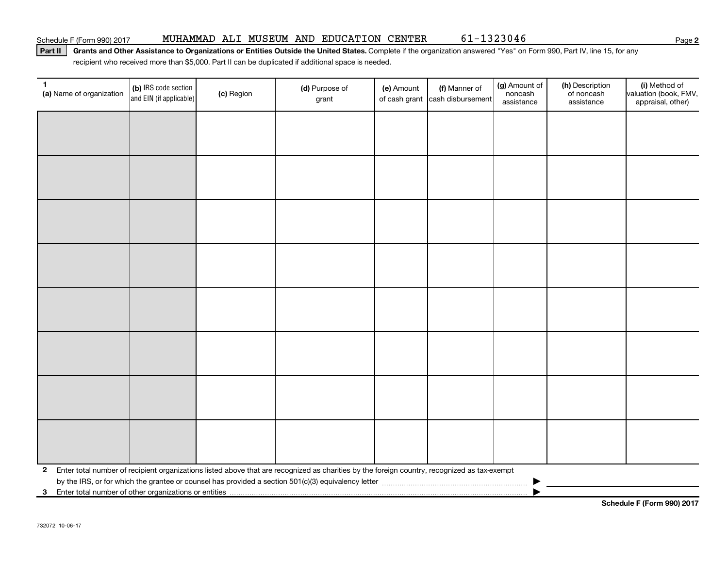Part II | Grants and Other Assistance to Organizations or Entities Outside the United States. Complete if the organization answered "Yes" on Form 990, Part IV, line 15, for any recipient who received more than \$5,000. Part II can be duplicated if additional space is needed.

| $\mathbf{1}$<br>(a) Name of organization                | (b) IRS code section<br>and EIN (if applicable) | (c) Region | (d) Purpose of<br>grant                                                                                                                      | (e) Amount | (f) Manner of<br>of cash grant cash disbursement | (g) Amount of<br>noncash<br>assistance | (h) Description<br>of noncash<br>assistance | (i) Method of<br>valuation (book, FMV,<br>appraisal, other) |
|---------------------------------------------------------|-------------------------------------------------|------------|----------------------------------------------------------------------------------------------------------------------------------------------|------------|--------------------------------------------------|----------------------------------------|---------------------------------------------|-------------------------------------------------------------|
|                                                         |                                                 |            |                                                                                                                                              |            |                                                  |                                        |                                             |                                                             |
|                                                         |                                                 |            |                                                                                                                                              |            |                                                  |                                        |                                             |                                                             |
|                                                         |                                                 |            |                                                                                                                                              |            |                                                  |                                        |                                             |                                                             |
|                                                         |                                                 |            |                                                                                                                                              |            |                                                  |                                        |                                             |                                                             |
|                                                         |                                                 |            |                                                                                                                                              |            |                                                  |                                        |                                             |                                                             |
|                                                         |                                                 |            |                                                                                                                                              |            |                                                  |                                        |                                             |                                                             |
|                                                         |                                                 |            |                                                                                                                                              |            |                                                  |                                        |                                             |                                                             |
|                                                         |                                                 |            |                                                                                                                                              |            |                                                  |                                        |                                             |                                                             |
|                                                         |                                                 |            |                                                                                                                                              |            |                                                  |                                        |                                             |                                                             |
|                                                         |                                                 |            |                                                                                                                                              |            |                                                  |                                        |                                             |                                                             |
|                                                         |                                                 |            |                                                                                                                                              |            |                                                  |                                        |                                             |                                                             |
|                                                         |                                                 |            |                                                                                                                                              |            |                                                  |                                        |                                             |                                                             |
|                                                         |                                                 |            |                                                                                                                                              |            |                                                  |                                        |                                             |                                                             |
|                                                         |                                                 |            |                                                                                                                                              |            |                                                  |                                        |                                             |                                                             |
|                                                         |                                                 |            |                                                                                                                                              |            |                                                  |                                        |                                             |                                                             |
|                                                         |                                                 |            |                                                                                                                                              |            |                                                  |                                        |                                             |                                                             |
| $\mathbf{2}$                                            |                                                 |            | Enter total number of recipient organizations listed above that are recognized as charities by the foreign country, recognized as tax-exempt |            |                                                  |                                        |                                             |                                                             |
|                                                         |                                                 |            |                                                                                                                                              |            |                                                  |                                        |                                             |                                                             |
| 3 Enter total number of other organizations or entities |                                                 |            |                                                                                                                                              |            |                                                  |                                        |                                             |                                                             |

**Schedule F (Form 990) 2017**

**2**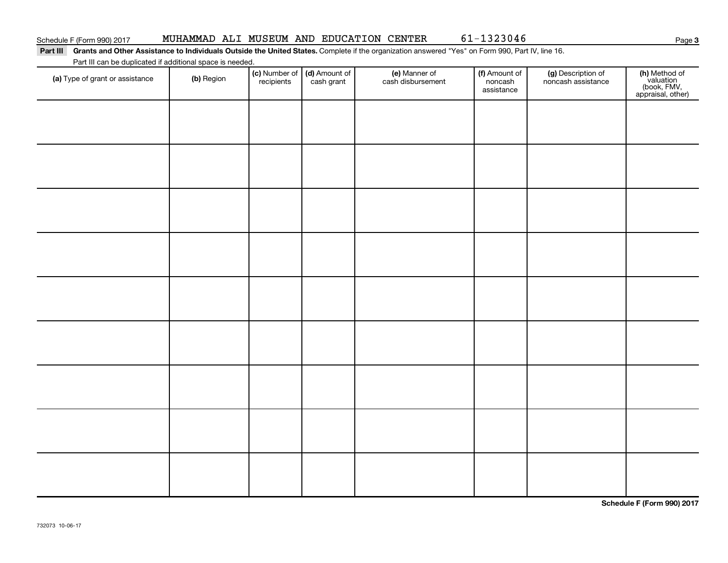**3**

#### Part III Grants and Other Assistance to Individuals Outside the United States. Complete if the organization answered "Yes" on Form 990, Part IV, line 16. Part III can be duplicated if additional space is needed.

| Part in carrier diplicated in additional space is needed.<br>(a) Type of grant or assistance | (b) Region | (c) Number of<br>recipients | (d) Amount of<br>cash grant | (e) Manner of<br>cash disbursement | (f) Amount of<br>noncash<br>assistance | (g) Description of<br>noncash assistance | (h) Method of<br>valuation<br>(book, FMV,<br>appraisal, other) |
|----------------------------------------------------------------------------------------------|------------|-----------------------------|-----------------------------|------------------------------------|----------------------------------------|------------------------------------------|----------------------------------------------------------------|
|                                                                                              |            |                             |                             |                                    |                                        |                                          |                                                                |
|                                                                                              |            |                             |                             |                                    |                                        |                                          |                                                                |
|                                                                                              |            |                             |                             |                                    |                                        |                                          |                                                                |
|                                                                                              |            |                             |                             |                                    |                                        |                                          |                                                                |
|                                                                                              |            |                             |                             |                                    |                                        |                                          |                                                                |
|                                                                                              |            |                             |                             |                                    |                                        |                                          |                                                                |
|                                                                                              |            |                             |                             |                                    |                                        |                                          |                                                                |
|                                                                                              |            |                             |                             |                                    |                                        |                                          |                                                                |
|                                                                                              |            |                             |                             |                                    |                                        |                                          |                                                                |
|                                                                                              |            |                             |                             |                                    |                                        |                                          |                                                                |

**Schedule F (Form 990) 2017**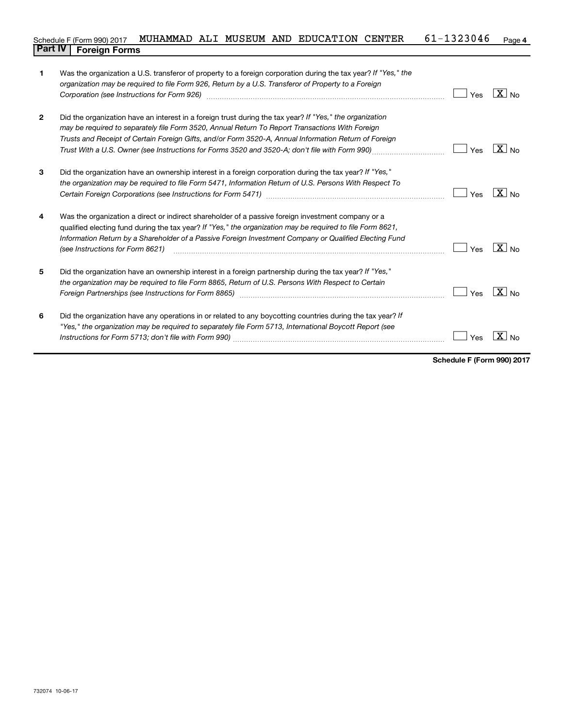#### **4** Schedule F (Form 990) 2017 MUHAMMAD ALI MUSEUM AND EDUCATION CENTER  $61-1323046$  Page **Part IV F** (Form 990) 2017 1

| 1            | Was the organization a U.S. transferor of property to a foreign corporation during the tax year? If "Yes," the<br>organization may be required to file Form 926, Return by a U.S. Transferor of Property to a Foreign<br>Corporation (see Instructions for Form 926)                                                                                                                                                   | Yes | $\overline{X}$ No |
|--------------|------------------------------------------------------------------------------------------------------------------------------------------------------------------------------------------------------------------------------------------------------------------------------------------------------------------------------------------------------------------------------------------------------------------------|-----|-------------------|
| $\mathbf{2}$ | Did the organization have an interest in a foreign trust during the tax year? If "Yes," the organization<br>may be required to separately file Form 3520, Annual Return To Report Transactions With Foreign<br>Trusts and Receipt of Certain Foreign Gifts, and/or Form 3520-A, Annual Information Return of Foreign<br>Trust With a U.S. Owner (see Instructions for Forms 3520 and 3520-A; don't file with Form 990) | Yes | $X _{N0}$         |
| 3            | Did the organization have an ownership interest in a foreign corporation during the tax year? If "Yes,"<br>the organization may be required to file Form 5471, Information Return of U.S. Persons With Respect To                                                                                                                                                                                                      | Yes | $\overline{X}$ No |
| 4            | Was the organization a direct or indirect shareholder of a passive foreign investment company or a<br>qualified electing fund during the tax year? If "Yes," the organization may be required to file Form 8621,<br>Information Return by a Shareholder of a Passive Foreign Investment Company or Qualified Electing Fund<br>(see Instructions for Form 8621)                                                         | Yes | $X _{N_Q}$        |
| 5            | Did the organization have an ownership interest in a foreign partnership during the tax year? If "Yes,"<br>the organization may be required to file Form 8865, Return of U.S. Persons With Respect to Certain                                                                                                                                                                                                          | Yes | $X _{No}$         |
| 6            | Did the organization have any operations in or related to any boycotting countries during the tax year? If<br>"Yes," the organization may be required to separately file Form 5713, International Boycott Report (see                                                                                                                                                                                                  | Yes |                   |

**Schedule F (Form 990) 2017**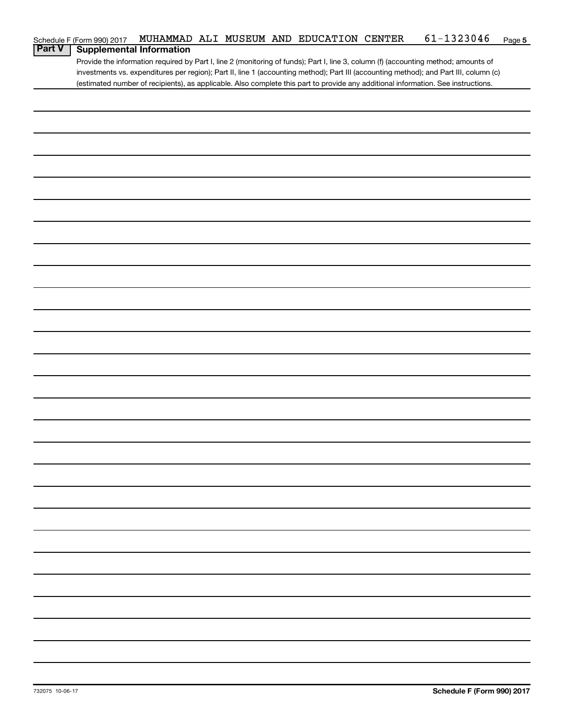| <b>Part V</b> | Schedule F (Form 990) 2017      | MUHAMMAD ALI MUSEUM AND EDUCATION CENTER |  |  |  | 61-1323046                                                                                                                            | Page 5 |
|---------------|---------------------------------|------------------------------------------|--|--|--|---------------------------------------------------------------------------------------------------------------------------------------|--------|
|               | <b>Supplemental Information</b> |                                          |  |  |  | Provide the information required by Part I, line 2 (monitoring of funds); Part I, line 3, column (f) (accounting method; amounts of   |        |
|               |                                 |                                          |  |  |  | investments vs. expenditures per region); Part II, line 1 (accounting method); Part III (accounting method); and Part III, column (c) |        |
|               |                                 |                                          |  |  |  | (estimated number of recipients), as applicable. Also complete this part to provide any additional information. See instructions.     |        |
|               |                                 |                                          |  |  |  |                                                                                                                                       |        |
|               |                                 |                                          |  |  |  |                                                                                                                                       |        |
|               |                                 |                                          |  |  |  |                                                                                                                                       |        |
|               |                                 |                                          |  |  |  |                                                                                                                                       |        |
|               |                                 |                                          |  |  |  |                                                                                                                                       |        |
|               |                                 |                                          |  |  |  |                                                                                                                                       |        |
|               |                                 |                                          |  |  |  |                                                                                                                                       |        |
|               |                                 |                                          |  |  |  |                                                                                                                                       |        |
|               |                                 |                                          |  |  |  |                                                                                                                                       |        |
|               |                                 |                                          |  |  |  |                                                                                                                                       |        |
|               |                                 |                                          |  |  |  |                                                                                                                                       |        |
|               |                                 |                                          |  |  |  |                                                                                                                                       |        |
|               |                                 |                                          |  |  |  |                                                                                                                                       |        |
|               |                                 |                                          |  |  |  |                                                                                                                                       |        |
|               |                                 |                                          |  |  |  |                                                                                                                                       |        |
|               |                                 |                                          |  |  |  |                                                                                                                                       |        |
|               |                                 |                                          |  |  |  |                                                                                                                                       |        |
|               |                                 |                                          |  |  |  |                                                                                                                                       |        |
|               |                                 |                                          |  |  |  |                                                                                                                                       |        |
|               |                                 |                                          |  |  |  |                                                                                                                                       |        |
|               |                                 |                                          |  |  |  |                                                                                                                                       |        |
|               |                                 |                                          |  |  |  |                                                                                                                                       |        |
|               |                                 |                                          |  |  |  |                                                                                                                                       |        |
|               |                                 |                                          |  |  |  |                                                                                                                                       |        |
|               |                                 |                                          |  |  |  |                                                                                                                                       |        |
|               |                                 |                                          |  |  |  |                                                                                                                                       |        |
|               |                                 |                                          |  |  |  |                                                                                                                                       |        |
|               |                                 |                                          |  |  |  |                                                                                                                                       |        |
|               |                                 |                                          |  |  |  |                                                                                                                                       |        |
|               |                                 |                                          |  |  |  |                                                                                                                                       |        |
|               |                                 |                                          |  |  |  |                                                                                                                                       |        |
|               |                                 |                                          |  |  |  |                                                                                                                                       |        |
|               |                                 |                                          |  |  |  |                                                                                                                                       |        |
|               |                                 |                                          |  |  |  |                                                                                                                                       |        |
|               |                                 |                                          |  |  |  |                                                                                                                                       |        |
|               |                                 |                                          |  |  |  |                                                                                                                                       |        |
|               |                                 |                                          |  |  |  |                                                                                                                                       |        |
|               |                                 |                                          |  |  |  |                                                                                                                                       |        |
|               |                                 |                                          |  |  |  |                                                                                                                                       |        |
|               |                                 |                                          |  |  |  |                                                                                                                                       |        |
|               |                                 |                                          |  |  |  |                                                                                                                                       |        |
|               |                                 |                                          |  |  |  |                                                                                                                                       |        |
|               |                                 |                                          |  |  |  |                                                                                                                                       |        |
|               |                                 |                                          |  |  |  |                                                                                                                                       |        |
|               |                                 |                                          |  |  |  |                                                                                                                                       |        |
|               |                                 |                                          |  |  |  |                                                                                                                                       |        |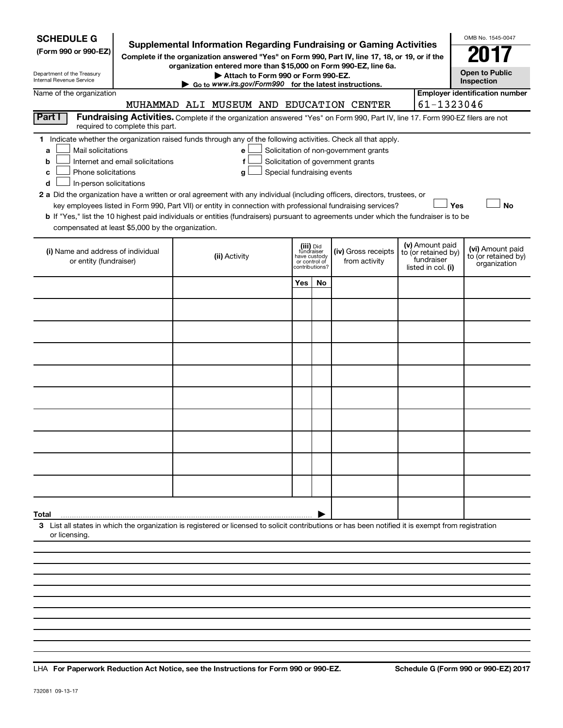| <b>SCHEDULE G</b><br>(Form 990 or 990-EZ)<br>Department of the Treasury<br>Internal Revenue Service                                                                                                                                                                                                                                                                                                                                                                                                                                                                                                                                                                                        | <b>Supplemental Information Regarding Fundraising or Gaming Activities</b><br>Complete if the organization answered "Yes" on Form 990, Part IV, line 17, 18, or 19, or if the<br>organization entered more than \$15,000 on Form 990-EZ, line 6a.<br>Attach to Form 990 or Form 990-EZ.<br>Go to www.irs.gov/Form990 for the latest instructions. |                                                                            |    |                                                                            |                                                                            | OMB No. 1545-0047<br><b>Open to Public</b><br>Inspection |
|--------------------------------------------------------------------------------------------------------------------------------------------------------------------------------------------------------------------------------------------------------------------------------------------------------------------------------------------------------------------------------------------------------------------------------------------------------------------------------------------------------------------------------------------------------------------------------------------------------------------------------------------------------------------------------------------|---------------------------------------------------------------------------------------------------------------------------------------------------------------------------------------------------------------------------------------------------------------------------------------------------------------------------------------------------|----------------------------------------------------------------------------|----|----------------------------------------------------------------------------|----------------------------------------------------------------------------|----------------------------------------------------------|
| Name of the organization                                                                                                                                                                                                                                                                                                                                                                                                                                                                                                                                                                                                                                                                   |                                                                                                                                                                                                                                                                                                                                                   |                                                                            |    |                                                                            |                                                                            | <b>Employer identification number</b>                    |
| Part I                                                                                                                                                                                                                                                                                                                                                                                                                                                                                                                                                                                                                                                                                     | MUHAMMAD ALI MUSEUM AND EDUCATION CENTER                                                                                                                                                                                                                                                                                                          |                                                                            |    |                                                                            | 61-1323046                                                                 |                                                          |
| required to complete this part.                                                                                                                                                                                                                                                                                                                                                                                                                                                                                                                                                                                                                                                            | Fundraising Activities. Complete if the organization answered "Yes" on Form 990, Part IV, line 17. Form 990-EZ filers are not                                                                                                                                                                                                                     |                                                                            |    |                                                                            |                                                                            |                                                          |
| 1 Indicate whether the organization raised funds through any of the following activities. Check all that apply.<br>Mail solicitations<br>a<br>Internet and email solicitations<br>b<br>Phone solicitations<br>с<br>In-person solicitations<br>d<br>2 a Did the organization have a written or oral agreement with any individual (including officers, directors, trustees, or<br>key employees listed in Form 990, Part VII) or entity in connection with professional fundraising services?<br>b If "Yes," list the 10 highest paid individuals or entities (fundraisers) pursuant to agreements under which the fundraiser is to be<br>compensated at least \$5,000 by the organization. | e<br>f<br>Special fundraising events<br>g                                                                                                                                                                                                                                                                                                         |                                                                            |    | Solicitation of non-government grants<br>Solicitation of government grants | Yes                                                                        | <b>No</b>                                                |
| (i) Name and address of individual<br>or entity (fundraiser)                                                                                                                                                                                                                                                                                                                                                                                                                                                                                                                                                                                                                               | (ii) Activity                                                                                                                                                                                                                                                                                                                                     | (iii) Did<br>fundraiser<br>have custody<br>or control of<br>contributions? |    | (iv) Gross receipts<br>from activity                                       | (v) Amount paid<br>to (or retained by)<br>fundraiser<br>listed in col. (i) | (vi) Amount paid<br>to (or retained by)<br>organization  |
|                                                                                                                                                                                                                                                                                                                                                                                                                                                                                                                                                                                                                                                                                            |                                                                                                                                                                                                                                                                                                                                                   | Yes                                                                        | No |                                                                            |                                                                            |                                                          |
|                                                                                                                                                                                                                                                                                                                                                                                                                                                                                                                                                                                                                                                                                            |                                                                                                                                                                                                                                                                                                                                                   |                                                                            |    |                                                                            |                                                                            |                                                          |
|                                                                                                                                                                                                                                                                                                                                                                                                                                                                                                                                                                                                                                                                                            |                                                                                                                                                                                                                                                                                                                                                   |                                                                            |    |                                                                            |                                                                            |                                                          |
|                                                                                                                                                                                                                                                                                                                                                                                                                                                                                                                                                                                                                                                                                            |                                                                                                                                                                                                                                                                                                                                                   |                                                                            |    |                                                                            |                                                                            |                                                          |
|                                                                                                                                                                                                                                                                                                                                                                                                                                                                                                                                                                                                                                                                                            |                                                                                                                                                                                                                                                                                                                                                   |                                                                            |    |                                                                            |                                                                            |                                                          |
|                                                                                                                                                                                                                                                                                                                                                                                                                                                                                                                                                                                                                                                                                            |                                                                                                                                                                                                                                                                                                                                                   |                                                                            |    |                                                                            |                                                                            |                                                          |
|                                                                                                                                                                                                                                                                                                                                                                                                                                                                                                                                                                                                                                                                                            |                                                                                                                                                                                                                                                                                                                                                   |                                                                            |    |                                                                            |                                                                            |                                                          |
|                                                                                                                                                                                                                                                                                                                                                                                                                                                                                                                                                                                                                                                                                            |                                                                                                                                                                                                                                                                                                                                                   |                                                                            |    |                                                                            |                                                                            |                                                          |
|                                                                                                                                                                                                                                                                                                                                                                                                                                                                                                                                                                                                                                                                                            |                                                                                                                                                                                                                                                                                                                                                   |                                                                            |    |                                                                            |                                                                            |                                                          |
|                                                                                                                                                                                                                                                                                                                                                                                                                                                                                                                                                                                                                                                                                            |                                                                                                                                                                                                                                                                                                                                                   |                                                                            |    |                                                                            |                                                                            |                                                          |
|                                                                                                                                                                                                                                                                                                                                                                                                                                                                                                                                                                                                                                                                                            |                                                                                                                                                                                                                                                                                                                                                   |                                                                            |    |                                                                            |                                                                            |                                                          |
|                                                                                                                                                                                                                                                                                                                                                                                                                                                                                                                                                                                                                                                                                            |                                                                                                                                                                                                                                                                                                                                                   |                                                                            |    |                                                                            |                                                                            |                                                          |
|                                                                                                                                                                                                                                                                                                                                                                                                                                                                                                                                                                                                                                                                                            |                                                                                                                                                                                                                                                                                                                                                   |                                                                            |    |                                                                            |                                                                            |                                                          |
| Total<br>3 List all states in which the organization is registered or licensed to solicit contributions or has been notified it is exempt from registration<br>or licensing                                                                                                                                                                                                                                                                                                                                                                                                                                                                                                                |                                                                                                                                                                                                                                                                                                                                                   |                                                                            |    |                                                                            |                                                                            |                                                          |
|                                                                                                                                                                                                                                                                                                                                                                                                                                                                                                                                                                                                                                                                                            |                                                                                                                                                                                                                                                                                                                                                   |                                                                            |    |                                                                            |                                                                            |                                                          |

**For Paperwork Reduction Act Notice, see the Instructions for Form 990 or 990-EZ. Schedule G (Form 990 or 990-EZ) 2017** LHA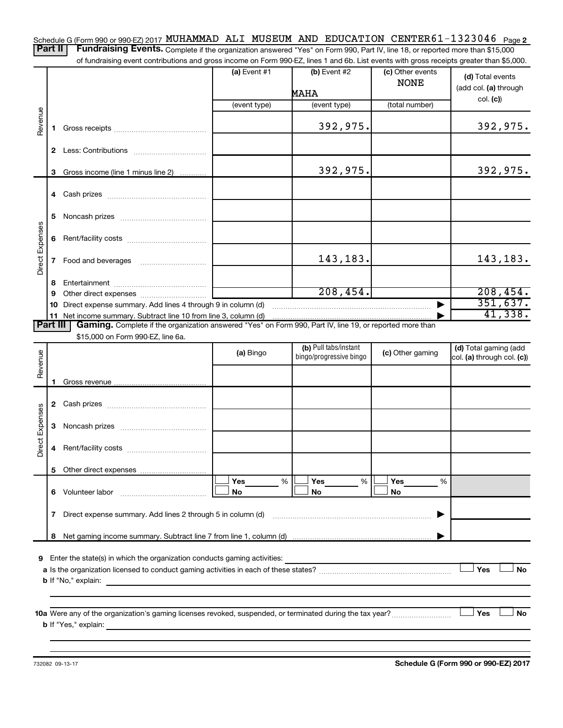Schedule G (Form 990 or 990-EZ) 2017 MUHAMMAD ALI MUSEUM AND EDUCATION CENTER 61-1323046 <sub>Page</sub> 2 Part II | Fundraising Events. Complete if the organization answered "Yes" on Form 990, Part IV, line 18, or reported more than \$15,000

of fundraising event contributions and gross income on Form 990-EZ, lines 1 and 6b. List events with gross receipts greater than \$5,000.

|                        |                                                                  | OF RINGLASHIY CVENT CONTINUATIONS AND GIVES INCOME ON FOND 330°CZ, IINCS T AND OD. EIST CVCHIS WILH GIVSS TECCIPIS GREEK THAN \$0,000. | (a) Event $#1$ | (b) Event $#2$          | (c) Other events | (d) Total events           |  |  |
|------------------------|------------------------------------------------------------------|----------------------------------------------------------------------------------------------------------------------------------------|----------------|-------------------------|------------------|----------------------------|--|--|
|                        |                                                                  |                                                                                                                                        |                | <b>MAHA</b>             | <b>NONE</b>      | (add col. (a) through      |  |  |
|                        |                                                                  |                                                                                                                                        | (event type)   | (event type)            | (total number)   | col. (c)                   |  |  |
|                        |                                                                  |                                                                                                                                        |                |                         |                  |                            |  |  |
| Revenue                | 1.                                                               |                                                                                                                                        |                | 392,975.                |                  | 392,975.                   |  |  |
|                        |                                                                  |                                                                                                                                        |                |                         |                  |                            |  |  |
|                        |                                                                  |                                                                                                                                        |                |                         |                  |                            |  |  |
|                        | 3                                                                | Gross income (line 1 minus line 2)                                                                                                     |                | 392,975.                |                  | 392,975.                   |  |  |
|                        |                                                                  |                                                                                                                                        |                |                         |                  |                            |  |  |
|                        |                                                                  |                                                                                                                                        |                |                         |                  |                            |  |  |
|                        | 5                                                                |                                                                                                                                        |                |                         |                  |                            |  |  |
|                        |                                                                  |                                                                                                                                        |                |                         |                  |                            |  |  |
|                        |                                                                  |                                                                                                                                        |                |                         |                  |                            |  |  |
| <b>Direct Expenses</b> |                                                                  |                                                                                                                                        |                | 143,183.                |                  | 143,183.                   |  |  |
|                        |                                                                  |                                                                                                                                        |                |                         |                  |                            |  |  |
|                        | 8                                                                |                                                                                                                                        |                |                         |                  |                            |  |  |
|                        | 9                                                                |                                                                                                                                        |                | 208,454.                |                  | 208, 454.                  |  |  |
|                        |                                                                  | 10 Direct expense summary. Add lines 4 through 9 in column (d)                                                                         |                |                         |                  | 351,637.<br>41,338.        |  |  |
| <b>Part III</b>        |                                                                  | Gaming. Complete if the organization answered "Yes" on Form 990, Part IV, line 19, or reported more than                               |                |                         |                  |                            |  |  |
|                        |                                                                  | \$15,000 on Form 990-EZ, line 6a.                                                                                                      |                |                         |                  |                            |  |  |
|                        |                                                                  |                                                                                                                                        | (a) Bingo      | (b) Pull tabs/instant   | (c) Other gaming | (d) Total gaming (add      |  |  |
| Revenue                |                                                                  |                                                                                                                                        |                | bingo/progressive bingo |                  | col. (a) through col. (c)) |  |  |
|                        |                                                                  |                                                                                                                                        |                |                         |                  |                            |  |  |
|                        |                                                                  |                                                                                                                                        |                |                         |                  |                            |  |  |
|                        |                                                                  |                                                                                                                                        |                |                         |                  |                            |  |  |
|                        |                                                                  |                                                                                                                                        |                |                         |                  |                            |  |  |
|                        |                                                                  |                                                                                                                                        |                |                         |                  |                            |  |  |
| <b>Direct Expenses</b> | 4                                                                |                                                                                                                                        |                |                         |                  |                            |  |  |
|                        |                                                                  |                                                                                                                                        |                |                         |                  |                            |  |  |
|                        |                                                                  |                                                                                                                                        |                |                         |                  |                            |  |  |
|                        | 6.                                                               | Volunteer labor                                                                                                                        | Yes<br>%<br>No | Yes<br>%<br>No          | Yes<br>%<br>No   |                            |  |  |
|                        | Direct expense summary. Add lines 2 through 5 in column (d)<br>7 |                                                                                                                                        |                |                         |                  |                            |  |  |
|                        |                                                                  |                                                                                                                                        |                |                         |                  |                            |  |  |
|                        |                                                                  |                                                                                                                                        |                |                         |                  |                            |  |  |
|                        | 8                                                                |                                                                                                                                        |                |                         |                  |                            |  |  |
| 9                      |                                                                  | Enter the state(s) in which the organization conducts gaming activities:                                                               |                |                         |                  |                            |  |  |
|                        |                                                                  |                                                                                                                                        |                |                         |                  | Yes<br><b>No</b>           |  |  |
|                        |                                                                  | <b>b</b> If "No," explain:                                                                                                             |                |                         |                  |                            |  |  |
|                        |                                                                  |                                                                                                                                        |                |                         |                  |                            |  |  |
|                        |                                                                  |                                                                                                                                        |                |                         |                  | Yes<br>No                  |  |  |
|                        |                                                                  | <b>b</b> If "Yes," explain:                                                                                                            |                |                         |                  |                            |  |  |
|                        |                                                                  |                                                                                                                                        |                |                         |                  |                            |  |  |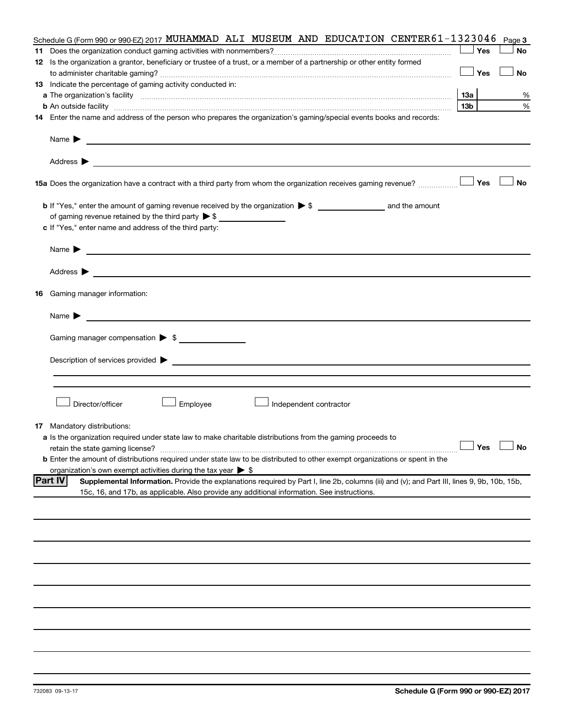|    | Schedule G (Form 990 or 990-EZ) 2017 MUHAMMAD ALI MUSEUM AND EDUCATION CENTER 61-1323046                                                                      |                 | Page 3        |
|----|---------------------------------------------------------------------------------------------------------------------------------------------------------------|-----------------|---------------|
| 11 |                                                                                                                                                               | Yes             | <b>No</b>     |
|    | 12 Is the organization a grantor, beneficiary or trustee of a trust, or a member of a partnership or other entity formed                                      |                 |               |
|    |                                                                                                                                                               | <b>」Yes</b>     | <b>No</b>     |
|    | 13 Indicate the percentage of gaming activity conducted in:                                                                                                   |                 |               |
|    |                                                                                                                                                               | 13a             | %             |
|    | <b>b</b> An outside facility <i>www.communicality www.communicality.communicality www.communicality www.communicality.communicality www.communicality.com</i> | 13 <sub>b</sub> | %             |
|    | 14 Enter the name and address of the person who prepares the organization's gaming/special events books and records:                                          |                 |               |
|    |                                                                                                                                                               |                 |               |
|    | Name $\blacktriangleright$<br><u> 1980 - Johann Stein, marwolaethau a bhann an t-Amhainn an t-Amhainn an t-Amhainn an t-Amhainn an t-Amhainn an</u>           |                 |               |
|    |                                                                                                                                                               |                 |               |
|    |                                                                                                                                                               |                 |               |
|    |                                                                                                                                                               |                 |               |
|    |                                                                                                                                                               |                 | <b>No</b>     |
|    |                                                                                                                                                               |                 |               |
|    |                                                                                                                                                               |                 |               |
|    | of gaming revenue retained by the third party $\triangleright$ \$                                                                                             |                 |               |
|    | c If "Yes," enter name and address of the third party:                                                                                                        |                 |               |
|    | Name $\blacktriangleright$                                                                                                                                    |                 |               |
|    |                                                                                                                                                               |                 |               |
|    |                                                                                                                                                               |                 |               |
|    |                                                                                                                                                               |                 |               |
|    | <b>16</b> Gaming manager information:                                                                                                                         |                 |               |
|    |                                                                                                                                                               |                 |               |
|    | <u> 1989 - Johann Harry Harry Harry Harry Harry Harry Harry Harry Harry Harry Harry Harry Harry Harry Harry Harry</u><br>Name $\blacktriangleright$           |                 |               |
|    | Gaming manager compensation > \$                                                                                                                              |                 |               |
|    |                                                                                                                                                               |                 |               |
|    | Description of services provided > example and the contract of the contract of the contract of the contract of                                                |                 |               |
|    |                                                                                                                                                               |                 |               |
|    |                                                                                                                                                               |                 |               |
|    |                                                                                                                                                               |                 |               |
|    | Director/officer<br>Employee<br>Independent contractor                                                                                                        |                 |               |
|    |                                                                                                                                                               |                 |               |
|    | <b>17</b> Mandatory distributions:                                                                                                                            |                 |               |
|    | a Is the organization required under state law to make charitable distributions from the gaming proceeds to                                                   |                 |               |
|    | retain the state gaming license?                                                                                                                              |                 | Yes $\lfloor$ |
|    | <b>b</b> Enter the amount of distributions required under state law to be distributed to other exempt organizations or spent in the                           |                 |               |
|    | organization's own exempt activities during the tax year $\triangleright$ \$                                                                                  |                 |               |
|    | <b>Part IV</b><br>Supplemental Information. Provide the explanations required by Part I, line 2b, columns (iii) and (v); and Part III, lines 9, 9b, 10b, 15b, |                 |               |
|    | 15c, 16, and 17b, as applicable. Also provide any additional information. See instructions.                                                                   |                 |               |
|    |                                                                                                                                                               |                 |               |
|    |                                                                                                                                                               |                 |               |
|    |                                                                                                                                                               |                 |               |
|    |                                                                                                                                                               |                 |               |
|    |                                                                                                                                                               |                 |               |
|    |                                                                                                                                                               |                 |               |
|    |                                                                                                                                                               |                 |               |
|    |                                                                                                                                                               |                 |               |
|    |                                                                                                                                                               |                 |               |
|    |                                                                                                                                                               |                 |               |
|    |                                                                                                                                                               |                 |               |
|    |                                                                                                                                                               |                 |               |
|    |                                                                                                                                                               |                 |               |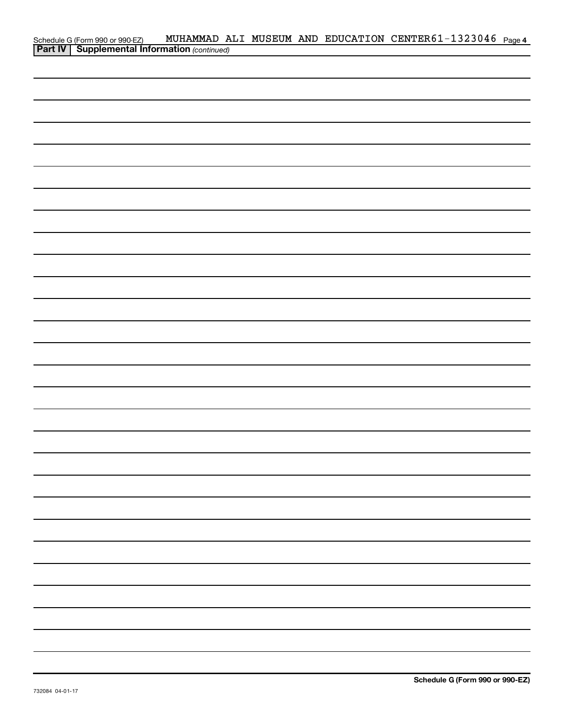|                                                                                                     |  |  | MUHAMMAD ALI MUSEUM AND EDUCATION CENTER61-1323046 Page 4 |  |
|-----------------------------------------------------------------------------------------------------|--|--|-----------------------------------------------------------|--|
| Schedule G (Form 990 or 990-EZ) MUHAMMAD A<br><b>Part IV   Supplemental Information</b> (continued) |  |  |                                                           |  |
|                                                                                                     |  |  |                                                           |  |
|                                                                                                     |  |  |                                                           |  |
|                                                                                                     |  |  |                                                           |  |
|                                                                                                     |  |  |                                                           |  |
|                                                                                                     |  |  |                                                           |  |
|                                                                                                     |  |  |                                                           |  |
|                                                                                                     |  |  |                                                           |  |
|                                                                                                     |  |  |                                                           |  |
|                                                                                                     |  |  |                                                           |  |
|                                                                                                     |  |  |                                                           |  |
|                                                                                                     |  |  |                                                           |  |
|                                                                                                     |  |  |                                                           |  |
|                                                                                                     |  |  |                                                           |  |
|                                                                                                     |  |  |                                                           |  |
|                                                                                                     |  |  |                                                           |  |
|                                                                                                     |  |  |                                                           |  |
|                                                                                                     |  |  |                                                           |  |
|                                                                                                     |  |  |                                                           |  |
|                                                                                                     |  |  |                                                           |  |
|                                                                                                     |  |  |                                                           |  |
|                                                                                                     |  |  |                                                           |  |
|                                                                                                     |  |  |                                                           |  |
|                                                                                                     |  |  |                                                           |  |
|                                                                                                     |  |  |                                                           |  |
|                                                                                                     |  |  |                                                           |  |
|                                                                                                     |  |  |                                                           |  |
|                                                                                                     |  |  |                                                           |  |
|                                                                                                     |  |  |                                                           |  |
|                                                                                                     |  |  |                                                           |  |
|                                                                                                     |  |  |                                                           |  |
|                                                                                                     |  |  |                                                           |  |
|                                                                                                     |  |  |                                                           |  |
|                                                                                                     |  |  |                                                           |  |
|                                                                                                     |  |  |                                                           |  |
|                                                                                                     |  |  |                                                           |  |
|                                                                                                     |  |  |                                                           |  |
|                                                                                                     |  |  |                                                           |  |
|                                                                                                     |  |  |                                                           |  |
|                                                                                                     |  |  |                                                           |  |
|                                                                                                     |  |  |                                                           |  |
|                                                                                                     |  |  |                                                           |  |
|                                                                                                     |  |  |                                                           |  |
|                                                                                                     |  |  |                                                           |  |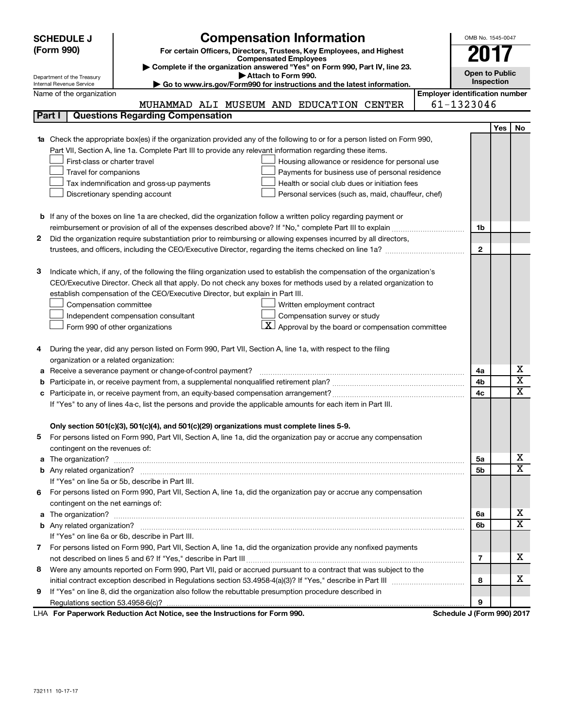|                                                                                                               | <b>SCHEDULE J</b>                                                                   | <b>Compensation Information</b>                                                                                           |                                       | OMB No. 1545-0047     |     |                         |  |  |
|---------------------------------------------------------------------------------------------------------------|-------------------------------------------------------------------------------------|---------------------------------------------------------------------------------------------------------------------------|---------------------------------------|-----------------------|-----|-------------------------|--|--|
|                                                                                                               | (Form 990)<br>For certain Officers, Directors, Trustees, Key Employees, and Highest |                                                                                                                           |                                       |                       |     |                         |  |  |
|                                                                                                               |                                                                                     | <b>Compensated Employees</b>                                                                                              |                                       | 201                   |     |                         |  |  |
|                                                                                                               | Department of the Treasury                                                          | Complete if the organization answered "Yes" on Form 990, Part IV, line 23.<br>Attach to Form 990.                         |                                       | <b>Open to Public</b> |     |                         |  |  |
|                                                                                                               | Internal Revenue Service                                                            | Go to www.irs.gov/Form990 for instructions and the latest information.                                                    |                                       | Inspection            |     |                         |  |  |
|                                                                                                               | Name of the organization                                                            |                                                                                                                           | <b>Employer identification number</b> |                       |     |                         |  |  |
|                                                                                                               |                                                                                     | MUHAMMAD ALI MUSEUM AND EDUCATION CENTER                                                                                  | 61-1323046                            |                       |     |                         |  |  |
|                                                                                                               | Part I                                                                              | <b>Questions Regarding Compensation</b>                                                                                   |                                       |                       |     |                         |  |  |
|                                                                                                               |                                                                                     |                                                                                                                           |                                       |                       | Yes | No                      |  |  |
|                                                                                                               |                                                                                     | 1a Check the appropriate box(es) if the organization provided any of the following to or for a person listed on Form 990, |                                       |                       |     |                         |  |  |
|                                                                                                               |                                                                                     | Part VII, Section A, line 1a. Complete Part III to provide any relevant information regarding these items.                |                                       |                       |     |                         |  |  |
|                                                                                                               | First-class or charter travel                                                       | Housing allowance or residence for personal use                                                                           |                                       |                       |     |                         |  |  |
|                                                                                                               | Travel for companions                                                               | Payments for business use of personal residence                                                                           |                                       |                       |     |                         |  |  |
|                                                                                                               |                                                                                     | Health or social club dues or initiation fees<br>Tax indemnification and gross-up payments                                |                                       |                       |     |                         |  |  |
|                                                                                                               |                                                                                     | Discretionary spending account<br>Personal services (such as, maid, chauffeur, chef)                                      |                                       |                       |     |                         |  |  |
|                                                                                                               |                                                                                     |                                                                                                                           |                                       |                       |     |                         |  |  |
|                                                                                                               |                                                                                     | <b>b</b> If any of the boxes on line 1a are checked, did the organization follow a written policy regarding payment or    |                                       |                       |     |                         |  |  |
|                                                                                                               |                                                                                     |                                                                                                                           |                                       | 1b                    |     |                         |  |  |
| 2                                                                                                             |                                                                                     | Did the organization require substantiation prior to reimbursing or allowing expenses incurred by all directors,          |                                       |                       |     |                         |  |  |
|                                                                                                               |                                                                                     |                                                                                                                           |                                       | $\mathbf{2}$          |     |                         |  |  |
|                                                                                                               |                                                                                     |                                                                                                                           |                                       |                       |     |                         |  |  |
| з                                                                                                             |                                                                                     | Indicate which, if any, of the following the filing organization used to establish the compensation of the organization's |                                       |                       |     |                         |  |  |
|                                                                                                               |                                                                                     | CEO/Executive Director. Check all that apply. Do not check any boxes for methods used by a related organization to        |                                       |                       |     |                         |  |  |
|                                                                                                               |                                                                                     | establish compensation of the CEO/Executive Director, but explain in Part III.                                            |                                       |                       |     |                         |  |  |
|                                                                                                               | Compensation committee                                                              | Written employment contract                                                                                               |                                       |                       |     |                         |  |  |
|                                                                                                               |                                                                                     | Compensation survey or study<br>Independent compensation consultant                                                       |                                       |                       |     |                         |  |  |
|                                                                                                               |                                                                                     | $\vert X \vert$ Approval by the board or compensation committee<br>Form 990 of other organizations                        |                                       |                       |     |                         |  |  |
|                                                                                                               |                                                                                     |                                                                                                                           |                                       |                       |     |                         |  |  |
| 4                                                                                                             |                                                                                     | During the year, did any person listed on Form 990, Part VII, Section A, line 1a, with respect to the filing              |                                       |                       |     |                         |  |  |
|                                                                                                               |                                                                                     | organization or a related organization:                                                                                   |                                       | 4a                    |     | х                       |  |  |
|                                                                                                               | Receive a severance payment or change-of-control payment?<br>а                      |                                                                                                                           |                                       |                       |     |                         |  |  |
|                                                                                                               | b                                                                                   |                                                                                                                           |                                       |                       |     |                         |  |  |
| 4c<br>c                                                                                                       |                                                                                     |                                                                                                                           |                                       |                       |     | $\overline{\textbf{x}}$ |  |  |
| If "Yes" to any of lines 4a-c, list the persons and provide the applicable amounts for each item in Part III. |                                                                                     |                                                                                                                           |                                       |                       |     |                         |  |  |
|                                                                                                               |                                                                                     | Only section 501(c)(3), 501(c)(4), and 501(c)(29) organizations must complete lines 5-9.                                  |                                       |                       |     |                         |  |  |
|                                                                                                               |                                                                                     | For persons listed on Form 990, Part VII, Section A, line 1a, did the organization pay or accrue any compensation         |                                       |                       |     |                         |  |  |
|                                                                                                               | contingent on the revenues of:                                                      |                                                                                                                           |                                       |                       |     |                         |  |  |
|                                                                                                               |                                                                                     | a The organization? <b>Entitation</b> 2008 Communication of the organization of the organization?                         |                                       | 5а                    |     | х                       |  |  |
|                                                                                                               |                                                                                     |                                                                                                                           |                                       | 5b                    |     | х                       |  |  |
|                                                                                                               |                                                                                     | If "Yes" on line 5a or 5b, describe in Part III.                                                                          |                                       |                       |     |                         |  |  |
|                                                                                                               |                                                                                     | 6 For persons listed on Form 990, Part VII, Section A, line 1a, did the organization pay or accrue any compensation       |                                       |                       |     |                         |  |  |
|                                                                                                               | contingent on the net earnings of:                                                  |                                                                                                                           |                                       |                       |     |                         |  |  |
|                                                                                                               |                                                                                     |                                                                                                                           |                                       | 6a                    |     | х                       |  |  |
|                                                                                                               |                                                                                     |                                                                                                                           |                                       | 6b                    |     | х                       |  |  |
|                                                                                                               |                                                                                     | If "Yes" on line 6a or 6b, describe in Part III.                                                                          |                                       |                       |     |                         |  |  |
|                                                                                                               |                                                                                     | 7 For persons listed on Form 990, Part VII, Section A, line 1a, did the organization provide any nonfixed payments        |                                       |                       |     |                         |  |  |
|                                                                                                               |                                                                                     |                                                                                                                           |                                       | 7                     |     | х                       |  |  |
| 8                                                                                                             |                                                                                     | Were any amounts reported on Form 990, Part VII, paid or accrued pursuant to a contract that was subject to the           |                                       |                       |     |                         |  |  |
|                                                                                                               |                                                                                     |                                                                                                                           |                                       | 8                     |     | х                       |  |  |
| 9                                                                                                             |                                                                                     | If "Yes" on line 8, did the organization also follow the rebuttable presumption procedure described in                    |                                       |                       |     |                         |  |  |
|                                                                                                               |                                                                                     |                                                                                                                           |                                       | 9                     |     |                         |  |  |
|                                                                                                               |                                                                                     | LHA For Paperwork Reduction Act Notice, see the Instructions for Form 990.                                                | Schedule J (Form 990) 2017            |                       |     |                         |  |  |

732111 10-17-17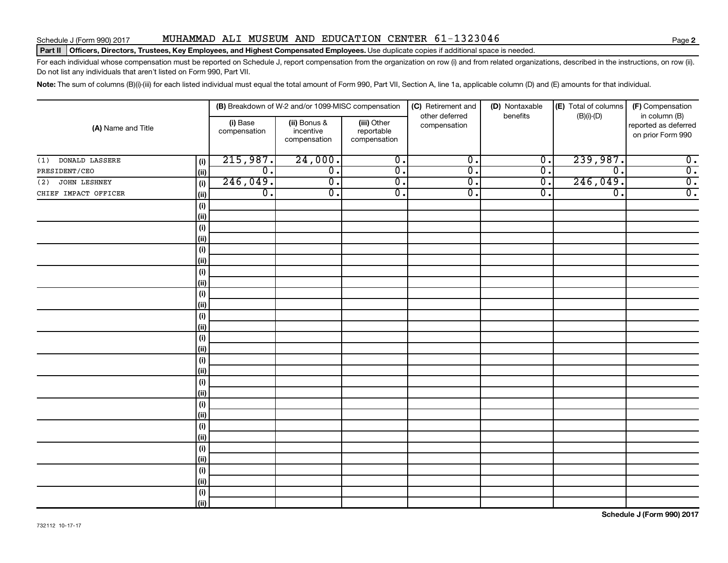#### Schedule J (Form 990) 2017 MUHAMMAD ALI MUSEUM AND EDUCATION CENTER  $61-1323046$

#### Part II | Officers, Directors, Trustees, Key Employees, and Highest Compensated Employees. Use duplicate copies if additional space is needed.

For each individual whose compensation must be reported on Schedule J, report compensation from the organization on row (i) and from related organizations, described in the instructions, on row (ii). Do not list any individuals that aren't listed on Form 990, Part VII.

Note: The sum of columns (B)(i)-(iii) for each listed individual must equal the total amount of Form 990, Part VII, Section A, line 1a, applicable column (D) and (E) amounts for that individual.

|                              |                          | (B) Breakdown of W-2 and/or 1099-MISC compensation |                                           | (C) Retirement and<br>other deferred | (D) Nontaxable<br>benefits | (E) Total of columns        | (F) Compensation                                           |
|------------------------------|--------------------------|----------------------------------------------------|-------------------------------------------|--------------------------------------|----------------------------|-----------------------------|------------------------------------------------------------|
| (A) Name and Title           | (i) Base<br>compensation | (ii) Bonus &<br>incentive<br>compensation          | (iii) Other<br>reportable<br>compensation | compensation                         |                            | $(B)(i)-(D)$                | in column (B)<br>reported as deferred<br>on prior Form 990 |
| DONALD LASSERE<br>(i)<br>(1) | 215,987.                 | 24,000.                                            | $\overline{0}$ .                          | $\overline{0}$ .                     | $\overline{0}$ .           | 239,987.                    | $\overline{0}$ .                                           |
| PRESIDENT/CEO<br>(i)         | $\overline{0}$ .         | $\overline{0}$ .                                   | $\overline{0}$ .                          | $\overline{\mathfrak{o}}$ .          | $\overline{0}$ .           | $\overline{\mathfrak{o}}$ . | $\overline{0}$ .                                           |
| JOHN LESHNEY<br>(i)<br>(2)   | 246,049.                 | $\overline{0}$ .                                   | $\overline{0}$ .                          | $\overline{0}$ .                     | $\overline{0}$ .           | 246,049.                    | $\overline{0}$ .                                           |
| CHIEF IMPACT OFFICER<br>(ii) | $\overline{0}$ .         | $\overline{0}$ .                                   | σ.                                        | $\overline{0}$ .                     | $\overline{0}$ .           | $\overline{0}$ .            | $\overline{0}$ .                                           |
| (i)                          |                          |                                                    |                                           |                                      |                            |                             |                                                            |
| (i)                          |                          |                                                    |                                           |                                      |                            |                             |                                                            |
| (i)                          |                          |                                                    |                                           |                                      |                            |                             |                                                            |
| $\vert$ (ii)                 |                          |                                                    |                                           |                                      |                            |                             |                                                            |
| (i)                          |                          |                                                    |                                           |                                      |                            |                             |                                                            |
| (ii)                         |                          |                                                    |                                           |                                      |                            |                             |                                                            |
| (i)                          |                          |                                                    |                                           |                                      |                            |                             |                                                            |
| (ii)                         |                          |                                                    |                                           |                                      |                            |                             |                                                            |
| (i)                          |                          |                                                    |                                           |                                      |                            |                             |                                                            |
| (ii)                         |                          |                                                    |                                           |                                      |                            |                             |                                                            |
| (i)                          |                          |                                                    |                                           |                                      |                            |                             |                                                            |
| (ii)                         |                          |                                                    |                                           |                                      |                            |                             |                                                            |
| $(\sf{i})$                   |                          |                                                    |                                           |                                      |                            |                             |                                                            |
| (ii)                         |                          |                                                    |                                           |                                      |                            |                             |                                                            |
| (i)                          |                          |                                                    |                                           |                                      |                            |                             |                                                            |
| (ii)                         |                          |                                                    |                                           |                                      |                            |                             |                                                            |
| (i)                          |                          |                                                    |                                           |                                      |                            |                             |                                                            |
| (ii)                         |                          |                                                    |                                           |                                      |                            |                             |                                                            |
| (i)                          |                          |                                                    |                                           |                                      |                            |                             |                                                            |
| (ii)                         |                          |                                                    |                                           |                                      |                            |                             |                                                            |
| (i)                          |                          |                                                    |                                           |                                      |                            |                             |                                                            |
| (ii)                         |                          |                                                    |                                           |                                      |                            |                             |                                                            |
| (i)<br>(ii)                  |                          |                                                    |                                           |                                      |                            |                             |                                                            |
| (i)                          |                          |                                                    |                                           |                                      |                            |                             |                                                            |
| (ii)                         |                          |                                                    |                                           |                                      |                            |                             |                                                            |
| (i)                          |                          |                                                    |                                           |                                      |                            |                             |                                                            |
| (ii)                         |                          |                                                    |                                           |                                      |                            |                             |                                                            |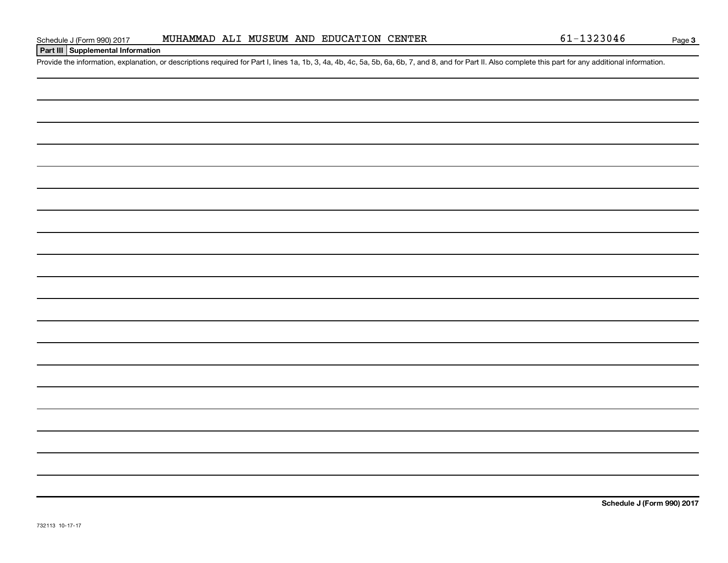#### **Part III Supplemental Information**

Provide the information, explanation, or descriptions required for Part I, lines 1a, 1b, 3, 4a, 4b, 4c, 5a, 5b, 6a, 6b, 7, and 8, and for Part II. Also complete this part for any additional information.

**Schedule J (Form 990) 2017**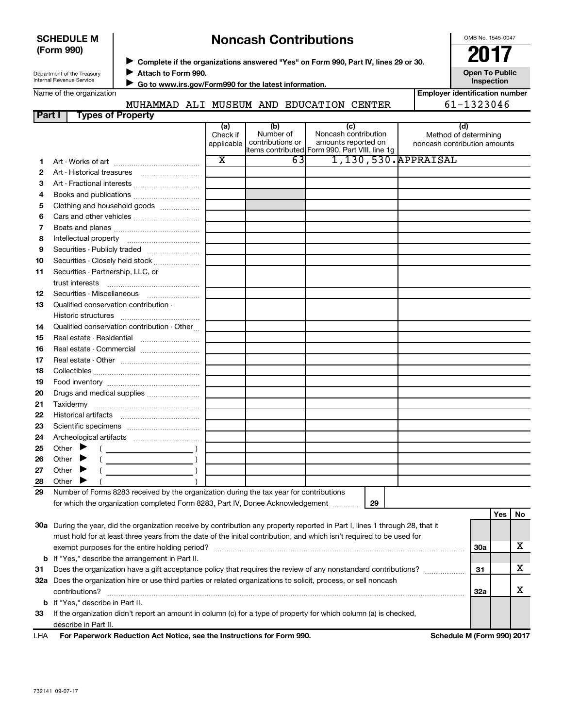#### **SCHEDULE M (Form 990)**

# ◆ Complete if the organizations answered "Yes" on Form 990, Part IV, lines 29 or 30.<br>▶ Complete if the organizations answered "Yes" on Form 990, Part IV, lines 29 or 30. **Noncash Contributions**

OMB No. 1545-0047

**Employer identification number**

Department of the Treasury Internal Revenue Service

**Attach to Form 990.**  $\blacktriangleright$ 

**Open To Public Inspection**

| Name of the organization |
|--------------------------|
|--------------------------|

 **Go to www.irs.gov/Form990 for the latest information.** J

|        | MUHAMMAD ALI             |          | MUSEUM AND                                       | <b>EDUCATION</b><br>CENTER                                                                                                                                                                                                     | 61-1323046            |
|--------|--------------------------|----------|--------------------------------------------------|--------------------------------------------------------------------------------------------------------------------------------------------------------------------------------------------------------------------------------|-----------------------|
| Part I | <b>Types of Property</b> |          |                                                  |                                                                                                                                                                                                                                |                       |
|        |                          | (a       | (b)                                              | (C)                                                                                                                                                                                                                            | (d)                   |
|        |                          | Check if | Number of                                        | Noncash contribution                                                                                                                                                                                                           | Method of determining |
|        |                          |          | المتحارب والمستحلة والمستحدث والمستحدث والمستحدث | the second construction of the second second second second second second second second second second second second second second second second second second second second second second second second second second second se |                       |

| 1,130,530. APPRAISAL<br>х<br>63<br>1<br>2<br>3<br>Art - Fractional interests<br>4<br>Clothing and household goods<br>5<br>6<br>7<br>8<br>9<br>Securities - Publicly traded<br>10<br>Securities - Partnership, LLC, or<br>11<br>12<br>Qualified conservation contribution -<br>13<br>14<br>Qualified conservation contribution - Other<br>Real estate - Residential<br>15<br>Real estate - Commercial<br>16<br>17<br>18<br>19<br>20<br>Drugs and medical supplies<br>21<br>22<br>23<br>24<br>Other $\blacktriangleright$<br>25<br>Other $\blacktriangleright$<br>26<br>Other<br>27<br>▶ |    |            | applicable   contributions or | amounts reported on<br>items contributed Form 990, Part VIII, line 1g | noncash contribution amounts |    |
|----------------------------------------------------------------------------------------------------------------------------------------------------------------------------------------------------------------------------------------------------------------------------------------------------------------------------------------------------------------------------------------------------------------------------------------------------------------------------------------------------------------------------------------------------------------------------------------|----|------------|-------------------------------|-----------------------------------------------------------------------|------------------------------|----|
|                                                                                                                                                                                                                                                                                                                                                                                                                                                                                                                                                                                        |    |            |                               |                                                                       |                              |    |
|                                                                                                                                                                                                                                                                                                                                                                                                                                                                                                                                                                                        |    |            |                               |                                                                       |                              |    |
|                                                                                                                                                                                                                                                                                                                                                                                                                                                                                                                                                                                        |    |            |                               |                                                                       |                              |    |
|                                                                                                                                                                                                                                                                                                                                                                                                                                                                                                                                                                                        |    |            |                               |                                                                       |                              |    |
|                                                                                                                                                                                                                                                                                                                                                                                                                                                                                                                                                                                        |    |            |                               |                                                                       |                              |    |
|                                                                                                                                                                                                                                                                                                                                                                                                                                                                                                                                                                                        |    |            |                               |                                                                       |                              |    |
|                                                                                                                                                                                                                                                                                                                                                                                                                                                                                                                                                                                        |    |            |                               |                                                                       |                              |    |
|                                                                                                                                                                                                                                                                                                                                                                                                                                                                                                                                                                                        |    |            |                               |                                                                       |                              |    |
|                                                                                                                                                                                                                                                                                                                                                                                                                                                                                                                                                                                        |    |            |                               |                                                                       |                              |    |
|                                                                                                                                                                                                                                                                                                                                                                                                                                                                                                                                                                                        |    |            |                               |                                                                       |                              |    |
|                                                                                                                                                                                                                                                                                                                                                                                                                                                                                                                                                                                        |    |            |                               |                                                                       |                              |    |
|                                                                                                                                                                                                                                                                                                                                                                                                                                                                                                                                                                                        |    |            |                               |                                                                       |                              |    |
|                                                                                                                                                                                                                                                                                                                                                                                                                                                                                                                                                                                        |    |            |                               |                                                                       |                              |    |
|                                                                                                                                                                                                                                                                                                                                                                                                                                                                                                                                                                                        |    |            |                               |                                                                       |                              |    |
|                                                                                                                                                                                                                                                                                                                                                                                                                                                                                                                                                                                        |    |            |                               |                                                                       |                              |    |
|                                                                                                                                                                                                                                                                                                                                                                                                                                                                                                                                                                                        |    |            |                               |                                                                       |                              |    |
|                                                                                                                                                                                                                                                                                                                                                                                                                                                                                                                                                                                        |    |            |                               |                                                                       |                              |    |
|                                                                                                                                                                                                                                                                                                                                                                                                                                                                                                                                                                                        |    |            |                               |                                                                       |                              |    |
|                                                                                                                                                                                                                                                                                                                                                                                                                                                                                                                                                                                        |    |            |                               |                                                                       |                              |    |
|                                                                                                                                                                                                                                                                                                                                                                                                                                                                                                                                                                                        |    |            |                               |                                                                       |                              |    |
|                                                                                                                                                                                                                                                                                                                                                                                                                                                                                                                                                                                        |    |            |                               |                                                                       |                              |    |
|                                                                                                                                                                                                                                                                                                                                                                                                                                                                                                                                                                                        |    |            |                               |                                                                       |                              |    |
|                                                                                                                                                                                                                                                                                                                                                                                                                                                                                                                                                                                        |    |            |                               |                                                                       |                              |    |
|                                                                                                                                                                                                                                                                                                                                                                                                                                                                                                                                                                                        |    |            |                               |                                                                       |                              |    |
|                                                                                                                                                                                                                                                                                                                                                                                                                                                                                                                                                                                        |    |            |                               |                                                                       |                              |    |
|                                                                                                                                                                                                                                                                                                                                                                                                                                                                                                                                                                                        |    |            |                               |                                                                       |                              |    |
|                                                                                                                                                                                                                                                                                                                                                                                                                                                                                                                                                                                        |    |            |                               |                                                                       |                              |    |
|                                                                                                                                                                                                                                                                                                                                                                                                                                                                                                                                                                                        |    |            |                               |                                                                       |                              |    |
|                                                                                                                                                                                                                                                                                                                                                                                                                                                                                                                                                                                        |    |            |                               |                                                                       |                              |    |
|                                                                                                                                                                                                                                                                                                                                                                                                                                                                                                                                                                                        | 28 | Other<br>▸ |                               |                                                                       |                              |    |
| Number of Forms 8283 received by the organization during the tax year for contributions<br>29                                                                                                                                                                                                                                                                                                                                                                                                                                                                                          |    |            |                               |                                                                       |                              |    |
| for which the organization completed Form 8283, Part IV, Donee Acknowledgement<br>29                                                                                                                                                                                                                                                                                                                                                                                                                                                                                                   |    |            |                               |                                                                       |                              |    |
| Yes                                                                                                                                                                                                                                                                                                                                                                                                                                                                                                                                                                                    |    |            |                               |                                                                       |                              | No |
| 30a During the year, did the organization receive by contribution any property reported in Part I, lines 1 through 28, that it                                                                                                                                                                                                                                                                                                                                                                                                                                                         |    |            |                               |                                                                       |                              |    |
| must hold for at least three years from the date of the initial contribution, and which isn't required to be used for                                                                                                                                                                                                                                                                                                                                                                                                                                                                  |    |            |                               |                                                                       |                              |    |
| 30a                                                                                                                                                                                                                                                                                                                                                                                                                                                                                                                                                                                    |    |            |                               |                                                                       |                              | x  |
| b If "Yes," describe the arrangement in Part II.                                                                                                                                                                                                                                                                                                                                                                                                                                                                                                                                       |    |            |                               |                                                                       |                              |    |
| Does the organization have a gift acceptance policy that requires the review of any nonstandard contributions?<br>31<br>31                                                                                                                                                                                                                                                                                                                                                                                                                                                             |    |            |                               |                                                                       |                              | х  |
| .<br>32a Does the organization hire or use third parties or related organizations to solicit, process, or sell noncash                                                                                                                                                                                                                                                                                                                                                                                                                                                                 |    |            |                               |                                                                       |                              |    |
| 32a                                                                                                                                                                                                                                                                                                                                                                                                                                                                                                                                                                                    |    |            |                               |                                                                       |                              | х  |
| <b>b</b> If "Yes," describe in Part II.                                                                                                                                                                                                                                                                                                                                                                                                                                                                                                                                                |    |            |                               |                                                                       |                              |    |
| If the organization didn't report an amount in column (c) for a type of property for which column (a) is checked,<br>33                                                                                                                                                                                                                                                                                                                                                                                                                                                                |    |            |                               |                                                                       |                              |    |

describe in Part II.

For Paperwork Reduction Act Notice, see the Instructions for Form 990. Schedule M (Form 990) 2017 LHA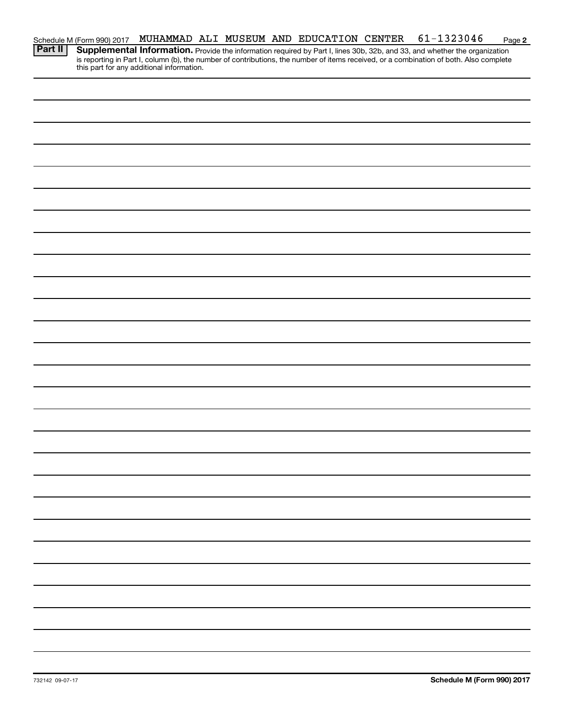|  |  |  |  | Schedule M (Form 990) 2017 MUHAMMAD ALI MUSEUM AND EDUCATION CENTER 61-1323046                                                            | Page 2 |
|--|--|--|--|-------------------------------------------------------------------------------------------------------------------------------------------|--------|
|  |  |  |  | <b>Part II</b> Supplemental Information. Provide the information required by Part I, lines 30b, 32b, and 33, and whether the organization |        |

this part for any additional information.

is reporting in Part I, column (b), the number of contributions, the number of items received, or a combination of both. Also complete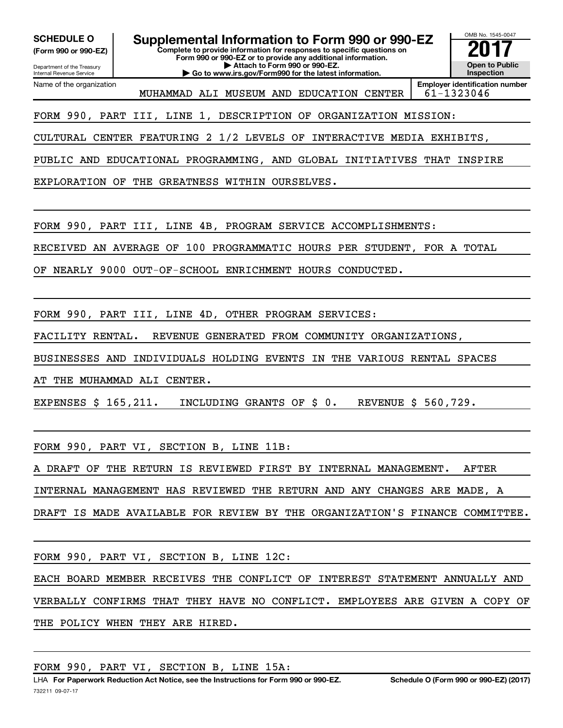**(Form 990 or 990-EZ)**

Department of the Treasury Internal Revenue Service Name of the organization

**Complete to provide information for responses to specific questions on Form 990 or 990-EZ or to provide any additional information. | Attach to Form 990 or 990-EZ. | Go to www.irs.gov/Form990 for the latest information. SCHEDULE O Supplemental Information to Form 990 or 990-EZ 2017**<br>(Form 990 or 990-EZ) Complete to provide information for responses to specific questions on

OMB No. 1545-0047 **Open to Public Inspection**

**Employer identification number** MUHAMMAD ALI MUSEUM AND EDUCATION CENTER 61-1323046

### FORM 990, PART III, LINE 1, DESCRIPTION OF ORGANIZATION MISSION:

CULTURAL CENTER FEATURING 2 1/2 LEVELS OF INTERACTIVE MEDIA EXHIBITS,

PUBLIC AND EDUCATIONAL PROGRAMMING, AND GLOBAL INITIATIVES THAT INSPIRE

EXPLORATION OF THE GREATNESS WITHIN OURSELVES.

FORM 990, PART III, LINE 4B, PROGRAM SERVICE ACCOMPLISHMENTS:

RECEIVED AN AVERAGE OF 100 PROGRAMMATIC HOURS PER STUDENT, FOR A TOTAL

OF NEARLY 9000 OUT-OF-SCHOOL ENRICHMENT HOURS CONDUCTED.

FORM 990, PART III, LINE 4D, OTHER PROGRAM SERVICES:

FACILITY RENTAL. REVENUE GENERATED FROM COMMUNITY ORGANIZATIONS,

BUSINESSES AND INDIVIDUALS HOLDING EVENTS IN THE VARIOUS RENTAL SPACES

AT THE MUHAMMAD ALI CENTER.

EXPENSES \$ 165,211. INCLUDING GRANTS OF \$ 0. REVENUE \$ 560,729.

FORM 990, PART VI, SECTION B, LINE 11B:

A DRAFT OF THE RETURN IS REVIEWED FIRST BY INTERNAL MANAGEMENT. AFTER

INTERNAL MANAGEMENT HAS REVIEWED THE RETURN AND ANY CHANGES ARE MADE, A

DRAFT IS MADE AVAILABLE FOR REVIEW BY THE ORGANIZATION'S FINANCE COMMITTEE.

FORM 990, PART VI, SECTION B, LINE 12C:

EACH BOARD MEMBER RECEIVES THE CONFLICT OF INTEREST STATEMENT ANNUALLY AND VERBALLY CONFIRMS THAT THEY HAVE NO CONFLICT. EMPLOYEES ARE GIVEN A COPY OF THE POLICY WHEN THEY ARE HIRED.

FORM 990, PART VI, SECTION B, LINE 15A: